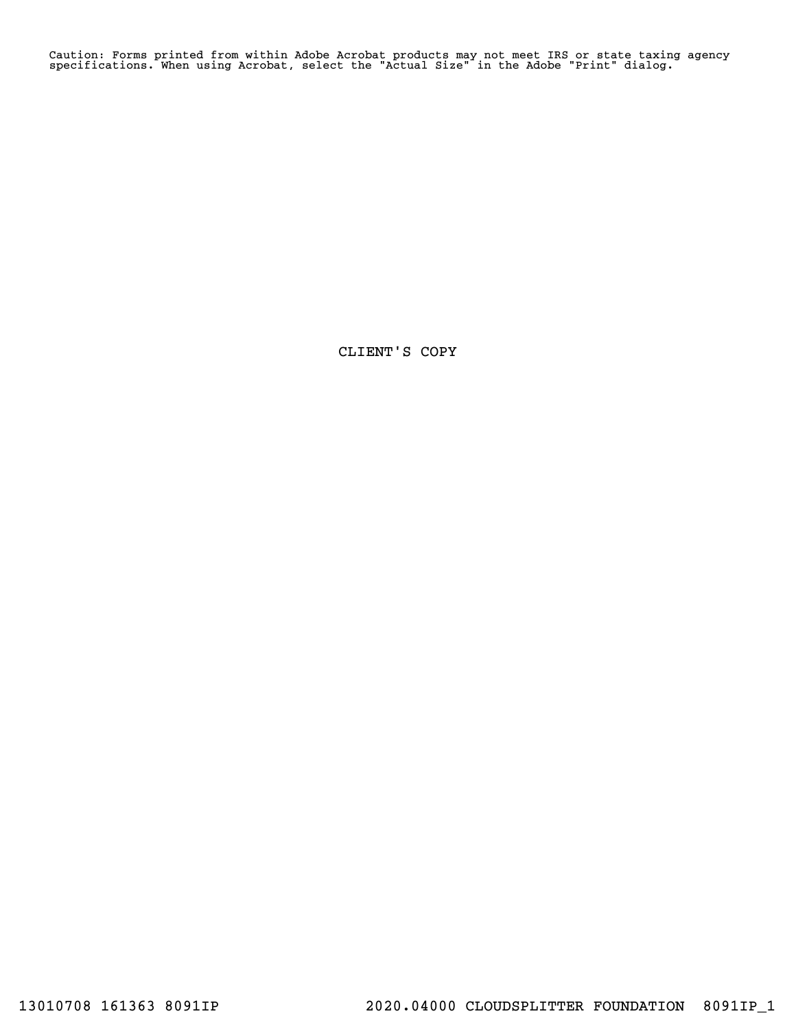Caution: Forms printed from within Adobe Acrobat products may not meet IRS or state taxing agency specifications. When using Acrobat, select the "Actual Size" in the Adobe "Print" dialog.

CLIENT'S COPY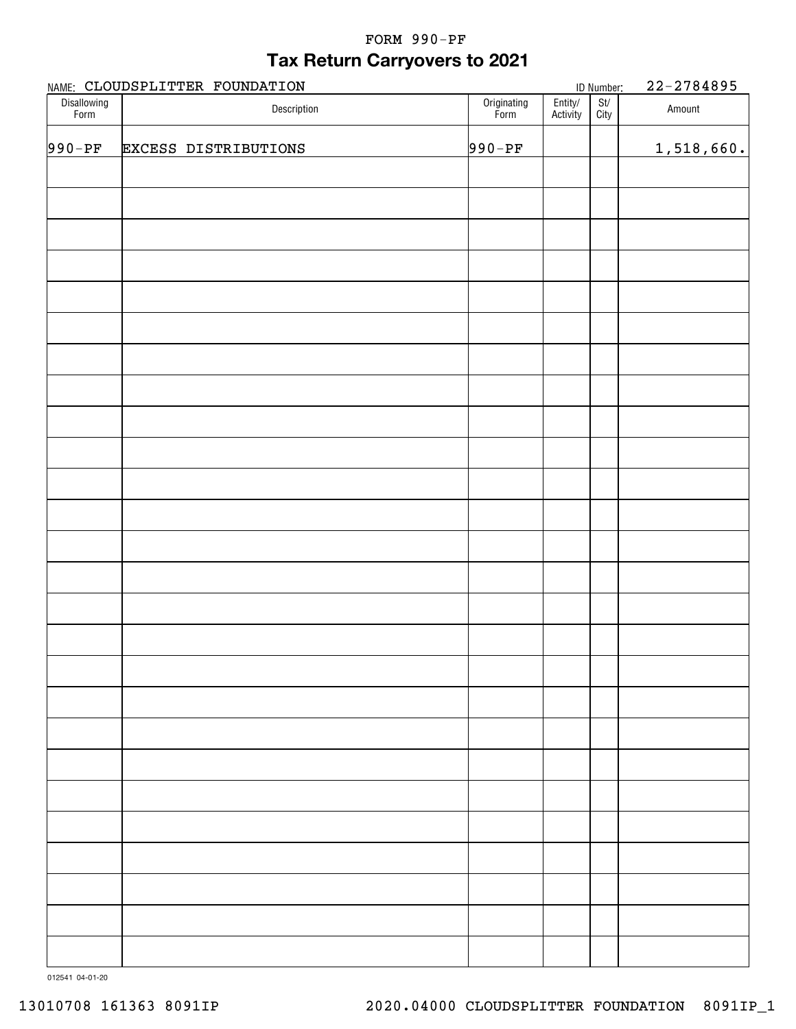## **Tax Return Carryovers to 2021** FORM 990-PF

|                     | NAME: CLOUDSPLITTER FOUNDATION |                     |                     | ID Number:               | 22-2784895 |
|---------------------|--------------------------------|---------------------|---------------------|--------------------------|------------|
| Disallowing<br>Form | Description                    | Originating<br>Form | Entity/<br>Activity | $\frac{St}{\text{City}}$ | Amount     |
| $990 - PF$          | <b>EXCESS DISTRIBUTIONS</b>    | $990 - PF$          |                     |                          | 1,518,660. |
|                     |                                |                     |                     |                          |            |
|                     |                                |                     |                     |                          |            |
|                     |                                |                     |                     |                          |            |
|                     |                                |                     |                     |                          |            |
|                     |                                |                     |                     |                          |            |
|                     |                                |                     |                     |                          |            |
|                     |                                |                     |                     |                          |            |
|                     |                                |                     |                     |                          |            |
|                     |                                |                     |                     |                          |            |
|                     |                                |                     |                     |                          |            |
|                     |                                |                     |                     |                          |            |
|                     |                                |                     |                     |                          |            |
|                     |                                |                     |                     |                          |            |
|                     |                                |                     |                     |                          |            |
|                     |                                |                     |                     |                          |            |
|                     |                                |                     |                     |                          |            |
|                     |                                |                     |                     |                          |            |
|                     |                                |                     |                     |                          |            |
|                     |                                |                     |                     |                          |            |
|                     |                                |                     |                     |                          |            |
|                     |                                |                     |                     |                          |            |
|                     |                                |                     |                     |                          |            |
|                     |                                |                     |                     |                          |            |
|                     |                                |                     |                     |                          |            |
|                     |                                |                     |                     |                          |            |
|                     |                                |                     |                     |                          |            |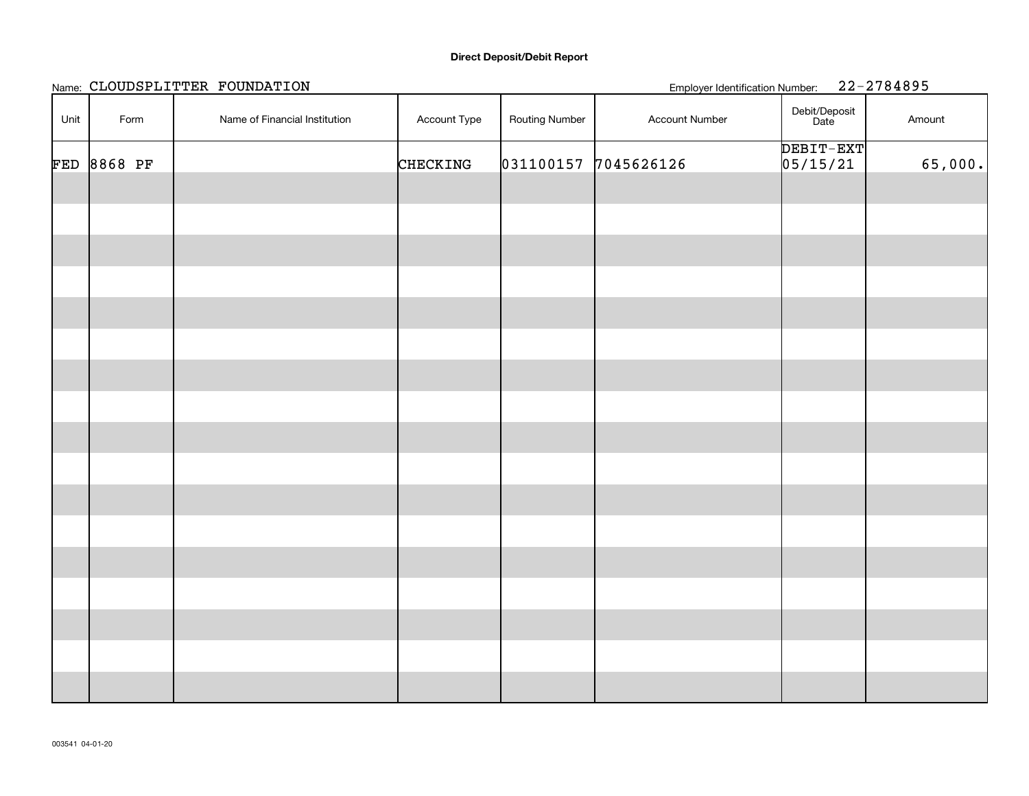### **Direct Deposit/Debit Report**

|      |             | Name: CLOUDSPLITTER FOUNDATION |              |                       | <b>Employer Identification Number:</b> |                       | 22-2784895 |
|------|-------------|--------------------------------|--------------|-----------------------|----------------------------------------|-----------------------|------------|
| Unit | Form        | Name of Financial Institution  | Account Type | <b>Routing Number</b> | Account Number                         | Debit/Deposit<br>Date | Amount     |
|      | FED 8868 PF |                                | CHECKING     |                       | 031100157 7045626126                   | DEBIT-EXT<br>05/15/21 | 65,000.    |
|      |             |                                |              |                       |                                        |                       |            |
|      |             |                                |              |                       |                                        |                       |            |
|      |             |                                |              |                       |                                        |                       |            |
|      |             |                                |              |                       |                                        |                       |            |
|      |             |                                |              |                       |                                        |                       |            |
|      |             |                                |              |                       |                                        |                       |            |
|      |             |                                |              |                       |                                        |                       |            |
|      |             |                                |              |                       |                                        |                       |            |
|      |             |                                |              |                       |                                        |                       |            |
|      |             |                                |              |                       |                                        |                       |            |
|      |             |                                |              |                       |                                        |                       |            |
|      |             |                                |              |                       |                                        |                       |            |
|      |             |                                |              |                       |                                        |                       |            |
|      |             |                                |              |                       |                                        |                       |            |
|      |             |                                |              |                       |                                        |                       |            |
|      |             |                                |              |                       |                                        |                       |            |
|      |             |                                |              |                       |                                        |                       |            |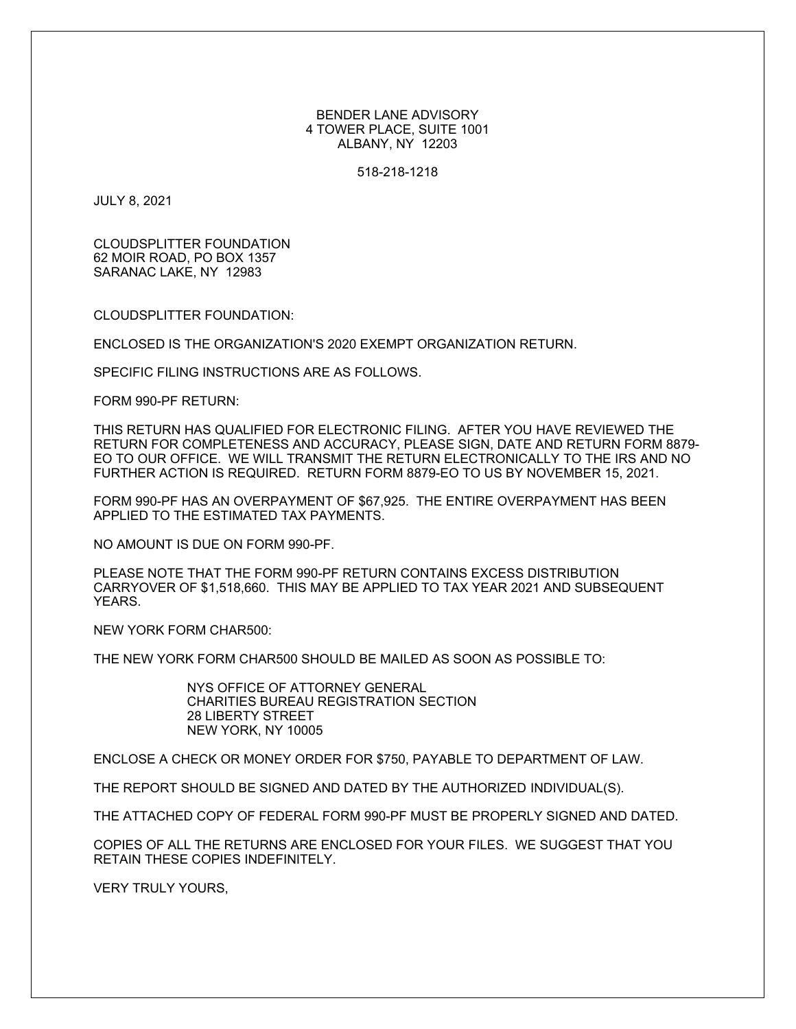BENDER LANE ADVISORY 4 TOWER PLACE, SUITE 1001 ALBANY, NY 12203

518-218-1218

JULY 8, 2021

CLOUDSPLITTER FOUNDATION 62 MOIR ROAD, PO BOX 1357 SARANAC LAKE, NY 12983

CLOUDSPLITTER FOUNDATION:

ENCLOSED IS THE ORGANIZATION'S 2020 EXEMPT ORGANIZATION RETURN.

SPECIFIC FILING INSTRUCTIONS ARE AS FOLLOWS.

FORM 990-PF RETURN:

THIS RETURN HAS QUALIFIED FOR ELECTRONIC FILING. AFTER YOU HAVE REVIEWED THE RETURN FOR COMPLETENESS AND ACCURACY, PLEASE SIGN, DATE AND RETURN FORM 8879- EO TO OUR OFFICE. WE WILL TRANSMIT THE RETURN ELECTRONICALLY TO THE IRS AND NO FURTHER ACTION IS REQUIRED. RETURN FORM 8879-EO TO US BY NOVEMBER 15, 2021.

FORM 990-PF HAS AN OVERPAYMENT OF \$67,925. THE ENTIRE OVERPAYMENT HAS BEEN APPLIED TO THE ESTIMATED TAX PAYMENTS.

NO AMOUNT IS DUE ON FORM 990-PF.

PLEASE NOTE THAT THE FORM 990-PF RETURN CONTAINS EXCESS DISTRIBUTION CARRYOVER OF \$1,518,660. THIS MAY BE APPLIED TO TAX YEAR 2021 AND SUBSEQUENT YEARS.

NEW YORK FORM CHAR500:

THE NEW YORK FORM CHAR500 SHOULD BE MAILED AS SOON AS POSSIBLE TO:

NYS OFFICE OF ATTORNEY GENERAL CHARITIES BUREAU REGISTRATION SECTION 28 LIBERTY STREET NEW YORK, NY 10005

ENCLOSE A CHECK OR MONEY ORDER FOR \$750, PAYABLE TO DEPARTMENT OF LAW.

THE REPORT SHOULD BE SIGNED AND DATED BY THE AUTHORIZED INDIVIDUAL(S).

THE ATTACHED COPY OF FEDERAL FORM 990-PF MUST BE PROPERLY SIGNED AND DATED.

COPIES OF ALL THE RETURNS ARE ENCLOSED FOR YOUR FILES. WE SUGGEST THAT YOU RETAIN THESE COPIES INDEFINITELY.

VERY TRULY YOURS,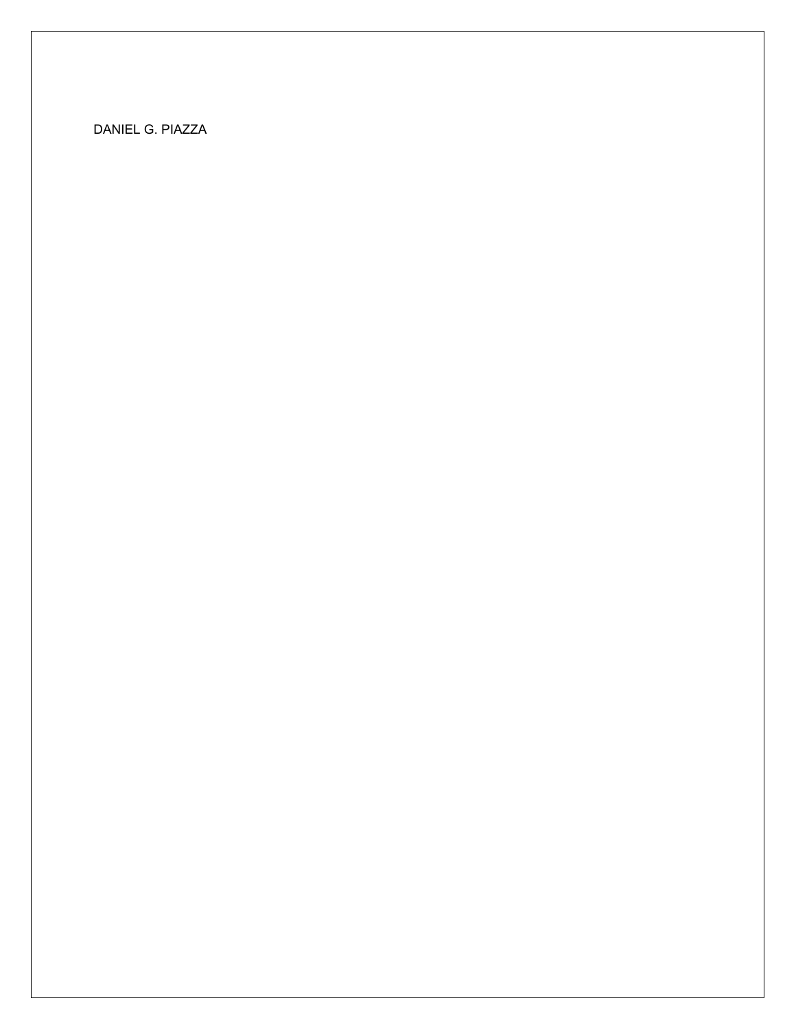DANIEL G. PIAZZA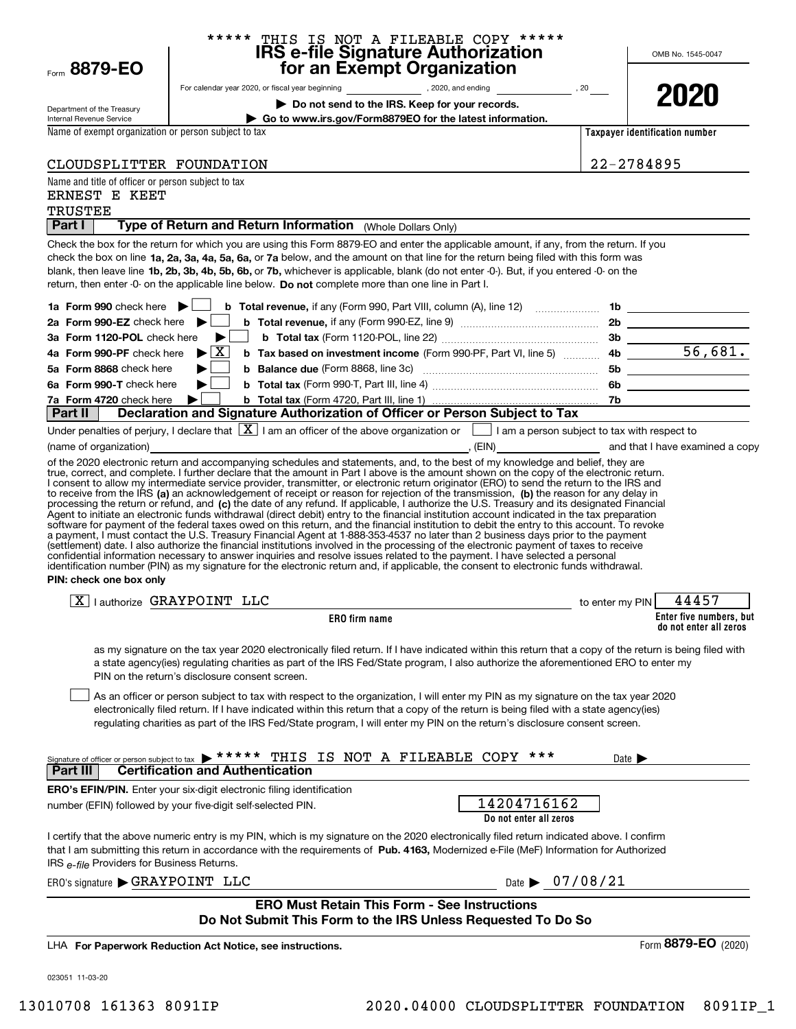|                                                                  | ***** THIS IS NOT A FILEABLE COPY *****                                                                                                                                                                                                                                                                                                                                                                                                                                                                                                                                                                                                                                                                                                                                                                                                           |                            |                                                   |
|------------------------------------------------------------------|---------------------------------------------------------------------------------------------------------------------------------------------------------------------------------------------------------------------------------------------------------------------------------------------------------------------------------------------------------------------------------------------------------------------------------------------------------------------------------------------------------------------------------------------------------------------------------------------------------------------------------------------------------------------------------------------------------------------------------------------------------------------------------------------------------------------------------------------------|----------------------------|---------------------------------------------------|
| Form 8879-EO                                                     | IRS e-file Signature Authorization<br>for an Exempt Organization                                                                                                                                                                                                                                                                                                                                                                                                                                                                                                                                                                                                                                                                                                                                                                                  |                            | OMB No. 1545-0047                                 |
|                                                                  |                                                                                                                                                                                                                                                                                                                                                                                                                                                                                                                                                                                                                                                                                                                                                                                                                                                   |                            |                                                   |
|                                                                  | Do not send to the IRS. Keep for your records.                                                                                                                                                                                                                                                                                                                                                                                                                                                                                                                                                                                                                                                                                                                                                                                                    |                            | 2020                                              |
| Department of the Treasury<br>Internal Revenue Service           | Go to www.irs.gov/Form8879EO for the latest information.                                                                                                                                                                                                                                                                                                                                                                                                                                                                                                                                                                                                                                                                                                                                                                                          |                            |                                                   |
| Name of exempt organization or person subject to tax             |                                                                                                                                                                                                                                                                                                                                                                                                                                                                                                                                                                                                                                                                                                                                                                                                                                                   |                            | Taxpayer identification number                    |
| CLOUDSPLITTER FOUNDATION                                         |                                                                                                                                                                                                                                                                                                                                                                                                                                                                                                                                                                                                                                                                                                                                                                                                                                                   | 22-2784895                 |                                                   |
| Name and title of officer or person subject to tax               |                                                                                                                                                                                                                                                                                                                                                                                                                                                                                                                                                                                                                                                                                                                                                                                                                                                   |                            |                                                   |
| ERNEST E KEET<br><b>TRUSTEE</b>                                  |                                                                                                                                                                                                                                                                                                                                                                                                                                                                                                                                                                                                                                                                                                                                                                                                                                                   |                            |                                                   |
| Part I                                                           | Type of Return and Return Information (Whole Dollars Only)                                                                                                                                                                                                                                                                                                                                                                                                                                                                                                                                                                                                                                                                                                                                                                                        |                            |                                                   |
|                                                                  | Check the box for the return for which you are using this Form 8879-EO and enter the applicable amount, if any, from the return. If you                                                                                                                                                                                                                                                                                                                                                                                                                                                                                                                                                                                                                                                                                                           |                            |                                                   |
|                                                                  | check the box on line 1a, 2a, 3a, 4a, 5a, 6a, or 7a below, and the amount on that line for the return being filed with this form was<br>blank, then leave line 1b, 2b, 3b, 4b, 5b, 6b, or 7b, whichever is applicable, blank (do not enter -0-). But, if you entered -0- on the<br>return, then enter -0- on the applicable line below. Do not complete more than one line in Part I.                                                                                                                                                                                                                                                                                                                                                                                                                                                             |                            |                                                   |
| 1a Form 990 check here $\blacktriangleright$                     | <b>b</b> Total revenue, if any (Form 990, Part VIII, column (A), line 12) $\ldots$ <b>1b 10</b>                                                                                                                                                                                                                                                                                                                                                                                                                                                                                                                                                                                                                                                                                                                                                   |                            |                                                   |
| 2a Form 990-EZ check here $\blacktriangleright$                  |                                                                                                                                                                                                                                                                                                                                                                                                                                                                                                                                                                                                                                                                                                                                                                                                                                                   |                            |                                                   |
| 3a Form 1120-POL check here                                      | ▶।                                                                                                                                                                                                                                                                                                                                                                                                                                                                                                                                                                                                                                                                                                                                                                                                                                                |                            |                                                   |
| 4a Form 990-PF check here                                        | $\blacktriangleright$ $\vert$ X                                                                                                                                                                                                                                                                                                                                                                                                                                                                                                                                                                                                                                                                                                                                                                                                                   |                            |                                                   |
| 5a Form 8868 check here                                          |                                                                                                                                                                                                                                                                                                                                                                                                                                                                                                                                                                                                                                                                                                                                                                                                                                                   |                            |                                                   |
| 6a Form 990-T check here                                         |                                                                                                                                                                                                                                                                                                                                                                                                                                                                                                                                                                                                                                                                                                                                                                                                                                                   |                            |                                                   |
| 7a Form 4720 check here<br>Part II                               | Declaration and Signature Authorization of Officer or Person Subject to Tax                                                                                                                                                                                                                                                                                                                                                                                                                                                                                                                                                                                                                                                                                                                                                                       |                            |                                                   |
|                                                                  | Under penalties of perjury, I declare that $\boxed{\mathbf{X}}$ I am an officer of the above organization or $\boxed{\phantom{\mathbf{X}}}$ I am a person subject to tax with respect to                                                                                                                                                                                                                                                                                                                                                                                                                                                                                                                                                                                                                                                          |                            |                                                   |
| (name of organization)                                           |                                                                                                                                                                                                                                                                                                                                                                                                                                                                                                                                                                                                                                                                                                                                                                                                                                                   |                            | and that I have examined a copy                   |
| PIN: check one box only                                          | Agent to initiate an electronic funds withdrawal (direct debit) entry to the financial institution account indicated in the tax preparation<br>software for payment of the federal taxes owed on this return, and the financial institution to debit the entry to this account. To revoke<br>a payment, I must contact the U.S. Treasury Financial Agent at 1-888-353-4537 no later than 2 business days prior to the payment<br>(settlement) date. I also authorize the financial institutions involved in the processing of the electronic payment of taxes to receive<br>confidential information necessary to answer inquiries and resolve issues related to the payment. I have selected a personal<br>identification number (PIN) as my signature for the electronic return and, if applicable, the consent to electronic funds withdrawal. |                            |                                                   |
|                                                                  | $\boxed{\text{X}}$   authorize GRAYPOINT LLC                                                                                                                                                                                                                                                                                                                                                                                                                                                                                                                                                                                                                                                                                                                                                                                                      | to enter my PIN            | 44457                                             |
|                                                                  | ERO firm name                                                                                                                                                                                                                                                                                                                                                                                                                                                                                                                                                                                                                                                                                                                                                                                                                                     |                            | Enter five numbers, but<br>do not enter all zeros |
|                                                                  | as my signature on the tax year 2020 electronically filed return. If I have indicated within this return that a copy of the return is being filed with<br>a state agency(ies) regulating charities as part of the IRS Fed/State program, I also authorize the aforementioned ERO to enter my<br>PIN on the return's disclosure consent screen.<br>As an officer or person subject to tax with respect to the organization, I will enter my PIN as my signature on the tax year 2020<br>electronically filed return. If I have indicated within this return that a copy of the return is being filed with a state agency(ies)<br>regulating charities as part of the IRS Fed/State program, I will enter my PIN on the return's disclosure consent screen.                                                                                         |                            |                                                   |
| Signature of officer or person subject to tax<br><b>Part III</b> | ***** THIS IS NOT A FILEABLE COPY ***<br><b>Certification and Authentication</b>                                                                                                                                                                                                                                                                                                                                                                                                                                                                                                                                                                                                                                                                                                                                                                  | Date $\blacktriangleright$ |                                                   |
|                                                                  | <b>ERO's EFIN/PIN.</b> Enter your six-digit electronic filing identification                                                                                                                                                                                                                                                                                                                                                                                                                                                                                                                                                                                                                                                                                                                                                                      |                            |                                                   |
|                                                                  | 14204716162<br>number (EFIN) followed by your five-digit self-selected PIN.<br>Do not enter all zeros                                                                                                                                                                                                                                                                                                                                                                                                                                                                                                                                                                                                                                                                                                                                             |                            |                                                   |
| IRS e-file Providers for Business Returns.                       | I certify that the above numeric entry is my PIN, which is my signature on the 2020 electronically filed return indicated above. I confirm<br>that I am submitting this return in accordance with the requirements of Pub. 4163, Modernized e-File (MeF) Information for Authorized                                                                                                                                                                                                                                                                                                                                                                                                                                                                                                                                                               |                            |                                                   |
| ERO's signature GRAYPOINT LLC                                    | Date $\triangleright$ 07/08/21                                                                                                                                                                                                                                                                                                                                                                                                                                                                                                                                                                                                                                                                                                                                                                                                                    |                            |                                                   |
|                                                                  | <b>ERO Must Retain This Form - See Instructions</b><br>Do Not Submit This Form to the IRS Unless Requested To Do So                                                                                                                                                                                                                                                                                                                                                                                                                                                                                                                                                                                                                                                                                                                               |                            |                                                   |
|                                                                  | LHA For Paperwork Reduction Act Notice, see instructions.                                                                                                                                                                                                                                                                                                                                                                                                                                                                                                                                                                                                                                                                                                                                                                                         |                            | Form 8879-EO (2020)                               |
| 023051 11-03-20                                                  |                                                                                                                                                                                                                                                                                                                                                                                                                                                                                                                                                                                                                                                                                                                                                                                                                                                   |                            |                                                   |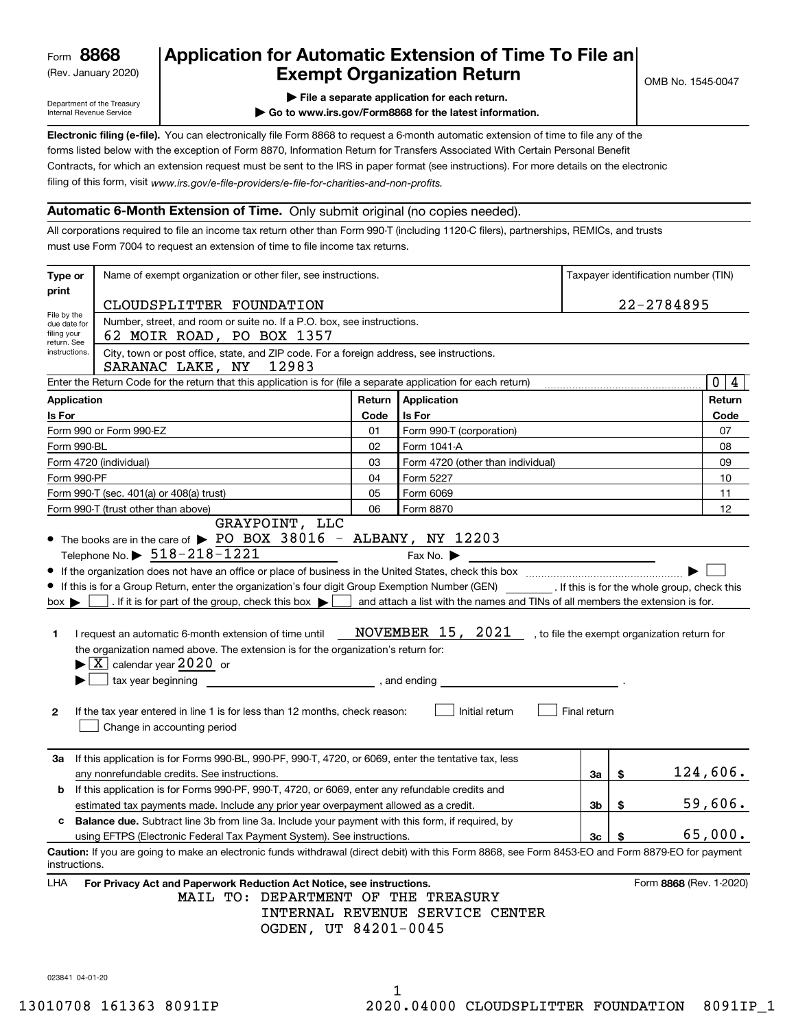(Rev. January 2020)

### **Application for Automatic Extension of Time To File an Exempt Organization Return**

Department of the Treasury Internal Revenue Service

**| File a separate application for each return.**

**| Go to www.irs.gov/Form8868 for the latest information.**

**Electronic filing (e-file).**  You can electronically file Form 8868 to request a 6-month automatic extension of time to file any of the filing of this form, visit www.irs.gov/e-file-providers/e-file-for-charities-and-non-profits. forms listed below with the exception of Form 8870, Information Return for Transfers Associated With Certain Personal Benefit Contracts, for which an extension request must be sent to the IRS in paper format (see instructions). For more details on the electronic

### **Automatic 6-Month Extension of Time.** Only submit original (no copies needed).

All corporations required to file an income tax return other than Form 990-T (including 1120-C filers), partnerships, REMICs, and trusts must use Form 7004 to request an extension of time to file income tax returns.

| Type or                                                                                                                                               | Name of exempt organization or other filer, see instructions.                                                                                                                                                                                                                                                                                                                                                                                                                                                                                                              |        |                                                                                                                                       |                                          | Taxpayer identification number (TIN)         |                 |
|-------------------------------------------------------------------------------------------------------------------------------------------------------|----------------------------------------------------------------------------------------------------------------------------------------------------------------------------------------------------------------------------------------------------------------------------------------------------------------------------------------------------------------------------------------------------------------------------------------------------------------------------------------------------------------------------------------------------------------------------|--------|---------------------------------------------------------------------------------------------------------------------------------------|------------------------------------------|----------------------------------------------|-----------------|
| print                                                                                                                                                 | CLOUDSPLITTER FOUNDATION                                                                                                                                                                                                                                                                                                                                                                                                                                                                                                                                                   |        |                                                                                                                                       |                                          | 22-2784895                                   |                 |
| File by the<br>due date for<br>filing your                                                                                                            | Number, street, and room or suite no. If a P.O. box, see instructions.<br>62 MOIR ROAD, PO BOX 1357                                                                                                                                                                                                                                                                                                                                                                                                                                                                        |        |                                                                                                                                       |                                          |                                              |                 |
| return. See<br>City, town or post office, state, and ZIP code. For a foreign address, see instructions.<br>instructions.<br>12983<br>SARANAC LAKE, NY |                                                                                                                                                                                                                                                                                                                                                                                                                                                                                                                                                                            |        |                                                                                                                                       |                                          |                                              |                 |
|                                                                                                                                                       | Enter the Return Code for the return that this application is for (file a separate application for each return)                                                                                                                                                                                                                                                                                                                                                                                                                                                            |        |                                                                                                                                       |                                          |                                              | 0 4             |
| <b>Application</b>                                                                                                                                    |                                                                                                                                                                                                                                                                                                                                                                                                                                                                                                                                                                            | Return | Application                                                                                                                           |                                          |                                              | Return          |
| Is For                                                                                                                                                |                                                                                                                                                                                                                                                                                                                                                                                                                                                                                                                                                                            | Code   | Is For                                                                                                                                |                                          |                                              | Code            |
|                                                                                                                                                       | Form 990 or Form 990-EZ                                                                                                                                                                                                                                                                                                                                                                                                                                                                                                                                                    | 01     | Form 990-T (corporation)                                                                                                              |                                          |                                              | 07              |
| Form 990-BL                                                                                                                                           |                                                                                                                                                                                                                                                                                                                                                                                                                                                                                                                                                                            | 02     | Form 1041-A                                                                                                                           |                                          |                                              | 08              |
|                                                                                                                                                       | Form 4720 (individual)                                                                                                                                                                                                                                                                                                                                                                                                                                                                                                                                                     | 03     | Form 4720 (other than individual)                                                                                                     |                                          |                                              | 09              |
| Form 990-PF                                                                                                                                           |                                                                                                                                                                                                                                                                                                                                                                                                                                                                                                                                                                            | 04     | Form 5227                                                                                                                             |                                          |                                              | 10              |
|                                                                                                                                                       | Form 990-T (sec. 401(a) or 408(a) trust)                                                                                                                                                                                                                                                                                                                                                                                                                                                                                                                                   | 05     | Form 6069                                                                                                                             |                                          |                                              | 11              |
|                                                                                                                                                       | Form 990-T (trust other than above)                                                                                                                                                                                                                                                                                                                                                                                                                                                                                                                                        | 06     | Form 8870                                                                                                                             |                                          |                                              | 12              |
| $box \blacktriangleright$<br>1.<br>2                                                                                                                  | If this is for a Group Return, enter the organization's four digit Group Exemption Number (GEN) [If this is for the whole group, check this<br>. If it is for part of the group, check this box $\blacktriangleright$<br>I request an automatic 6-month extension of time until<br>the organization named above. The extension is for the organization's return for:<br>$\blacktriangleright$ $\boxed{\text{X}}$ calendar year 2020 or<br>tax year beginning<br>If the tax year entered in line 1 is for less than 12 months, check reason:<br>Change in accounting period |        | and attach a list with the names and TINs of all members the extension is for.<br>NOVEMBER 15, 2021<br>, and ending<br>Initial return | Final return                             | , to file the exempt organization return for |                 |
| За                                                                                                                                                    | If this application is for Forms 990-BL, 990-PF, 990-T, 4720, or 6069, enter the tentative tax, less<br>any nonrefundable credits. See instructions.                                                                                                                                                                                                                                                                                                                                                                                                                       |        |                                                                                                                                       | За                                       | \$                                           | <u>124,606.</u> |
| b                                                                                                                                                     | If this application is for Forms 990-PF, 990-T, 4720, or 6069, enter any refundable credits and<br>estimated tax payments made. Include any prior year overpayment allowed as a credit.                                                                                                                                                                                                                                                                                                                                                                                    |        |                                                                                                                                       | Зb                                       | \$                                           | 59,606.         |
|                                                                                                                                                       | <b>Balance due.</b> Subtract line 3b from line 3a. Include your payment with this form, if required, by<br>using EFTPS (Electronic Federal Tax Payment System). See instructions.                                                                                                                                                                                                                                                                                                                                                                                          |        |                                                                                                                                       | $\frac{\mathsf{3c} \cdot \mathsf{5}}{2}$ |                                              | 65,000.         |
| instructions.                                                                                                                                         | Caution: If you are going to make an electronic funds withdrawal (direct debit) with this Form 8868, see Form 8453-EO and Form 8879-EO for payment                                                                                                                                                                                                                                                                                                                                                                                                                         |        |                                                                                                                                       |                                          |                                              |                 |
| LHA                                                                                                                                                   | For Privacy Act and Paperwork Reduction Act Notice, see instructions.<br>MAIL TO: DEPARTMENT OF THE TREASURY<br>OGDEN, UT 84201-0045                                                                                                                                                                                                                                                                                                                                                                                                                                       |        | INTERNAL REVENUE SERVICE CENTER                                                                                                       |                                          | Form 8868 (Rev. 1-2020)                      |                 |

023841 04-01-20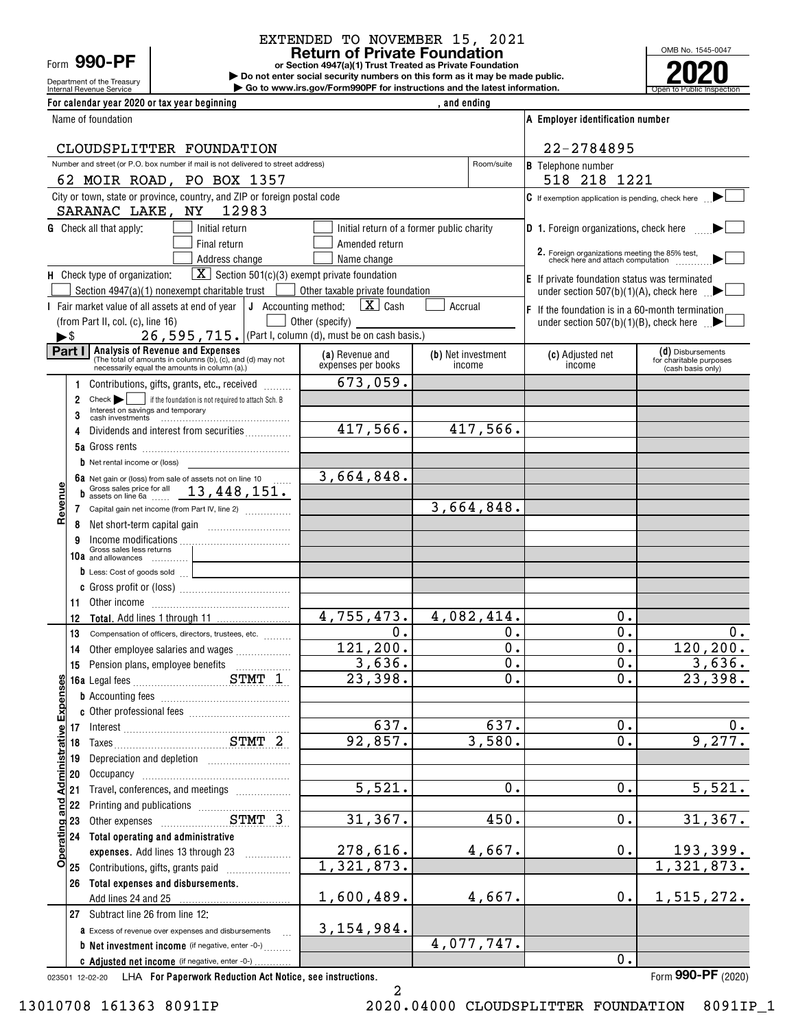Department of the Treasury Form **990-PF**

## EXTENDED TO NOVEMBER 15, 2021

**or Section 4947(a)(1) Trust Treated as Private Foundation Return of Private Foundation**

Internal Revenue Service **Number 19th Construction Constructions and the latest information.** The Service of Public Inspection **| Do not enter social security numbers on this form as it may be made public. | Go to www.irs.gov/Form990PF for instructions and the latest information.**



| For calendar year 2020 or tax year beginning                                                                                                           |                                                       | , and ending                              |                                                                                                                 |                                                                   |
|--------------------------------------------------------------------------------------------------------------------------------------------------------|-------------------------------------------------------|-------------------------------------------|-----------------------------------------------------------------------------------------------------------------|-------------------------------------------------------------------|
| Name of foundation                                                                                                                                     |                                                       |                                           | A Employer identification number                                                                                |                                                                   |
| CLOUDSPLITTER FOUNDATION                                                                                                                               |                                                       |                                           | 22-2784895                                                                                                      |                                                                   |
| Number and street (or P.O. box number if mail is not delivered to street address)                                                                      |                                                       | Room/suite                                | <b>B</b> Telephone number                                                                                       |                                                                   |
| 62 MOIR ROAD, PO BOX 1357<br>City or town, state or province, country, and ZIP or foreign postal code                                                  |                                                       |                                           | 518 218 1221                                                                                                    |                                                                   |
| SARANAC LAKE, NY<br>12983                                                                                                                              |                                                       |                                           | C If exemption application is pending, check here                                                               |                                                                   |
| <b>G</b> Check all that apply:<br>Initial return                                                                                                       |                                                       | Initial return of a former public charity | D 1. Foreign organizations, check here                                                                          |                                                                   |
| Final return                                                                                                                                           | Amended return                                        |                                           |                                                                                                                 |                                                                   |
| Address change                                                                                                                                         | Name change                                           |                                           | 2. Foreign organizations meeting the 85% test,<br>check here and attach computation                             |                                                                   |
| $\boxed{\mathbf{X}}$ Section 501(c)(3) exempt private foundation<br>H Check type of organization:                                                      |                                                       |                                           | $E$ If private foundation status was terminated                                                                 |                                                                   |
| Section 4947(a)(1) nonexempt charitable trust<br>I Fair market value of all assets at end of year $\vert$ J Accounting method:                         | Other taxable private foundation<br>$\mathbf{X}$ Cash | Accrual                                   | under section 507(b)(1)(A), check here $\Box$                                                                   |                                                                   |
| (from Part II, col. (c), line 16)                                                                                                                      | Other (specify)                                       |                                           | $ F $ If the foundation is in a 60-month termination<br>under section $507(b)(1)(B)$ , check here $\rightarrow$ |                                                                   |
| 26, 595, 715. (Part I, column (d), must be on cash basis.)<br>►\$                                                                                      |                                                       |                                           |                                                                                                                 |                                                                   |
| Part   Analysis of Revenue and Expenses<br>(The total of amounts in columns (b), (c), and (d) may not<br>necessarily equal the amounts in column (a).) | (a) Revenue and<br>expenses per books                 | (b) Net investment<br>income              | (c) Adjusted net<br>income                                                                                      | (d) Disbursements<br>for charitable purposes<br>(cash basis only) |
| Contributions, gifts, grants, etc., received                                                                                                           | 673,059.                                              |                                           |                                                                                                                 |                                                                   |
| $Check \rightarrow$<br>if the foundation is not required to attach Sch. B<br>2<br>Interest on savings and temporary                                    |                                                       |                                           |                                                                                                                 |                                                                   |
| 3                                                                                                                                                      | 417,566.                                              | 417,566.                                  |                                                                                                                 |                                                                   |
| Dividends and interest from securities<br>4                                                                                                            |                                                       |                                           |                                                                                                                 |                                                                   |
| $\mathbf b$ Net rental income or (loss)                                                                                                                |                                                       |                                           |                                                                                                                 |                                                                   |
| 6a Net gain or (loss) from sale of assets not on line 10                                                                                               | 3,664,848.                                            |                                           |                                                                                                                 |                                                                   |
| Gross sales price for all 13, 448, 151.<br>b                                                                                                           |                                                       |                                           |                                                                                                                 |                                                                   |
| Revenue<br>7 Capital gain net income (from Part IV, line 2)                                                                                            |                                                       | 3,664,848.                                |                                                                                                                 |                                                                   |
| 8                                                                                                                                                      |                                                       |                                           |                                                                                                                 |                                                                   |
| 9<br>Gross sales less returns                                                                                                                          |                                                       |                                           |                                                                                                                 |                                                                   |
| 10a and allowances<br>D Less: Cost of goods sold                                                                                                       |                                                       |                                           |                                                                                                                 |                                                                   |
|                                                                                                                                                        |                                                       |                                           |                                                                                                                 |                                                                   |
| 11.<br>Other income income in the contract of the set of the set of the set of the set of the set of the set of the s                                  |                                                       |                                           |                                                                                                                 |                                                                   |
| 12                                                                                                                                                     | 4,755,473.                                            | 4,082,414.                                | 0.                                                                                                              |                                                                   |
| 13<br>Compensation of officers, directors, trustees, etc.                                                                                              | $\mathbf 0$ .                                         | 0.                                        | 0.                                                                                                              | 0.                                                                |
| Other employee salaries and wages<br>14                                                                                                                | 121, 200.<br>3,636.                                   | $\overline{0}$ .<br>$\overline{0}$ .      | $\mathbf 0$ .<br>$\mathbf 0$ .                                                                                  | 120, 200.                                                         |
| 15                                                                                                                                                     | 23,398.                                               | $\overline{\mathbf{0}}$ .                 | $\overline{\overline{\mathbf{0}}\cdot}$                                                                         | 3,636.<br>23,398.                                                 |
|                                                                                                                                                        |                                                       |                                           |                                                                                                                 |                                                                   |
|                                                                                                                                                        |                                                       |                                           |                                                                                                                 |                                                                   |
| 17                                                                                                                                                     | 637.                                                  | 637.                                      | 0.                                                                                                              | $0$ .                                                             |
| 18                                                                                                                                                     | 92,857.                                               | 3,580.                                    | $\overline{0}$ .                                                                                                | 9,277.                                                            |
| 19                                                                                                                                                     |                                                       |                                           |                                                                                                                 |                                                                   |
| 20<br>Occupancy                                                                                                                                        | $\overline{5,521}$ .                                  | 0.                                        | 0.                                                                                                              | 5,521.                                                            |
| Travel, conferences, and meetings<br>21<br>22                                                                                                          |                                                       |                                           |                                                                                                                 |                                                                   |
| 23                                                                                                                                                     | 31,367.                                               | 450.                                      | $0$ .                                                                                                           | 31,367.                                                           |
| <b>Operating and Administrative Expenses</b><br>Total operating and administrative<br>24                                                               |                                                       |                                           |                                                                                                                 |                                                                   |
| expenses. Add lines 13 through 23                                                                                                                      | 278,616.                                              | 4,667.                                    | 0.                                                                                                              | <u> 193,399.</u>                                                  |
| Contributions, gifts, grants paid<br>25                                                                                                                | $\overline{1,321,873}$ .                              |                                           |                                                                                                                 | 1,321,873.                                                        |
| Total expenses and disbursements.<br>26                                                                                                                |                                                       |                                           | 0.                                                                                                              |                                                                   |
| Add lines 24 and 25<br>27 Subtract line 26 from line 12:                                                                                               | 1,600,489.                                            | 4,667.                                    |                                                                                                                 | 1,515,272.                                                        |
| <b>a</b> Excess of revenue over expenses and disbursements                                                                                             | 3, 154, 984.                                          |                                           |                                                                                                                 |                                                                   |
| <b>b</b> Net investment income (if negative, enter -0-)                                                                                                |                                                       | 4,077,747.                                |                                                                                                                 |                                                                   |
| C Adjusted net income (if negative, enter -0-)                                                                                                         |                                                       |                                           | 0.                                                                                                              |                                                                   |

023501 12-02-20 **For Paperwork Reduction Act Notice, see instructions.** LHA Form (2020)

Form 990-PF (2020)

2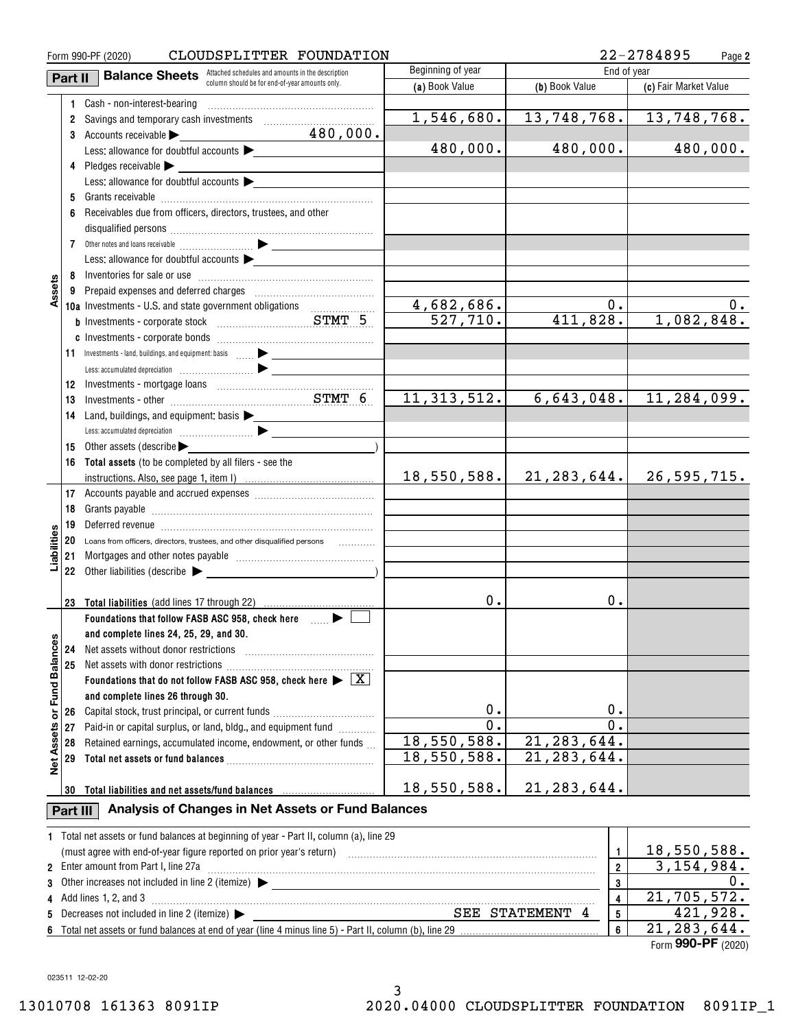| CLOUDSPLITTER FOUNDATION<br>Form 990-PF (2020) |                                                                |                                                                                                               |                   |                             | 22-2784895<br>Page 2  |  |  |  |
|------------------------------------------------|----------------------------------------------------------------|---------------------------------------------------------------------------------------------------------------|-------------------|-----------------------------|-----------------------|--|--|--|
|                                                | Part II                                                        | <b>Balance Sheets</b> Attached schedules and amounts in the description                                       | Beginning of year |                             | End of year           |  |  |  |
|                                                |                                                                | column should be for end-of-year amounts only.                                                                | (a) Book Value    | (b) Book Value              | (c) Fair Market Value |  |  |  |
|                                                |                                                                | 1 Cash - non-interest-bearing                                                                                 |                   |                             |                       |  |  |  |
|                                                | 2                                                              | Savings and temporary cash investments [111][11] [11] Savings and temporary cash investments                  | 1,546,680.        | 13,748,768.                 | 13,748,768.           |  |  |  |
|                                                |                                                                | 480,000.<br>3 Accounts receivable                                                                             |                   |                             |                       |  |  |  |
|                                                |                                                                | Less: allowance for doubtful accounts                                                                         | 480,000.          | 480,000.                    | 480,000.              |  |  |  |
|                                                |                                                                | 4 Pledges receivable >                                                                                        |                   |                             |                       |  |  |  |
|                                                |                                                                | Less: allowance for doubtful accounts $\blacktriangleright$                                                   |                   |                             |                       |  |  |  |
|                                                |                                                                |                                                                                                               |                   |                             |                       |  |  |  |
|                                                |                                                                | Receivables due from officers, directors, trustees, and other                                                 |                   |                             |                       |  |  |  |
|                                                |                                                                |                                                                                                               |                   |                             |                       |  |  |  |
|                                                |                                                                |                                                                                                               |                   |                             |                       |  |  |  |
|                                                |                                                                | Less: allowance for doubtful accounts                                                                         |                   |                             |                       |  |  |  |
|                                                |                                                                |                                                                                                               |                   |                             |                       |  |  |  |
| Assets                                         |                                                                |                                                                                                               |                   |                             |                       |  |  |  |
|                                                |                                                                | 10a Investments - U.S. and state government obligations                                                       | 4,682,686.        | 0.                          |                       |  |  |  |
|                                                |                                                                |                                                                                                               | 527,710.          | 411,828.                    | 1,082,848.            |  |  |  |
|                                                |                                                                |                                                                                                               |                   |                             |                       |  |  |  |
|                                                |                                                                | 11 Investments - land, buildings, and equipment: basis  > _______________                                     |                   |                             |                       |  |  |  |
|                                                |                                                                |                                                                                                               |                   |                             |                       |  |  |  |
|                                                | 12                                                             |                                                                                                               |                   |                             |                       |  |  |  |
|                                                | 13                                                             | Investments - other manufactured and STMT 6                                                                   | 11, 313, 512.     | 6,643,048.                  | 11,284,099.           |  |  |  |
|                                                | 14                                                             | Land, buildings, and equipment: basis >                                                                       |                   |                             |                       |  |  |  |
|                                                |                                                                |                                                                                                               |                   |                             |                       |  |  |  |
|                                                | 15                                                             | Other assets (describe                                                                                        |                   |                             |                       |  |  |  |
|                                                | 16                                                             | Total assets (to be completed by all filers - see the                                                         |                   |                             |                       |  |  |  |
|                                                |                                                                |                                                                                                               | 18,550,588.       | 21, 283, 644.               | 26,595,715.           |  |  |  |
|                                                |                                                                |                                                                                                               |                   |                             |                       |  |  |  |
|                                                | 18                                                             |                                                                                                               |                   |                             |                       |  |  |  |
|                                                | 19                                                             | Deferred revenue imminimum contracts and the contracts and the contracts of the contracts of the contracts of |                   |                             |                       |  |  |  |
| iabiliti                                       | 20                                                             | Loans from officers, directors, trustees, and other disqualified persons                                      |                   |                             |                       |  |  |  |
|                                                | 21                                                             |                                                                                                               |                   |                             |                       |  |  |  |
|                                                |                                                                | 22 Other liabilities (describe $\blacktriangleright$                                                          |                   |                             |                       |  |  |  |
|                                                |                                                                | 23 Total liabilities (add lines 17 through 22)                                                                | 0.                | 0.                          |                       |  |  |  |
|                                                |                                                                | Foundations that follow FASB ASC 958, check here many beat                                                    |                   |                             |                       |  |  |  |
|                                                |                                                                | and complete lines 24, 25, 29, and 30.                                                                        |                   |                             |                       |  |  |  |
|                                                | 24                                                             | Net assets without donor restrictions                                                                         |                   |                             |                       |  |  |  |
|                                                | 25                                                             |                                                                                                               |                   |                             |                       |  |  |  |
| <b>Fund Balances</b>                           |                                                                | Foundations that do not follow FASB ASC 958, check here $\blacktriangleright \boxed{\text{X}}$                |                   |                             |                       |  |  |  |
|                                                |                                                                | and complete lines 26 through 30.                                                                             |                   |                             |                       |  |  |  |
| ŏ                                              | 26                                                             | Capital stock, trust principal, or current funds                                                              | 0.                | 0.                          |                       |  |  |  |
|                                                | 27                                                             | Paid-in or capital surplus, or land, bldg., and equipment fund                                                | $\overline{0}$ .  | $0$ .                       |                       |  |  |  |
| <b>Net Assets</b>                              | 28                                                             | Retained earnings, accumulated income, endowment, or other funds                                              | 18,550,588.       | 21, 283, 644.               |                       |  |  |  |
|                                                | 29                                                             |                                                                                                               | 18,550,588.       | $\overline{21}$ , 283, 644. |                       |  |  |  |
|                                                |                                                                |                                                                                                               |                   |                             |                       |  |  |  |
|                                                |                                                                | 30 Total liabilities and net assets/fund balances                                                             | 18,550,588.       | 21, 283, 644.               |                       |  |  |  |
|                                                | Analysis of Changes in Net Assets or Fund Balances<br>Part III |                                                                                                               |                   |                             |                       |  |  |  |
|                                                |                                                                |                                                                                                               |                   |                             |                       |  |  |  |
|                                                |                                                                | 1 Total net assets or fund balances at beginning of year - Part II, column (a), line 29                       |                   |                             |                       |  |  |  |
|                                                |                                                                |                                                                                                               |                   | $\mathbf{1}$                | 18,550,588.           |  |  |  |
|                                                |                                                                | 2 Enter amount from Part I, line 27a                                                                          |                   | $\overline{2}$              | 3,154,984.            |  |  |  |
| 3                                              |                                                                |                                                                                                               |                   | 3                           | 0.                    |  |  |  |
| 4                                              |                                                                | Add lines 1, 2, and 3                                                                                         |                   | 4                           | 21,705,572.           |  |  |  |
| 5                                              |                                                                | Decreases not included in line 2 (itemize) $\blacktriangleright$                                              |                   | SEE STATEMENT 4<br>5        | 421,928.              |  |  |  |
|                                                |                                                                |                                                                                                               |                   | 6                           | 21, 283, 644.         |  |  |  |

Form (2020) **990-PF** 21,283,644.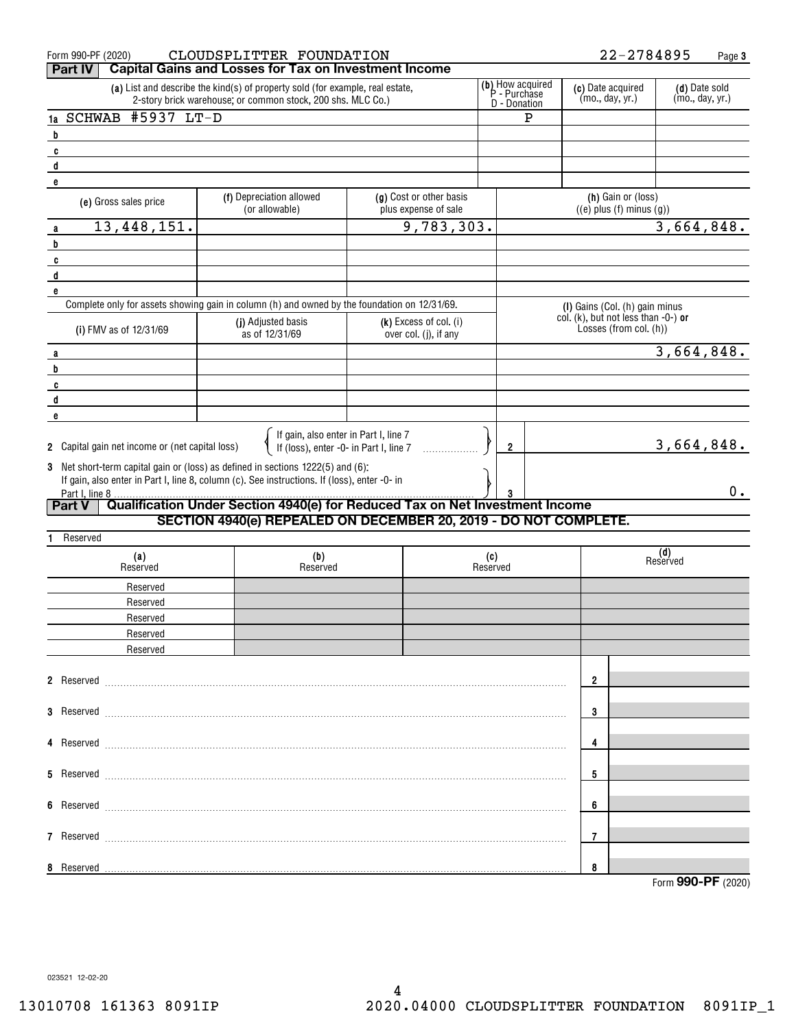| Form 990-PF (2020)<br><b>Part IV</b>                                                                                                                                                                                                                                  | CLOUDSPLITTER FOUNDATION                                                                     |                                                 |                             | 22-2784895                                                                     | Page 3                           |
|-----------------------------------------------------------------------------------------------------------------------------------------------------------------------------------------------------------------------------------------------------------------------|----------------------------------------------------------------------------------------------|-------------------------------------------------|-----------------------------|--------------------------------------------------------------------------------|----------------------------------|
| <b>Capital Gains and Losses for Tax on Investment Income</b><br>(b) How acquired<br>(a) List and describe the kind(s) of property sold (for example, real estate,<br>(c) Date acquired<br>P - Purchase<br>2-story brick warehouse; or common stock, 200 shs. MLC Co.) |                                                                                              |                                                 |                             |                                                                                | (d) Date sold<br>(mo., day, yr.) |
| #5937 LT-D<br>1a SCHWAB                                                                                                                                                                                                                                               |                                                                                              |                                                 | D - Donation<br>$\mathbf P$ | (mo., day, yr.)                                                                |                                  |
| b                                                                                                                                                                                                                                                                     |                                                                                              |                                                 |                             |                                                                                |                                  |
| C                                                                                                                                                                                                                                                                     |                                                                                              |                                                 |                             |                                                                                |                                  |
| d                                                                                                                                                                                                                                                                     |                                                                                              |                                                 |                             |                                                                                |                                  |
| e                                                                                                                                                                                                                                                                     |                                                                                              |                                                 |                             |                                                                                |                                  |
| (e) Gross sales price                                                                                                                                                                                                                                                 | (f) Depreciation allowed<br>(or allowable)                                                   | (g) Cost or other basis<br>plus expense of sale |                             | (h) Gain or (loss)<br>$((e)$ plus $(f)$ minus $(g)$ )                          |                                  |
| 13, 448, 151.<br>a                                                                                                                                                                                                                                                    |                                                                                              | 9,783,303.                                      |                             |                                                                                | 3,664,848.                       |
| b                                                                                                                                                                                                                                                                     |                                                                                              |                                                 |                             |                                                                                |                                  |
| C                                                                                                                                                                                                                                                                     |                                                                                              |                                                 |                             |                                                                                |                                  |
| d                                                                                                                                                                                                                                                                     |                                                                                              |                                                 |                             |                                                                                |                                  |
| e                                                                                                                                                                                                                                                                     | Complete only for assets showing gain in column (h) and owned by the foundation on 12/31/69. |                                                 |                             |                                                                                |                                  |
|                                                                                                                                                                                                                                                                       | (j) Adjusted basis                                                                           | (k) Excess of col. (i)                          |                             | (I) Gains (Col. (h) gain minus<br>col. $(k)$ , but not less than $-0$ - $)$ or |                                  |
| (i) FMV as of 12/31/69                                                                                                                                                                                                                                                | as of 12/31/69                                                                               | over col. (i), if any                           |                             | Losses (from col. (h))                                                         |                                  |
| a                                                                                                                                                                                                                                                                     |                                                                                              |                                                 |                             |                                                                                | 3,664,848.                       |
| b                                                                                                                                                                                                                                                                     |                                                                                              |                                                 |                             |                                                                                |                                  |
| c                                                                                                                                                                                                                                                                     |                                                                                              |                                                 |                             |                                                                                |                                  |
| d                                                                                                                                                                                                                                                                     |                                                                                              |                                                 |                             |                                                                                |                                  |
| e                                                                                                                                                                                                                                                                     |                                                                                              |                                                 |                             |                                                                                |                                  |
|                                                                                                                                                                                                                                                                       | If gain, also enter in Part I, line 7                                                        |                                                 |                             |                                                                                |                                  |
| 2 Capital gain net income or (net capital loss)                                                                                                                                                                                                                       | If (loss), enter -0- in Part I, line 7                                                       |                                                 | 2                           |                                                                                | 3,664,848.                       |
| 3 Net short-term capital gain or (loss) as defined in sections 1222(5) and (6):                                                                                                                                                                                       |                                                                                              |                                                 |                             |                                                                                |                                  |
|                                                                                                                                                                                                                                                                       | If gain, also enter in Part I, line 8, column (c). See instructions. If (loss), enter -0- in |                                                 |                             |                                                                                | $0$ .                            |
| Part I, line 8<br><b>Part V</b>                                                                                                                                                                                                                                       | Qualification Under Section 4940(e) for Reduced Tax on Net Investment Income                 |                                                 |                             |                                                                                |                                  |
|                                                                                                                                                                                                                                                                       | SECTION 4940(e) REPEALED ON DECEMBER 20, 2019 - DO NOT COMPLETE.                             |                                                 |                             |                                                                                |                                  |
| Reserved                                                                                                                                                                                                                                                              |                                                                                              |                                                 |                             |                                                                                |                                  |
| (a)                                                                                                                                                                                                                                                                   | (b)                                                                                          |                                                 | (c)                         |                                                                                | (d)                              |
| Reserved                                                                                                                                                                                                                                                              | Reserved                                                                                     |                                                 | Reserved                    |                                                                                | Reserved                         |
| Reserved                                                                                                                                                                                                                                                              |                                                                                              |                                                 |                             |                                                                                |                                  |
| Reserved                                                                                                                                                                                                                                                              |                                                                                              |                                                 |                             |                                                                                |                                  |
| Reserved                                                                                                                                                                                                                                                              |                                                                                              |                                                 |                             |                                                                                |                                  |
| Reserved                                                                                                                                                                                                                                                              |                                                                                              |                                                 |                             |                                                                                |                                  |
| Reserved                                                                                                                                                                                                                                                              |                                                                                              |                                                 |                             |                                                                                |                                  |
|                                                                                                                                                                                                                                                                       |                                                                                              |                                                 |                             |                                                                                |                                  |
|                                                                                                                                                                                                                                                                       |                                                                                              |                                                 |                             | $\mathbf 2$                                                                    |                                  |
|                                                                                                                                                                                                                                                                       |                                                                                              |                                                 |                             |                                                                                |                                  |
|                                                                                                                                                                                                                                                                       |                                                                                              |                                                 |                             | 3                                                                              |                                  |
|                                                                                                                                                                                                                                                                       |                                                                                              |                                                 |                             | 4                                                                              |                                  |
|                                                                                                                                                                                                                                                                       |                                                                                              |                                                 |                             |                                                                                |                                  |
|                                                                                                                                                                                                                                                                       |                                                                                              |                                                 |                             | 5                                                                              |                                  |
|                                                                                                                                                                                                                                                                       |                                                                                              |                                                 |                             |                                                                                |                                  |
|                                                                                                                                                                                                                                                                       |                                                                                              |                                                 |                             | 6                                                                              |                                  |
|                                                                                                                                                                                                                                                                       |                                                                                              |                                                 |                             |                                                                                |                                  |
|                                                                                                                                                                                                                                                                       |                                                                                              |                                                 |                             | 7                                                                              |                                  |
| Reserved<br>8                                                                                                                                                                                                                                                         |                                                                                              |                                                 |                             | 8                                                                              |                                  |
|                                                                                                                                                                                                                                                                       |                                                                                              |                                                 |                             |                                                                                | Form 990-PF (2020)               |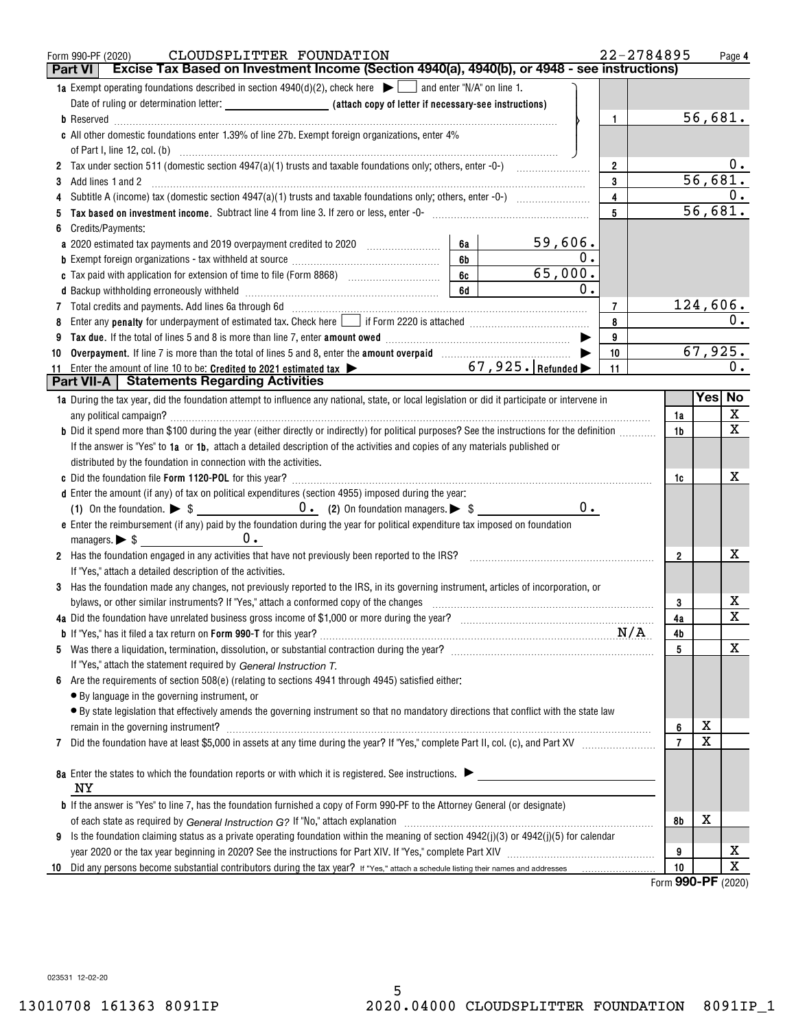| CLOUDSPLITTER FOUNDATION<br>Form 990-PF (2020)<br>Excise Tax Based on Investment Income (Section 4940(a), 4940(b), or 4948 - see instructions)<br><b>Part VI</b>                                                                   |               |                | 22-2784895     |          | Page 4  |
|------------------------------------------------------------------------------------------------------------------------------------------------------------------------------------------------------------------------------------|---------------|----------------|----------------|----------|---------|
| 1a Exempt operating foundations described in section $4940(d)(2)$ , check here $\blacktriangleright$ and enter "N/A" on line 1.                                                                                                    |               |                |                |          |         |
| Date of ruling or determination letter: <b>All entity of the Case of Letter if necessary-see instructions</b> )                                                                                                                    |               |                |                |          |         |
|                                                                                                                                                                                                                                    |               | $\mathbf{1}$   |                | 56,681.  |         |
| c All other domestic foundations enter 1.39% of line 27b. Exempt foreign organizations, enter 4%                                                                                                                                   |               |                |                |          |         |
|                                                                                                                                                                                                                                    |               | $\overline{2}$ |                |          | υ.      |
| Add lines 1 and 2<br>3                                                                                                                                                                                                             |               | 3              |                | 56,681.  |         |
| 4                                                                                                                                                                                                                                  |               | $\overline{4}$ |                |          | 0.      |
|                                                                                                                                                                                                                                    |               | 5              |                | 56,681.  |         |
| Credits/Payments:<br>6                                                                                                                                                                                                             |               |                |                |          |         |
| 59,606.<br>a 2020 estimated tax payments and 2019 overpayment credited to 2020 [11, 12, 12, 13, 13, 13, 13, 13, 13, 13, 1<br>6а                                                                                                    |               |                |                |          |         |
| 6b                                                                                                                                                                                                                                 | 0.            |                |                |          |         |
| 65,000.<br>6с                                                                                                                                                                                                                      |               |                |                |          |         |
| 6d                                                                                                                                                                                                                                 | $\mathbf 0$ . |                |                |          |         |
|                                                                                                                                                                                                                                    |               | $\overline{7}$ |                | 124,606. |         |
| Enter any penalty for underpayment of estimated tax. Check here if Form 2220 is attached [1001] [1001] [1001] [1001] [1001] [1001] [1001] [1001] [1001] [1001] [1001] [1001] [1001] [1001] [1001] [1001] [1001] [1001] [1001]<br>8 |               | 8              |                |          | 0.      |
|                                                                                                                                                                                                                                    |               | 9              |                |          |         |
| Overpayment. If line 7 is more than the total of lines 5 and 8, enter the amount overpaid [11,111] (11,111) (11,111)<br>10                                                                                                         |               | 10             |                | 67,925.  |         |
| Enter the amount of line 10 to be: Credited to 2021 estimated tax $\triangleright$ 67, 925. Refunded $\triangleright$<br>11<br><b>Part VII-A</b>   Statements Regarding Activities                                                 |               | 11             |                |          | 0.      |
|                                                                                                                                                                                                                                    |               |                |                |          | Yes  No |
| 1a During the tax year, did the foundation attempt to influence any national, state, or local legislation or did it participate or intervene in                                                                                    |               |                | 1a             |          | X       |
| b Did it spend more than \$100 during the year (either directly or indirectly) for political purposes? See the instructions for the definition                                                                                     |               |                | 1b             |          | х       |
| If the answer is "Yes" to 1a or 1b, attach a detailed description of the activities and copies of any materials published or                                                                                                       |               |                |                |          |         |
| distributed by the foundation in connection with the activities.                                                                                                                                                                   |               |                |                |          |         |
|                                                                                                                                                                                                                                    |               |                | 1c             |          | х       |
| d Enter the amount (if any) of tax on political expenditures (section 4955) imposed during the year:                                                                                                                               |               |                |                |          |         |
|                                                                                                                                                                                                                                    | $0$ .         |                |                |          |         |
| e Enter the reimbursement (if any) paid by the foundation during the year for political expenditure tax imposed on foundation                                                                                                      |               |                |                |          |         |
| managers. $\triangleright$ \$ 0.                                                                                                                                                                                                   |               |                |                |          |         |
| 2 Has the foundation engaged in any activities that have not previously been reported to the IRS?                                                                                                                                  |               |                | $\overline{2}$ |          | х       |
| If "Yes," attach a detailed description of the activities.                                                                                                                                                                         |               |                |                |          |         |
| 3 Has the foundation made any changes, not previously reported to the IRS, in its governing instrument, articles of incorporation, or                                                                                              |               |                |                |          |         |
| bylaws, or other similar instruments? If "Yes," attach a conformed copy of the changes                                                                                                                                             |               |                | 3              |          | х       |
| 4a Did the foundation have unrelated business gross income of \$1,000 or more during the year?<br>1997 The series with the series with the series with the series with the series with the series with the seri                    |               |                | 4a             |          | X       |
|                                                                                                                                                                                                                                    |               |                | N/A<br>4b      |          |         |
|                                                                                                                                                                                                                                    |               |                | 5              |          | X       |
| If "Yes," attach the statement required by General Instruction T.                                                                                                                                                                  |               |                |                |          |         |
| Are the requirements of section 508(e) (relating to sections 4941 through 4945) satisfied either:                                                                                                                                  |               |                |                |          |         |
| • By language in the governing instrument, or                                                                                                                                                                                      |               |                |                |          |         |
| • By state legislation that effectively amends the governing instrument so that no mandatory directions that conflict with the state law                                                                                           |               |                |                |          |         |
| remain in the governing instrument? Manual Communication and the contract of the contract of the contract of the contract of the contract of the contract of the contract of the contract of the contract of the contract of t     |               |                | 6              | х<br>Χ   |         |
| 7                                                                                                                                                                                                                                  |               |                | $\overline{7}$ |          |         |
| 8a Enter the states to which the foundation reports or with which it is registered. See instructions.                                                                                                                              |               |                |                |          |         |
| ΝY                                                                                                                                                                                                                                 |               |                |                |          |         |
| <b>b</b> If the answer is "Yes" to line 7, has the foundation furnished a copy of Form 990-PF to the Attorney General (or designate)                                                                                               |               |                | 8b             | х        |         |
| Is the foundation claiming status as a private operating foundation within the meaning of section $4942(j)(3)$ or $4942(j)(5)$ for calendar<br>9                                                                                   |               |                |                |          |         |
|                                                                                                                                                                                                                                    |               |                | 9              |          | х       |
| 10                                                                                                                                                                                                                                 |               |                | 10             |          | X       |
|                                                                                                                                                                                                                                    |               |                |                | 000 DE   |         |

Form (2020) **990-PF**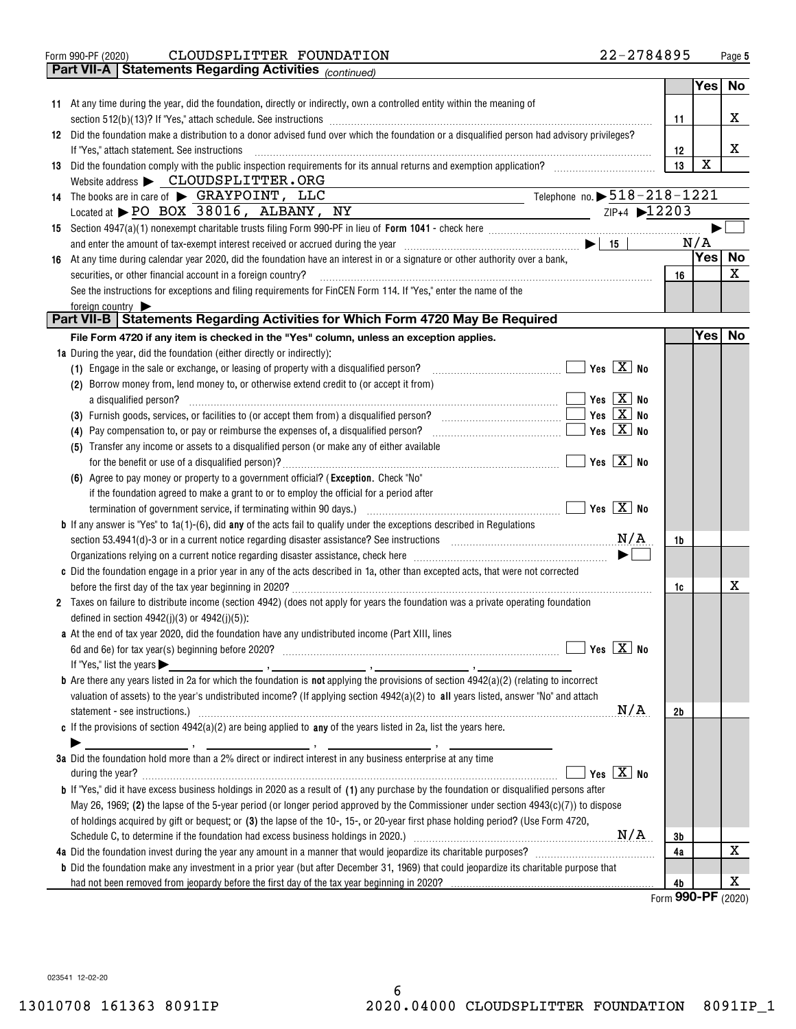$\overline{\phantom{a}}$ 

Form 990-PF (2020)  ${\bf CLOUDSPLITTER\_ FOUNDATION} \hspace{2cm} 22-2784895$  Page CLOUDSPLITTER FOUNDATION 22-2784895

|    | Part VII-A   Statements Regarding Activities (continued)                                                                                                          |                                |                  |             |
|----|-------------------------------------------------------------------------------------------------------------------------------------------------------------------|--------------------------------|------------------|-------------|
|    |                                                                                                                                                                   |                                | Yes              | No          |
|    | 11 At any time during the year, did the foundation, directly or indirectly, own a controlled entity within the meaning of                                         |                                |                  |             |
|    |                                                                                                                                                                   |                                |                  | x           |
|    |                                                                                                                                                                   | 11                             |                  |             |
|    | 12 Did the foundation make a distribution to a donor advised fund over which the foundation or a disqualified person had advisory privileges?                     |                                |                  |             |
|    | If "Yes," attach statement. See instructions                                                                                                                      | 12                             |                  | x           |
| 13 | Did the foundation comply with the public inspection requirements for its annual returns and exemption application?                                               | 13                             | $\mathbf X$      |             |
|    | Website address > CLOUDSPLITTER.ORG                                                                                                                               |                                |                  |             |
|    | Telephone no. $\triangleright$ 518-218-1221<br>14 The books are in care of SRAYPOINT, LLC                                                                         |                                |                  |             |
|    | Located at PO BOX 38016, ALBANY, NY<br>$ZIP+4$ $\blacktriangleright$ 12203<br><u> 1990 - Johann Barbara, martin a</u>                                             |                                |                  |             |
| 15 |                                                                                                                                                                   |                                |                  |             |
|    |                                                                                                                                                                   |                                | N/A              |             |
| 16 | At any time during calendar year 2020, did the foundation have an interest in or a signature or other authority over a bank,                                      |                                | Yes <sub>1</sub> | No          |
|    | securities, or other financial account in a foreign country?                                                                                                      | 16                             |                  | $\mathbf X$ |
|    | See the instructions for exceptions and filing requirements for FinCEN Form 114. If "Yes," enter the name of the                                                  |                                |                  |             |
|    | foreign country                                                                                                                                                   |                                |                  |             |
|    | Part VII-B   Statements Regarding Activities for Which Form 4720 May Be Required                                                                                  |                                |                  |             |
|    | File Form 4720 if any item is checked in the "Yes" column, unless an exception applies.                                                                           |                                | Yes <sub>1</sub> | No          |
|    | <b>1a</b> During the year, did the foundation (either directly or indirectly):                                                                                    |                                |                  |             |
|    | $\blacksquare$ Yes $\boxed{X}$ No<br>(1) Engage in the sale or exchange, or leasing of property with a disqualified person?                                       |                                |                  |             |
|    | (2) Borrow money from, lend money to, or otherwise extend credit to (or accept it from)                                                                           |                                |                  |             |
|    | $Yes \nX \nNo$<br>a disqualified person?                                                                                                                          |                                |                  |             |
|    | Yes $X$ No                                                                                                                                                        |                                |                  |             |
|    | Yes $X$ No                                                                                                                                                        |                                |                  |             |
|    | (4) Pay compensation to, or pay or reimburse the expenses of, a disqualified person?                                                                              |                                |                  |             |
|    | (5) Transfer any income or assets to a disqualified person (or make any of either available                                                                       |                                |                  |             |
|    | $\overline{\mathsf{Yes}}$ $\overline{\mathsf{X}}$ No                                                                                                              |                                |                  |             |
|    | (6) Agree to pay money or property to a government official? (Exception. Check "No"                                                                               |                                |                  |             |
|    | if the foundation agreed to make a grant to or to employ the official for a period after                                                                          |                                |                  |             |
|    | $\boxed{\phantom{1}}$ Yes $\boxed{\text{X}}$ No<br>termination of government service, if terminating within 90 days.) [11, 12, 13, 13, 13, 13, 13, 13, 13, 13, 13 |                                |                  |             |
|    | <b>b</b> If any answer is "Yes" to $1a(1)$ -(6), did <b>any</b> of the acts fail to qualify under the exceptions described in Regulations                         |                                |                  |             |
|    | section 53.4941(d)-3 or in a current notice regarding disaster assistance? See instructions $M/A$                                                                 | 1b                             |                  |             |
|    |                                                                                                                                                                   |                                |                  |             |
|    | c Did the foundation engage in a prior year in any of the acts described in 1a, other than excepted acts, that were not corrected                                 |                                |                  |             |
|    |                                                                                                                                                                   | 1c                             |                  | х           |
|    | 2 Taxes on failure to distribute income (section 4942) (does not apply for years the foundation was a private operating foundation                                |                                |                  |             |
|    | defined in section $4942(j)(3)$ or $4942(j)(5)$ ;                                                                                                                 |                                |                  |             |
|    | a At the end of tax year 2020, did the foundation have any undistributed income (Part XIII, lines                                                                 |                                |                  |             |
|    |                                                                                                                                                                   |                                |                  |             |
|    | If "Yes," list the years $\blacktriangleright$<br><u> 1986 - Jan Barristo, amerikansk politik (* 1908)</u>                                                        |                                |                  |             |
|    | <b>b</b> Are there any years listed in 2a for which the foundation is not applying the provisions of section $4942(a)(2)$ (relating to incorrect                  |                                |                  |             |
|    | valuation of assets) to the year's undistributed income? (If applying section $4942(a)(2)$ to all years listed, answer "No" and attach                            |                                |                  |             |
|    | N/A<br>statement - see instructions.) 2000 minimum contract and the intervention of the statement - see instructions.                                             | 2b                             |                  |             |
|    | c If the provisions of section $4942(a)(2)$ are being applied to any of the years listed in 2a, list the years here.                                              |                                |                  |             |
|    |                                                                                                                                                                   |                                |                  |             |
|    | 3a Did the foundation hold more than a 2% direct or indirect interest in any business enterprise at any time                                                      |                                |                  |             |
|    | Yes $X$ No                                                                                                                                                        |                                |                  |             |
|    | <b>b</b> If "Yes," did it have excess business holdings in 2020 as a result of (1) any purchase by the foundation or disqualified persons after                   |                                |                  |             |
|    | May 26, 1969; (2) the lapse of the 5-year period (or longer period approved by the Commissioner under section $4943(c)(7)$ ) to dispose                           |                                |                  |             |
|    | of holdings acquired by gift or bequest; or (3) the lapse of the 10-, 15-, or 20-year first phase holding period? (Use Form 4720,                                 |                                |                  |             |
|    |                                                                                                                                                                   |                                |                  |             |
|    |                                                                                                                                                                   | 3b                             |                  | х           |
|    |                                                                                                                                                                   | 4a                             |                  |             |
|    | <b>b</b> Did the foundation make any investment in a prior year (but after December 31, 1969) that could jeopardize its charitable purpose that                   |                                |                  | X           |
|    |                                                                                                                                                                   | 4b<br>$\overline{\phantom{0}}$ | --               |             |

Form (2020) **990-PF**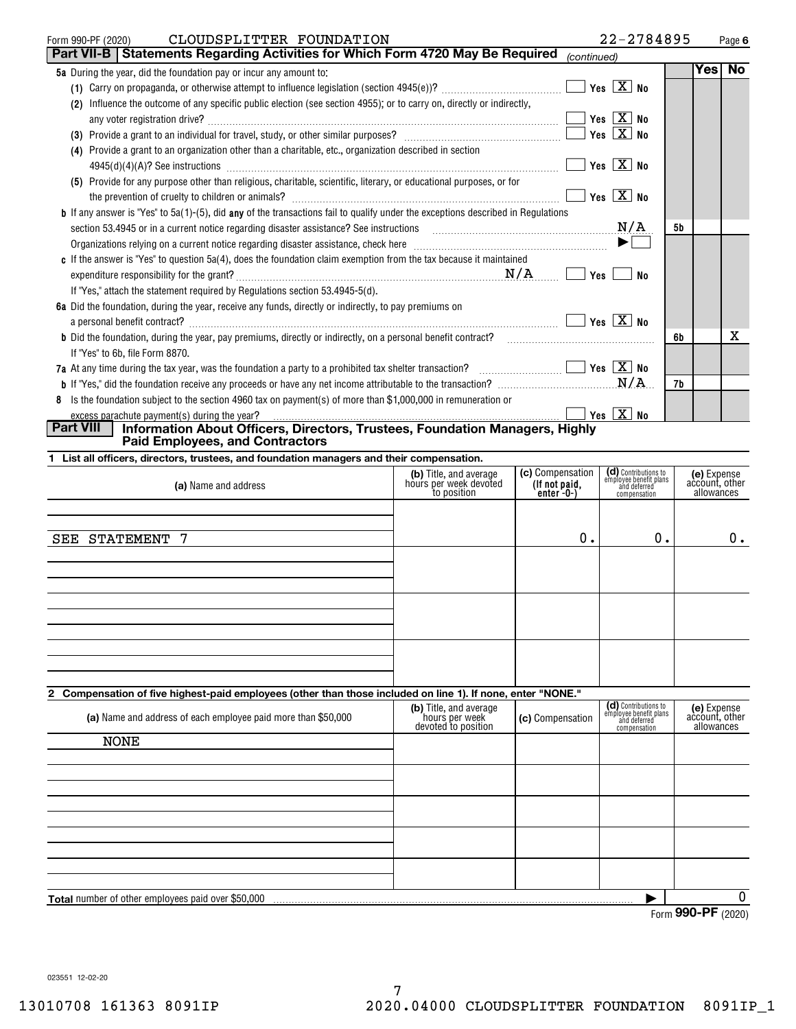| CLOUDSPLITTER FOUNDATION<br>Form 990-PF (2020)                                                                                             | 22-2784895                                                         |      | Page 6      |
|--------------------------------------------------------------------------------------------------------------------------------------------|--------------------------------------------------------------------|------|-------------|
| <b>Part VII-B   Statements Regarding Activities for Which Form 4720 May Be Required</b>                                                    | (continued)                                                        |      |             |
| 5a During the year, did the foundation pay or incur any amount to:                                                                         |                                                                    | Yesl | <b>No</b>   |
|                                                                                                                                            |                                                                    |      |             |
| Influence the outcome of any specific public election (see section 4955); or to carry on, directly or indirectly,                          |                                                                    |      |             |
| $\overline{\phantom{a}}$ Yes $\overline{\phantom{a}X}$ No<br>any voter registration drive?                                                 |                                                                    |      |             |
|                                                                                                                                            |                                                                    |      |             |
| (4) Provide a grant to an organization other than a charitable, etc., organization described in section                                    |                                                                    |      |             |
|                                                                                                                                            | Yes $\boxed{\mathbf{X}}$ No                                        |      |             |
| (5) Provide for any purpose other than religious, charitable, scientific, literary, or educational purposes, or for                        |                                                                    |      |             |
|                                                                                                                                            | $Yes \top X$ No                                                    |      |             |
| <b>b</b> If any answer is "Yes" to $5a(1)$ -(5), did any of the transactions fail to qualify under the exceptions described in Regulations |                                                                    |      |             |
|                                                                                                                                            | N/A                                                                | 5b   |             |
|                                                                                                                                            | $\blacktriangleright$ $\Box$                                       |      |             |
| c If the answer is "Yes" to question 5a(4), does the foundation claim exemption from the tax because it maintained                         |                                                                    |      |             |
|                                                                                                                                            | Yes  <br>No                                                        |      |             |
| If "Yes," attach the statement required by Regulations section 53.4945-5(d).                                                               |                                                                    |      |             |
| 6a Did the foundation, during the year, receive any funds, directly or indirectly, to pay premiums on                                      |                                                                    |      |             |
|                                                                                                                                            |                                                                    |      |             |
| <b>b</b> Did the foundation, during the year, pay premiums, directly or indirectly, on a personal benefit contract?                        |                                                                    | 6b   | x           |
| If "Yes" to 6b, file Form 8870.                                                                                                            |                                                                    |      |             |
| 7a At any time during the tax year, was the foundation a party to a prohibited tax shelter transaction? $\ldots$ $\ldots$ $\ldots$         |                                                                    |      |             |
|                                                                                                                                            |                                                                    | 7b   |             |
| Is the foundation subject to the section 4960 tax on payment(s) of more than \$1,000,000 in remuneration or<br>8                           |                                                                    |      |             |
| excess parachute payment(s) during the year?                                                                                               |                                                                    |      |             |
| <b>Part VIII</b><br>Information About Officers, Directors, Trustees, Foundation Managers, Highly                                           |                                                                    |      |             |
| <b>Paid Employees, and Contractors</b>                                                                                                     |                                                                    |      |             |
| 1 List all officers, directors, trustees, and foundation managers and their compensation.                                                  |                                                                    |      |             |
| (b) Title, and average                                                                                                                     | (d) Contributions to<br>employee benefit plans<br>(c) Compensation |      | (e) Expense |

| (a) Name and address                                                                                        | (b) Title, and average<br>hours per week devoted<br>to position | (c) Compensation<br>(If not paid,<br>enter -0-) | (d) Contributions to<br>employee benefit plans<br>and deferred<br>compensation | (e) Expense<br>account, other<br>allowances |
|-------------------------------------------------------------------------------------------------------------|-----------------------------------------------------------------|-------------------------------------------------|--------------------------------------------------------------------------------|---------------------------------------------|
|                                                                                                             |                                                                 |                                                 |                                                                                |                                             |
| - 7<br>SEE<br>STATEMENT                                                                                     |                                                                 | 0.                                              | 0.                                                                             | 0.                                          |
|                                                                                                             |                                                                 |                                                 |                                                                                |                                             |
|                                                                                                             |                                                                 |                                                 |                                                                                |                                             |
|                                                                                                             |                                                                 |                                                 |                                                                                |                                             |
| 2 Compensation of five highest-paid employees (other than those included on line 1). If none, enter "NONE." |                                                                 |                                                 |                                                                                |                                             |
| (a) Name and address of each employee paid more than \$50,000                                               | (b) Title, and average<br>hours per week<br>devoted to nosition | (c) Compensation                                | (d) Contributions to<br>employee benefit plans<br>and deferred<br>componentian | (e) Expense<br>account, other<br>allowances |

compensation **Total** number of other employees paid over \$50,000 | allowancesdevoted to position  $\overline{0}$ NONE

Form (2020) **990-PF**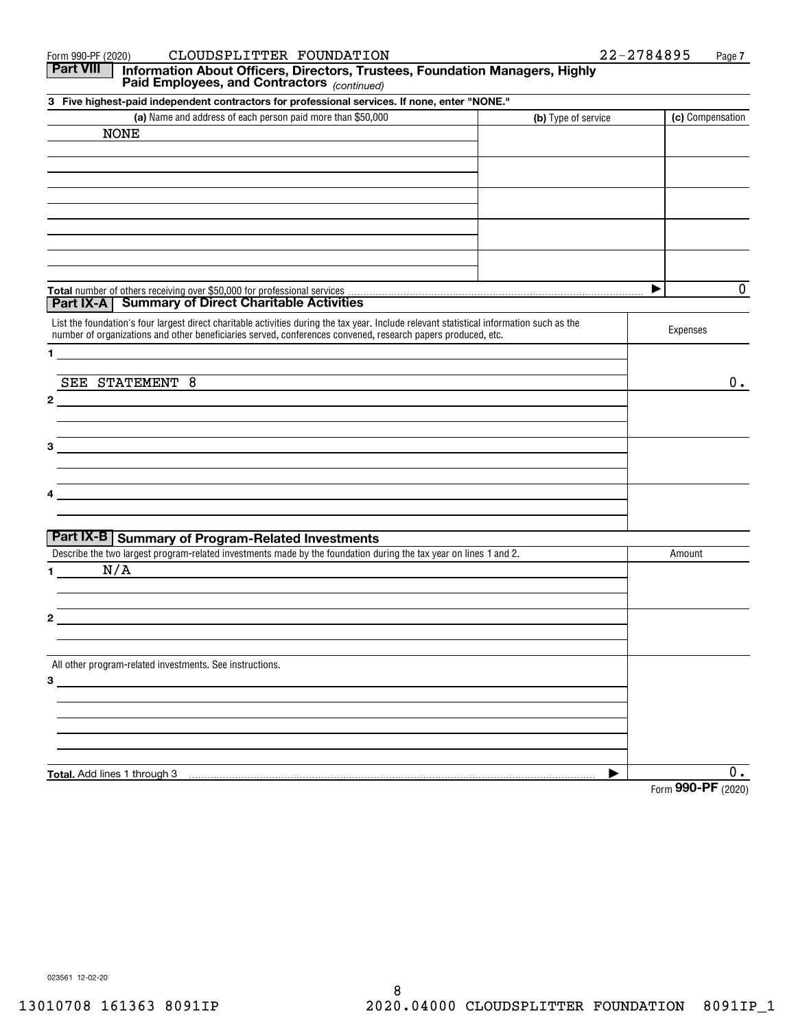| CLOUDSPLITTER FOUNDATION<br>Form 990-PF (2020)                                                                                                                                                                                                            |                     | 22-2784895<br>Page 7 |
|-----------------------------------------------------------------------------------------------------------------------------------------------------------------------------------------------------------------------------------------------------------|---------------------|----------------------|
| <b>Part VIII</b><br>Information About Officers, Directors, Trustees, Foundation Managers, Highly<br>Paid Employees, and Contractors (continued)                                                                                                           |                     |                      |
| 3 Five highest-paid independent contractors for professional services. If none, enter "NONE."                                                                                                                                                             |                     |                      |
| (a) Name and address of each person paid more than \$50,000                                                                                                                                                                                               | (b) Type of service | (c) Compensation     |
| <b>NONE</b>                                                                                                                                                                                                                                               |                     |                      |
|                                                                                                                                                                                                                                                           |                     |                      |
|                                                                                                                                                                                                                                                           |                     |                      |
|                                                                                                                                                                                                                                                           |                     |                      |
|                                                                                                                                                                                                                                                           |                     |                      |
|                                                                                                                                                                                                                                                           |                     | 0                    |
| <b>Part IX-A</b> Summary of Direct Charitable Activities                                                                                                                                                                                                  |                     |                      |
| List the foundation's four largest direct charitable activities during the tax year. Include relevant statistical information such as the<br>number of organizations and other beneficiaries served, conferences convened, research papers produced, etc. |                     | Expenses             |
| 1.                                                                                                                                                                                                                                                        |                     |                      |
| SEE STATEMENT 8                                                                                                                                                                                                                                           |                     | $0$ .                |
| $\mathbf{2}$                                                                                                                                                                                                                                              |                     |                      |
| 3                                                                                                                                                                                                                                                         |                     |                      |
|                                                                                                                                                                                                                                                           |                     |                      |
|                                                                                                                                                                                                                                                           |                     |                      |
| Part IX-B   Summary of Program-Related Investments                                                                                                                                                                                                        |                     |                      |
| Describe the two largest program-related investments made by the foundation during the tax year on lines 1 and 2.                                                                                                                                         |                     | Amount               |
| N/A<br>1.                                                                                                                                                                                                                                                 |                     |                      |
|                                                                                                                                                                                                                                                           |                     |                      |
| 2                                                                                                                                                                                                                                                         |                     |                      |
| All other program-related investments. See instructions.                                                                                                                                                                                                  |                     |                      |
| 3                                                                                                                                                                                                                                                         |                     |                      |
|                                                                                                                                                                                                                                                           |                     |                      |
|                                                                                                                                                                                                                                                           |                     |                      |
| Total. Add lines 1 through 3                                                                                                                                                                                                                              | ▶                   | 0.                   |
|                                                                                                                                                                                                                                                           |                     | Form 990-PF (2020)   |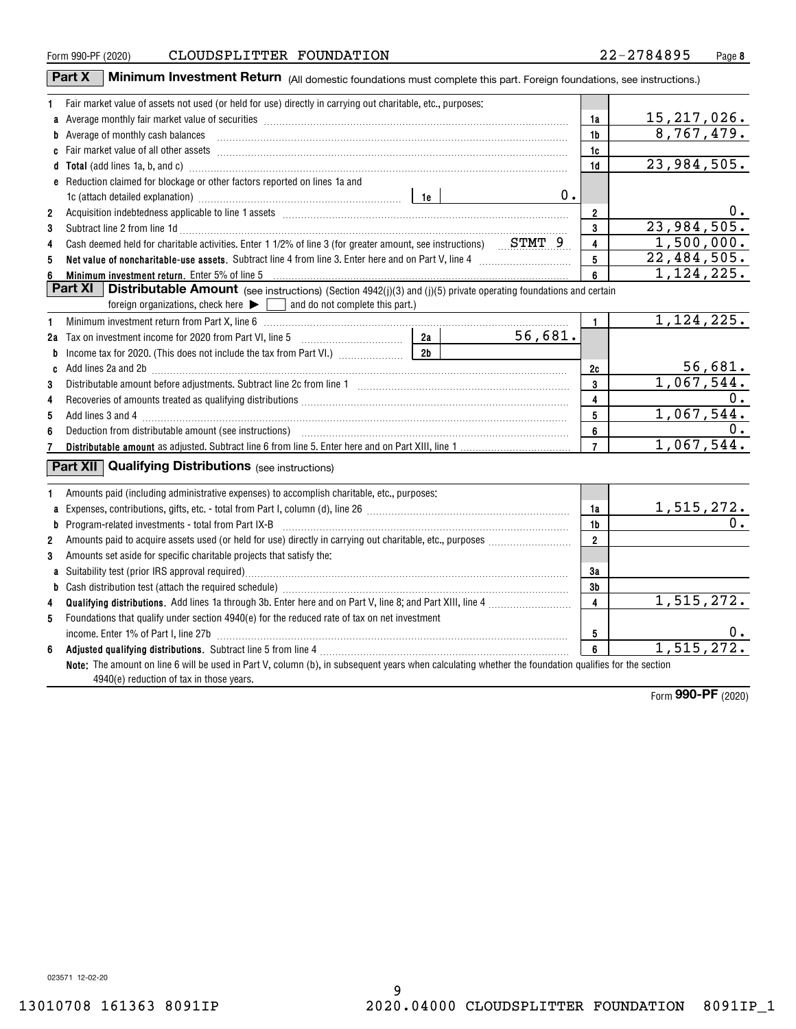| Form 990-PF (2020) |  |
|--------------------|--|
|                    |  |

|                     | Part X<br><b>Minimum Investment Return</b> (All domestic foundations must complete this part. Foreign foundations, see instructions.)                                                                                               |                |            |                         |                                       |
|---------------------|-------------------------------------------------------------------------------------------------------------------------------------------------------------------------------------------------------------------------------------|----------------|------------|-------------------------|---------------------------------------|
| 1                   | Fair market value of assets not used (or held for use) directly in carrying out charitable, etc., purposes:                                                                                                                         |                |            |                         |                                       |
|                     | a Average monthly fair market value of securities [11] matter content to the content of the Average monthly fair market value of securities [11] matter content to the Average monthly fair market value of securities [11] ma      |                | 1a         | 15, 217, 026.           |                                       |
|                     | b Average of monthly cash balances <b>constructed and all and all and all an</b> Average of monthly cash balances                                                                                                                   |                |            | 1b                      | 8,767,479.                            |
|                     |                                                                                                                                                                                                                                     |                |            | 1c                      |                                       |
|                     | d Total (add lines 1a, b, and c) <b>manufacture and contract and contract a</b> contract and contract and contract a contract and contract and contract a contract and contract and contract a contract a contract and contract a c |                |            | 1d                      | $\overline{23,984,505}$ .             |
|                     | e Reduction claimed for blockage or other factors reported on lines 1a and                                                                                                                                                          |                |            |                         |                                       |
|                     | 1c (attach detailed explanation) manufactured and according to the last of the last series and the last series and the last series and the last series and the last series and the last series and the last series and the las      |                | $0$ .      |                         |                                       |
| $\overline{2}$      |                                                                                                                                                                                                                                     |                |            | $\mathbf{2}$            | $0 \cdot$                             |
| 3                   |                                                                                                                                                                                                                                     |                |            | $\mathbf{3}$            | 23,984,505.                           |
| 4                   | Cash deemed held for charitable activities. Enter 1 1/2% of line 3 (for greater amount, see instructions) $STMT-9$                                                                                                                  |                |            | $\overline{\mathbf{4}}$ | 1,500,000.                            |
| 5                   |                                                                                                                                                                                                                                     |                |            | 5                       | 22,484,505.                           |
| 6                   | Minimum investment return. Enter 5% of line 5                                                                                                                                                                                       |                |            | 6                       | 1, 124, 225.                          |
|                     | Part XI<br><b>Distributable Amount</b> (see instructions) (Section 4942(j)(3) and (j)(5) private operating foundations and certain                                                                                                  |                |            |                         |                                       |
|                     | $\overline{\phantom{a}}$ and do not complete this part.)<br>foreign organizations, check here $\blacktriangleright$ $\lceil$                                                                                                        |                |            |                         |                                       |
| 1                   | Minimum investment return from Part X, line 6 [11] Minimum and the control of the control of the control of the control of the control of the control of the control of the control of the control of the control of the contr      |                |            | $\mathbf{1}$            | 1,124,225.                            |
|                     |                                                                                                                                                                                                                                     |                | 56,681.    |                         |                                       |
|                     |                                                                                                                                                                                                                                     |                |            |                         |                                       |
|                     | c Add lines 2a and 2b <b>manual construction</b> and 20 manual construction and a series of the series of the series of the series of the series of the series of the series of the series of the series of the series of the serie |                |            | 2c                      | 56,681.                               |
| 3                   |                                                                                                                                                                                                                                     |                |            | $\mathbf{3}$            | 1,067,544.                            |
| 4                   |                                                                                                                                                                                                                                     |                |            | 4                       | 0.                                    |
| 5                   |                                                                                                                                                                                                                                     |                |            | 5                       | 1,067,544.                            |
| 6                   |                                                                                                                                                                                                                                     |                |            | 6                       | 0.                                    |
| 7                   |                                                                                                                                                                                                                                     |                |            | $\overline{7}$          | 1,067,544.                            |
|                     | <b>Part XII Qualifying Distributions</b> (see instructions)                                                                                                                                                                         |                |            |                         |                                       |
|                     |                                                                                                                                                                                                                                     |                |            |                         |                                       |
| 1                   | Amounts paid (including administrative expenses) to accomplish charitable, etc., purposes:                                                                                                                                          |                |            |                         |                                       |
| a                   |                                                                                                                                                                                                                                     |                |            | 1a                      | <u>1,515,272.</u><br>$\overline{0}$ . |
| b<br>$\overline{2}$ | $Program-related investments - total from Part IX-B$                                                                                                                                                                                |                |            | 1b<br>$\overline{2}$    |                                       |
| 3                   | Amounts set aside for specific charitable projects that satisfy the:                                                                                                                                                                |                |            |                         |                                       |
|                     |                                                                                                                                                                                                                                     |                |            | 3a                      |                                       |
|                     |                                                                                                                                                                                                                                     | 3 <sub>b</sub> |            |                         |                                       |
| 4                   |                                                                                                                                                                                                                                     | $\overline{4}$ | 1,515,272. |                         |                                       |
| 5                   | Foundations that qualify under section 4940(e) for the reduced rate of tax on net investment                                                                                                                                        |                |            |                         |                                       |
|                     |                                                                                                                                                                                                                                     |                |            | 5                       | 0.                                    |
| 6                   |                                                                                                                                                                                                                                     |                |            |                         | 1, 515, 272.                          |
|                     | Note: The amount on line 6 will be used in Part V, column (b), in subsequent years when calculating whether the foundation qualifies for the section                                                                                |                |            | $6\phantom{a}$          |                                       |
|                     | 4940(e) reduction of tax in those years.                                                                                                                                                                                            |                |            |                         |                                       |
|                     |                                                                                                                                                                                                                                     |                |            |                         |                                       |

Form (2020) **990-PF**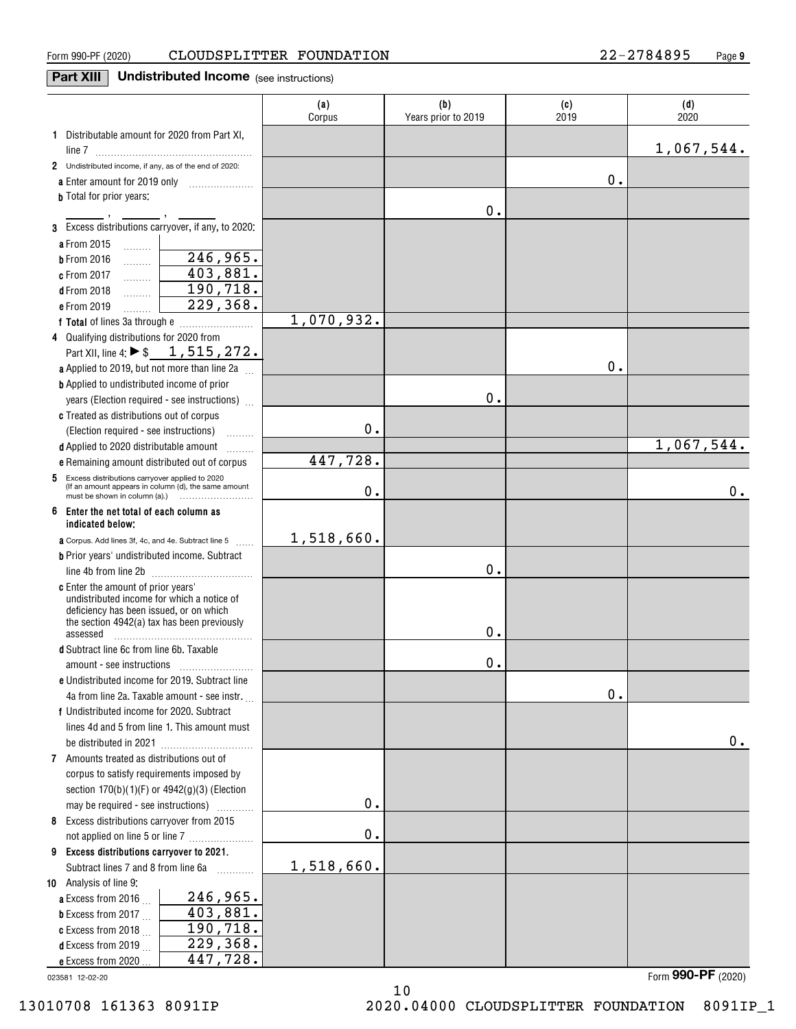### Form 990-PF (2020)  $\qquad$   $\qquad$   $\qquad$   $\qquad$   $\qquad$   $\qquad$   $\qquad$   $\qquad$   $\qquad$   $\qquad$   $\qquad$   $\qquad$   $\qquad$   $\qquad$   $\qquad$   $\qquad$   $\qquad$   $\qquad$   $\qquad$   $\qquad$   $\qquad$   $\qquad$   $\qquad$   $\qquad$   $\qquad$   $\qquad$   $\qquad$   $\qquad$   $\qquad$   $\qquad$   $\qquad$   $\qquad$   $\qquad$   $\qquad$

### **Part XIII** Undistributed Income (see instructions)

|                                                                                                  | (a)<br>Corpus | (b)<br>Years prior to 2019 | (c)<br>2019   | (d)<br>2020             |
|--------------------------------------------------------------------------------------------------|---------------|----------------------------|---------------|-------------------------|
| 1 Distributable amount for 2020 from Part XI,                                                    |               |                            |               |                         |
|                                                                                                  |               |                            |               | 1,067,544.              |
| 2 Undistributed income, if any, as of the end of 2020:                                           |               |                            |               |                         |
| a Enter amount for 2019 only                                                                     |               |                            | 0.            |                         |
| <b>b</b> Total for prior years:                                                                  |               |                            |               |                         |
|                                                                                                  |               | 0.                         |               |                         |
| 3 Excess distributions carryover, if any, to 2020:                                               |               |                            |               |                         |
| a From 2015<br>.                                                                                 |               |                            |               |                         |
| 246,965.<br><b>b</b> From 2016<br>.                                                              |               |                            |               |                         |
| 403,881.<br>c From 2017<br>.                                                                     |               |                            |               |                         |
| 190,718.<br><b>d</b> From 2018<br>.                                                              |               |                            |               |                         |
| 229,368.<br>e From 2019<br>.                                                                     |               |                            |               |                         |
|                                                                                                  | 1,070,932.    |                            |               |                         |
| 4 Qualifying distributions for 2020 from                                                         |               |                            |               |                         |
| Part XII, line 4: $\triangleright$ \$ 1, 515, 272.                                               |               |                            | 0.            |                         |
| a Applied to 2019, but not more than line 2a                                                     |               |                            |               |                         |
| <b>b</b> Applied to undistributed income of prior                                                |               | 0.                         |               |                         |
| years (Election required - see instructions)                                                     |               |                            |               |                         |
| c Treated as distributions out of corpus                                                         | $\mathbf 0$ . |                            |               |                         |
| (Election required - see instructions)                                                           |               |                            |               | $\overline{1,067},544.$ |
| d Applied to 2020 distributable amount<br>.                                                      | 447,728.      |                            |               |                         |
| e Remaining amount distributed out of corpus<br>5 Excess distributions carryover applied to 2020 |               |                            |               |                         |
| (If an amount appears in column (d), the same amount                                             | 0.            |                            |               | 0.                      |
| 6 Enter the net total of each column as<br>indicated below:                                      |               |                            |               |                         |
| a Corpus. Add lines 3f, 4c, and 4e. Subtract line 5<br>$\overline{a}$                            | 1,518,660.    |                            |               |                         |
| <b>b</b> Prior years' undistributed income. Subtract                                             |               |                            |               |                         |
|                                                                                                  |               | 0.                         |               |                         |
| <b>c</b> Enter the amount of prior years'                                                        |               |                            |               |                         |
| undistributed income for which a notice of<br>deficiency has been issued, or on which            |               |                            |               |                         |
| the section 4942(a) tax has been previously                                                      |               |                            |               |                         |
| assessed                                                                                         |               | 0.                         |               |                         |
| d Subtract line 6c from line 6b. Taxable                                                         |               |                            |               |                         |
|                                                                                                  |               | 0.                         |               |                         |
| e Undistributed income for 2019. Subtract line                                                   |               |                            |               |                         |
| 4a from line 2a. Taxable amount - see instr.                                                     |               |                            | $\mathbf 0$ . |                         |
| f Undistributed income for 2020. Subtract                                                        |               |                            |               |                         |
| lines 4d and 5 from line 1. This amount must                                                     |               |                            |               | 0.                      |
| 7 Amounts treated as distributions out of                                                        |               |                            |               |                         |
| corpus to satisfy requirements imposed by                                                        |               |                            |               |                         |
| section 170(b)(1)(F) or 4942(g)(3) (Election                                                     |               |                            |               |                         |
| may be required - see instructions)                                                              | $\mathbf 0$ . |                            |               |                         |
| 8 Excess distributions carryover from 2015                                                       |               |                            |               |                         |
| not applied on line 5 or line 7                                                                  | $\mathbf 0$ . |                            |               |                         |
| 9 Excess distributions carryover to 2021.                                                        |               |                            |               |                         |
| Subtract lines 7 and 8 from line 6a<br>.                                                         | 1,518,660.    |                            |               |                         |
| 10 Analysis of line 9:                                                                           |               |                            |               |                         |
| 246,965.<br>a Excess from 2016                                                                   |               |                            |               |                         |
| 403,881.<br><b>b</b> Excess from 2017 $\ldots$                                                   |               |                            |               |                         |
| 190,718.<br>c Excess from 2018                                                                   |               |                            |               |                         |
| 229,368.<br>d Excess from 2019                                                                   |               |                            |               |                         |
| 447,728.<br>e Excess from 2020                                                                   |               |                            |               |                         |

023581 12-02-20

Form (2020) **990-PF**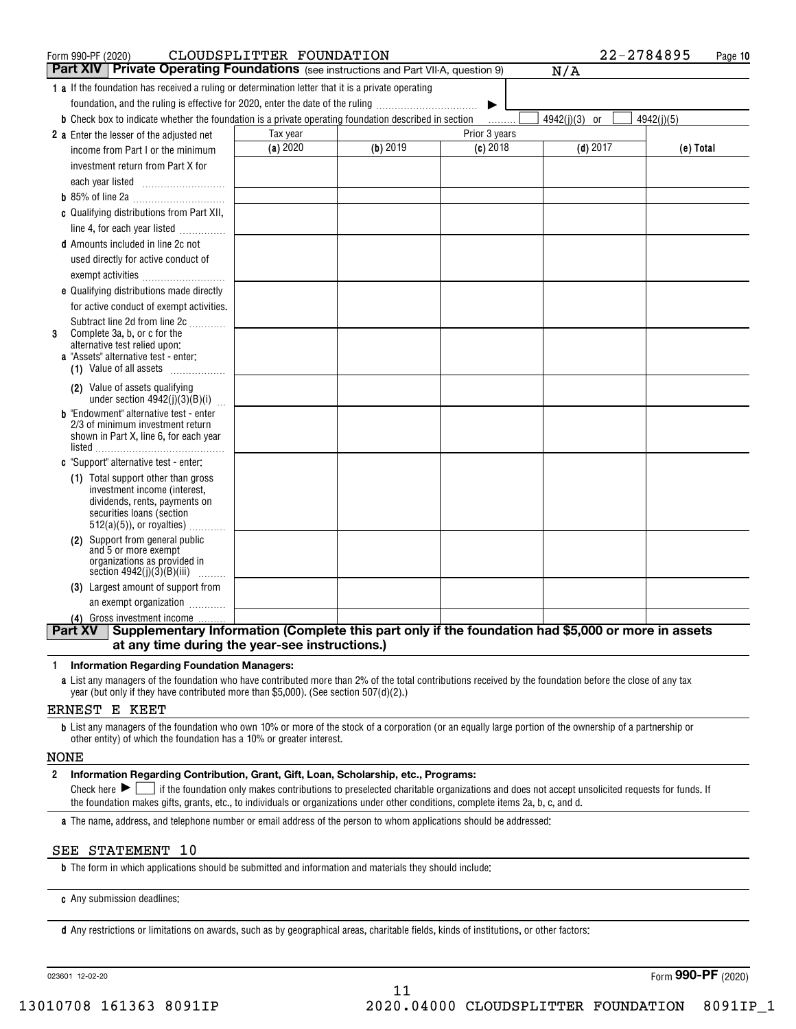| Form 990-PF (2020)                                                                                                   | CLOUDSPLITTER FOUNDATION |          |               | 22-2784895    | Page 10    |
|----------------------------------------------------------------------------------------------------------------------|--------------------------|----------|---------------|---------------|------------|
| <b>Part XIV   Private Operating Foundations</b> (see instructions and Part VII-A, question 9)                        |                          |          |               | N/A           |            |
| 1 a If the foundation has received a ruling or determination letter that it is a private operating                   |                          |          |               |               |            |
| foundation, and the ruling is effective for 2020, enter the date of the ruling                                       |                          |          | ▶             |               |            |
| <b>b</b> Check box to indicate whether the foundation is a private operating foundation described in section         |                          |          | 1.1.1.1.1.1   | 4942(j)(3) or | 4942(j)(5) |
| 2 a Enter the lesser of the adjusted net                                                                             | Tax year                 |          | Prior 3 years |               |            |
| income from Part I or the minimum                                                                                    | (a) 2020                 | (b) 2019 | $(c)$ 2018    | $(d)$ 2017    | (e) Total  |
| investment return from Part X for                                                                                    |                          |          |               |               |            |
| each year listed                                                                                                     |                          |          |               |               |            |
|                                                                                                                      |                          |          |               |               |            |
| c Qualifying distributions from Part XII,                                                                            |                          |          |               |               |            |
| line 4, for each year listed                                                                                         |                          |          |               |               |            |
| <b>d</b> Amounts included in line 2c not                                                                             |                          |          |               |               |            |
| used directly for active conduct of                                                                                  |                          |          |               |               |            |
| exempt activities                                                                                                    |                          |          |               |               |            |
| e Qualifying distributions made directly                                                                             |                          |          |               |               |            |
| for active conduct of exempt activities.                                                                             |                          |          |               |               |            |
| Subtract line 2d from line 2c                                                                                        |                          |          |               |               |            |
| Complete 3a, b, or c for the<br>3<br>alternative test relied upon:                                                   |                          |          |               |               |            |
| <b>a</b> "Assets" alternative test - enter:                                                                          |                          |          |               |               |            |
| (1) Value of all assets                                                                                              |                          |          |               |               |            |
| (2) Value of assets qualifying                                                                                       |                          |          |               |               |            |
| under section $4942(j)(3)(B)(i)$                                                                                     |                          |          |               |               |            |
| <b>b</b> "Endowment" alternative test - enter<br>2/3 of minimum investment return                                    |                          |          |               |               |            |
| shown in Part X, line 6, for each year                                                                               |                          |          |               |               |            |
| listed                                                                                                               |                          |          |               |               |            |
| c "Support" alternative test - enter:                                                                                |                          |          |               |               |            |
| (1) Total support other than gross                                                                                   |                          |          |               |               |            |
| investment income (interest,<br>dividends, rents, payments on                                                        |                          |          |               |               |            |
| securities loans (section                                                                                            |                          |          |               |               |            |
| $512(a)(5)$ , or royalties)                                                                                          |                          |          |               |               |            |
| (2) Support from general public                                                                                      |                          |          |               |               |            |
| and 5 or more exempt<br>organizations as provided in                                                                 |                          |          |               |               |            |
| section $4942(j)(3)(B)(iii)$                                                                                         |                          |          |               |               |            |
| (3) Largest amount of support from                                                                                   |                          |          |               |               |            |
| an exempt organization                                                                                               |                          |          |               |               |            |
| (4) Gross investment income                                                                                          |                          |          |               |               |            |
| Supplementary Information (Complete this part only if the foundation had \$5,000 or more in assets<br><b>Part XV</b> |                          |          |               |               |            |
| at any time during the year-see instructions.)                                                                       |                          |          |               |               |            |

#### **1Information Regarding Foundation Managers:**

**a**List any managers of the foundation who have contributed more than 2% of the total contributions received by the foundation before the close of any tax year (but only if they have contributed more than \$5,000). (See section 507(d)(2).)

#### ERNEST E KEET

**b**List any managers of the foundation who own 10% or more of the stock of a corporation (or an equally large portion of the ownership of a partnership or other entity) of which the foundation has a 10% or greater interest.

#### NONE

#### **2Information Regarding Contribution, Grant, Gift, Loan, Scholarship, etc., Programs:**

Check here  $\blacktriangleright\Box$  if the foundation only makes contributions to preselected charitable organizations and does not accept unsolicited requests for funds. If the foundation makes gifts, grants, etc., to individuals or organizations under other conditions, complete items 2a, b, c, and d.

**a**The name, address, and telephone number or email address of the person to whom applications should be addressed:

### SEE STATEMENT 10

**b**The form in which applications should be submitted and information and materials they should include:

**c**Any submission deadlines:

**d** Any restrictions or limitations on awards, such as by geographical areas, charitable fields, kinds of institutions, or other factors:

023601 12-02-20

Form (2020) **990-PF**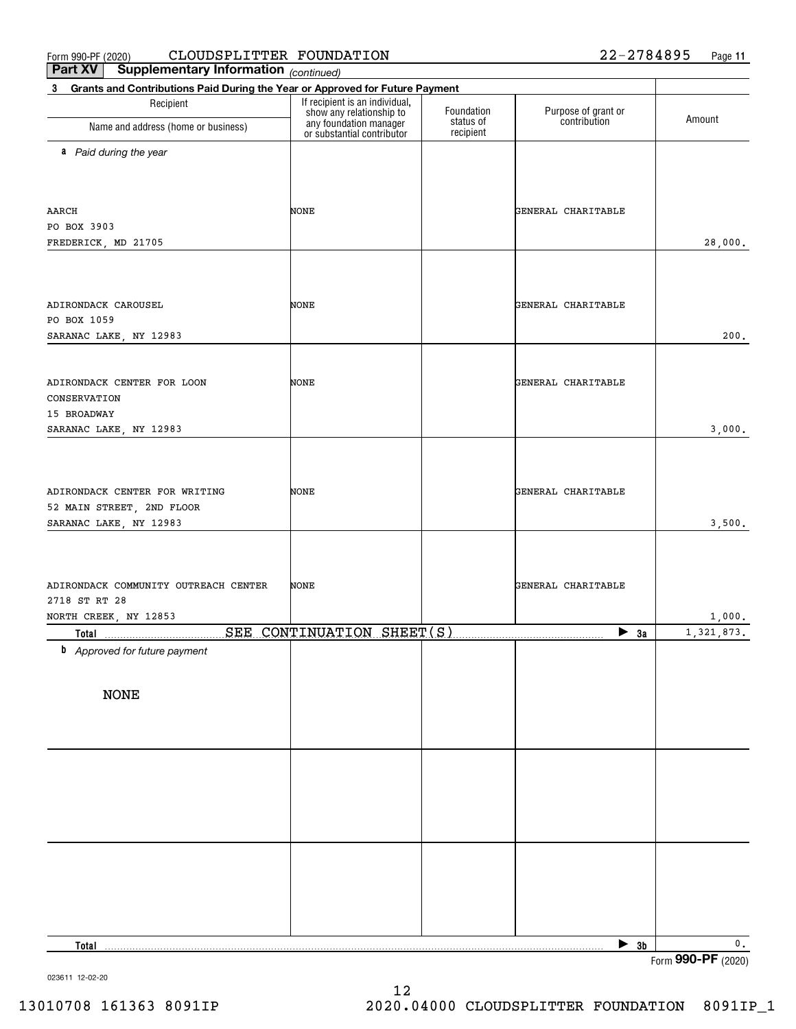#### $_{\rm Form}$  990-PF (2020) CLOUDSPLITTER FOUNDATION 22-2784895 Page CLOUDSPLITTER FOUNDATION 22-2784895

**Part XV Supplementary Information**

| <b>Part VA</b><br>Supplementary information (continued)                                     |                                                                                                                    |                                      |                                     |                      |
|---------------------------------------------------------------------------------------------|--------------------------------------------------------------------------------------------------------------------|--------------------------------------|-------------------------------------|----------------------|
| Grants and Contributions Paid During the Year or Approved for Future Payment<br>$3^{\circ}$ |                                                                                                                    |                                      |                                     |                      |
| Recipient<br>Name and address (home or business)                                            | If recipient is an individual,<br>show any relationship to<br>any foundation manager<br>or substantial contributor | Foundation<br>status of<br>recipient | Purpose of grant or<br>contribution | Amount               |
| a Paid during the year                                                                      |                                                                                                                    |                                      |                                     |                      |
|                                                                                             |                                                                                                                    |                                      |                                     |                      |
|                                                                                             |                                                                                                                    |                                      |                                     |                      |
| AARCH                                                                                       | NONE                                                                                                               |                                      | GENERAL CHARITABLE                  |                      |
| PO BOX 3903                                                                                 |                                                                                                                    |                                      |                                     |                      |
| FREDERICK, MD 21705                                                                         |                                                                                                                    |                                      |                                     | 28,000.              |
|                                                                                             |                                                                                                                    |                                      |                                     |                      |
| ADIRONDACK CAROUSEL                                                                         | NONE                                                                                                               |                                      | GENERAL CHARITABLE                  |                      |
| PO BOX 1059                                                                                 |                                                                                                                    |                                      |                                     |                      |
| SARANAC LAKE, NY 12983                                                                      |                                                                                                                    |                                      |                                     | 200.                 |
|                                                                                             |                                                                                                                    |                                      |                                     |                      |
| ADIRONDACK CENTER FOR LOON                                                                  | NONE                                                                                                               |                                      | GENERAL CHARITABLE                  |                      |
| CONSERVATION                                                                                |                                                                                                                    |                                      |                                     |                      |
| 15 BROADWAY                                                                                 |                                                                                                                    |                                      |                                     |                      |
| SARANAC LAKE, NY 12983                                                                      |                                                                                                                    |                                      |                                     | 3,000.               |
|                                                                                             |                                                                                                                    |                                      |                                     |                      |
| ADIRONDACK CENTER FOR WRITING                                                               | NONE                                                                                                               |                                      | GENERAL CHARITABLE                  |                      |
| 52 MAIN STREET, 2ND FLOOR                                                                   |                                                                                                                    |                                      |                                     |                      |
| SARANAC LAKE, NY 12983                                                                      |                                                                                                                    |                                      |                                     | 3,500.               |
|                                                                                             |                                                                                                                    |                                      |                                     |                      |
|                                                                                             |                                                                                                                    |                                      |                                     |                      |
| ADIRONDACK COMMUNITY OUTREACH CENTER                                                        | NONE                                                                                                               |                                      | GENERAL CHARITABLE                  |                      |
| 2718 ST RT 28                                                                               |                                                                                                                    |                                      |                                     |                      |
| NORTH CREEK, NY 12853<br><b>Total</b>                                                       | SEE CONTINUATION SHEET(S)                                                                                          |                                      | $\blacktriangleright$ 3a            | 1,000.<br>1,321,873. |
| <b>b</b> Approved for future payment                                                        |                                                                                                                    |                                      |                                     |                      |
|                                                                                             |                                                                                                                    |                                      |                                     |                      |
| <b>NONE</b>                                                                                 |                                                                                                                    |                                      |                                     |                      |
|                                                                                             |                                                                                                                    |                                      |                                     |                      |
|                                                                                             |                                                                                                                    |                                      |                                     |                      |
|                                                                                             |                                                                                                                    |                                      |                                     |                      |
|                                                                                             |                                                                                                                    |                                      |                                     |                      |
|                                                                                             |                                                                                                                    |                                      |                                     |                      |
|                                                                                             |                                                                                                                    |                                      |                                     |                      |
|                                                                                             |                                                                                                                    |                                      |                                     |                      |
|                                                                                             |                                                                                                                    |                                      |                                     |                      |
|                                                                                             |                                                                                                                    |                                      |                                     |                      |
|                                                                                             |                                                                                                                    |                                      |                                     |                      |
| Total                                                                                       |                                                                                                                    |                                      | $\triangleright$ 3b                 | 0.                   |
|                                                                                             |                                                                                                                    |                                      |                                     | Form 990-PF (2020)   |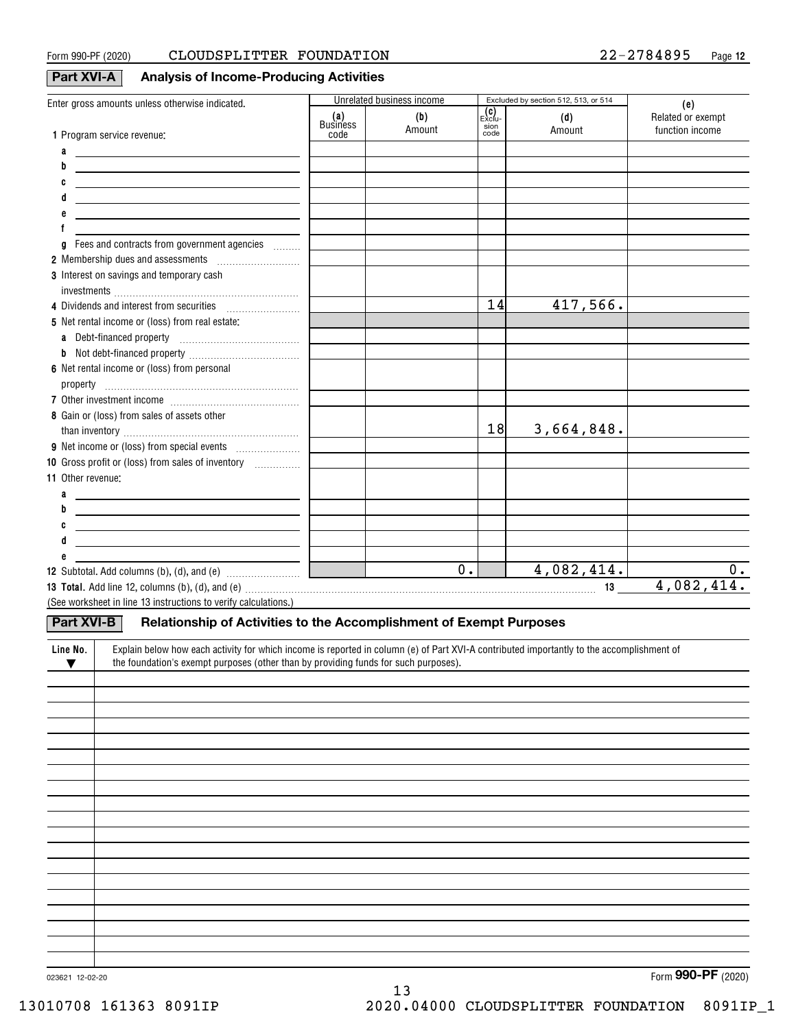### **Part XVI-A Analysis of Income-Producing Activities**

| Enter gross amounts unless otherwise indicated.                                                                                                       |                 | Unrelated business income |               | Excluded by section 512, 513, or 514 | (e)               |
|-------------------------------------------------------------------------------------------------------------------------------------------------------|-----------------|---------------------------|---------------|--------------------------------------|-------------------|
|                                                                                                                                                       | (a)<br>Business | (b)                       | (C)<br>Exclu- | (d)                                  | Related or exempt |
| 1 Program service revenue:                                                                                                                            | code            | Amount                    | sion<br>code  | Amount                               | function income   |
| a<br><u> 1989 - Jan James James, politik eta politik eta politikaria (h. 1908).</u>                                                                   |                 |                           |               |                                      |                   |
| b<br><u> 1989 - Johann Stein, mars et al. (b. 1989)</u>                                                                                               |                 |                           |               |                                      |                   |
| C<br><u> 1989 - Johann John Stone, markin fizikar (h. 1982).</u>                                                                                      |                 |                           |               |                                      |                   |
| d                                                                                                                                                     |                 |                           |               |                                      |                   |
| <u> 1989 - Johann Barn, mars an t-Amerikaansk politiker (</u>                                                                                         |                 |                           |               |                                      |                   |
|                                                                                                                                                       |                 |                           |               |                                      |                   |
| Fees and contracts from government agencies<br>g                                                                                                      |                 |                           |               |                                      |                   |
|                                                                                                                                                       |                 |                           |               |                                      |                   |
| 3 Interest on savings and temporary cash                                                                                                              |                 |                           |               |                                      |                   |
|                                                                                                                                                       |                 |                           |               |                                      |                   |
| 4 Dividends and interest from securities                                                                                                              |                 |                           | 14            | 417,566.                             |                   |
| 5 Net rental income or (loss) from real estate:                                                                                                       |                 |                           |               |                                      |                   |
| a Debt-financed property [11] [11] Debt-financed property                                                                                             |                 |                           |               |                                      |                   |
|                                                                                                                                                       |                 |                           |               |                                      |                   |
| 6 Net rental income or (loss) from personal                                                                                                           |                 |                           |               |                                      |                   |
|                                                                                                                                                       |                 |                           |               |                                      |                   |
|                                                                                                                                                       |                 |                           |               |                                      |                   |
| 8 Gain or (loss) from sales of assets other                                                                                                           |                 |                           |               |                                      |                   |
|                                                                                                                                                       |                 |                           | 18            | 3,664,848.                           |                   |
|                                                                                                                                                       |                 |                           |               |                                      |                   |
| 10 Gross profit or (loss) from sales of inventory <i></i>                                                                                             |                 |                           |               |                                      |                   |
| 11 Other revenue:                                                                                                                                     |                 |                           |               |                                      |                   |
| a                                                                                                                                                     |                 |                           |               |                                      |                   |
| <u> 1989 - Johann Barn, fransk politik amerikansk politik (d. 1989)</u><br>b                                                                          |                 |                           |               |                                      |                   |
| <u> 1989 - Johann Barn, mars and de Brasilian (b. 1989)</u><br>C                                                                                      |                 |                           |               |                                      |                   |
| <u> 1989 - Johann Barn, fransk politik (d. 1989)</u>                                                                                                  |                 |                           |               |                                      |                   |
| <u> 1989 - Johann John Stone, markin fizikar (</u>                                                                                                    |                 |                           |               |                                      |                   |
|                                                                                                                                                       |                 | $\overline{0}$ .          |               | 4,082,414.                           | 0.                |
|                                                                                                                                                       |                 |                           |               |                                      | 4,082,414.        |
| (See worksheet in line 13 instructions to verify calculations.)                                                                                       |                 |                           |               |                                      |                   |
|                                                                                                                                                       |                 |                           |               |                                      |                   |
| Part XVI-B<br>Relationship of Activities to the Accomplishment of Exempt Purposes                                                                     |                 |                           |               |                                      |                   |
| Explain below how each activity for which income is reported in column (e) of Part XVI-A contributed importantly to the accomplishment of<br>Line No. |                 |                           |               |                                      |                   |
| the foundation's exempt purposes (other than by providing funds for such purposes).<br>$\blacktriangledown$                                           |                 |                           |               |                                      |                   |
|                                                                                                                                                       |                 |                           |               |                                      |                   |
|                                                                                                                                                       |                 |                           |               |                                      |                   |
|                                                                                                                                                       |                 |                           |               |                                      |                   |
|                                                                                                                                                       |                 |                           |               |                                      |                   |
|                                                                                                                                                       |                 |                           |               |                                      |                   |
|                                                                                                                                                       |                 |                           |               |                                      |                   |
|                                                                                                                                                       |                 |                           |               |                                      |                   |
|                                                                                                                                                       |                 |                           |               |                                      |                   |
|                                                                                                                                                       |                 |                           |               |                                      |                   |
|                                                                                                                                                       |                 |                           |               |                                      |                   |
|                                                                                                                                                       |                 |                           |               |                                      |                   |
|                                                                                                                                                       |                 |                           |               |                                      |                   |
|                                                                                                                                                       |                 |                           |               |                                      |                   |
|                                                                                                                                                       |                 |                           |               |                                      |                   |
|                                                                                                                                                       |                 |                           |               |                                      |                   |
|                                                                                                                                                       |                 |                           |               |                                      |                   |
|                                                                                                                                                       |                 |                           |               |                                      |                   |
|                                                                                                                                                       |                 |                           |               |                                      |                   |

13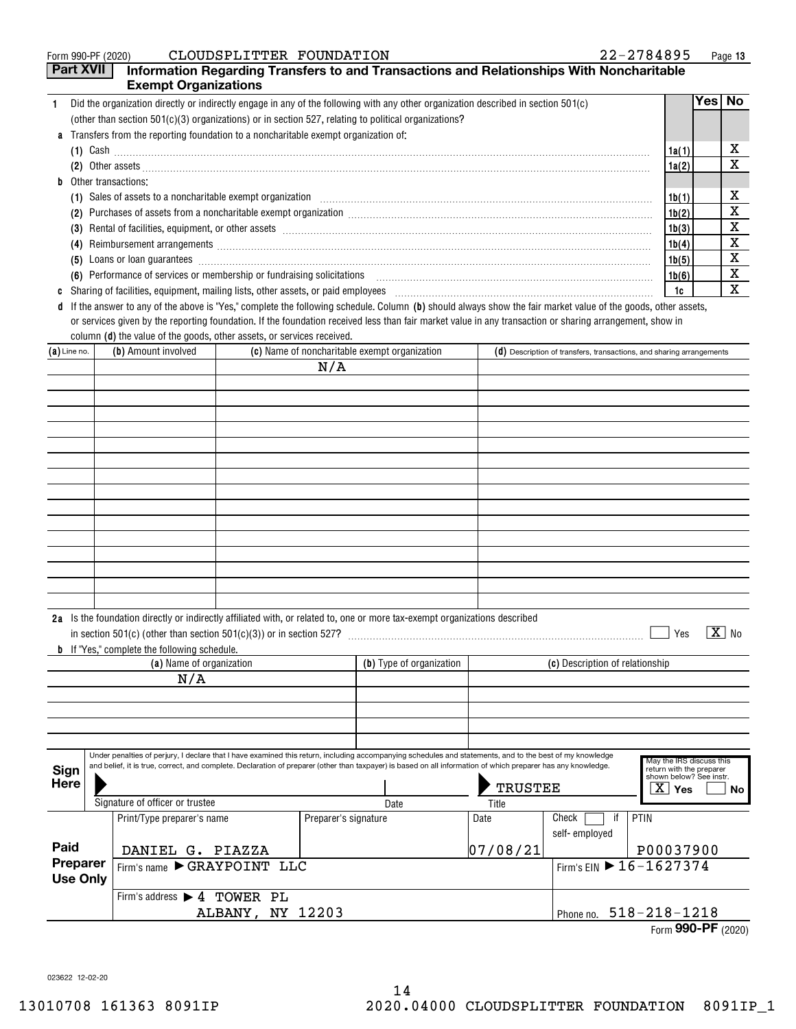|    | CLOUDSPLITTER FOUNDATION<br>Form 990-PF (2020)                                                                                                                                                                                                                                                                                          | $22 - 2784895$ |          | Page 13 |
|----|-----------------------------------------------------------------------------------------------------------------------------------------------------------------------------------------------------------------------------------------------------------------------------------------------------------------------------------------|----------------|----------|---------|
|    | <b>Part XVII</b><br>Information Regarding Transfers to and Transactions and Relationships With Noncharitable                                                                                                                                                                                                                            |                |          |         |
|    | <b>Exempt Organizations</b>                                                                                                                                                                                                                                                                                                             |                |          |         |
|    | Did the organization directly or indirectly engage in any of the following with any other organization described in section 501(c)                                                                                                                                                                                                      |                | Yes   No |         |
|    | (other than section $501(c)(3)$ organizations) or in section 527, relating to political organizations?                                                                                                                                                                                                                                  |                |          |         |
|    | <b>a</b> Transfers from the reporting foundation to a noncharitable exempt organization of:                                                                                                                                                                                                                                             |                |          |         |
|    | (1) Cash $\ldots$ $\ldots$ $\ldots$ $\ldots$ $\ldots$ $\ldots$ $\ldots$ $\ldots$ $\ldots$ $\ldots$ $\ldots$ $\ldots$ $\ldots$ $\ldots$ $\ldots$ $\ldots$ $\ldots$ $\ldots$ $\ldots$ $\ldots$ $\ldots$ $\ldots$ $\ldots$ $\ldots$ $\ldots$ $\ldots$ $\ldots$ $\ldots$ $\ldots$ $\ldots$ $\ldots$ $\ldots$ $\ldots$ $\ldots$ $\ldots$ $\$ | 1a(1)          |          | x       |
|    |                                                                                                                                                                                                                                                                                                                                         | 1a(2)          |          | X       |
| h. | Other transactions:                                                                                                                                                                                                                                                                                                                     |                |          |         |
|    |                                                                                                                                                                                                                                                                                                                                         | 1b(1)          |          | х       |
|    | Purchases of assets from a noncharitable exempt organization [11] manufacture manufacture contraction and announced the second section of the second section of the second section of the section of the section of the sectio<br>(2)                                                                                                   | 1b(2)          |          | х       |
|    | (3)                                                                                                                                                                                                                                                                                                                                     | 1b(3)          |          | х       |
|    | Reimbursement arrangements [111] March 2014 (2015) 2014 (2016) 2014 2015 2016 2017 2018 2019 2014 2015 2016 20<br>(4)                                                                                                                                                                                                                   | 1b(4)          |          | X       |
|    | (5)                                                                                                                                                                                                                                                                                                                                     | 1b(5)          |          | X       |
|    | (6) Performance of services or membership or fundraising solicitations [11] non-manufactured content of services or membership or fundraising solicitations [11] non-manufactured content of the services or membership or fun                                                                                                          | 1b(6)          |          | х       |
| c  | Sharing of facilities, equipment, mailing lists, other assets, or paid employees [11] manufactures manufactures and the state in the state of the state of the state of the state of the state of the state of the state of th                                                                                                          | 1c             |          | x       |
| d  | If the answer to any of the above is "Yes," complete the following schedule. Column (b) should always show the fair market value of the goods, other assets,                                                                                                                                                                            |                |          |         |
|    | or services given by the reporting foundation. If the foundation received less than fair market value in any transaction or sharing arrangement, show in                                                                                                                                                                                |                |          |         |

|                |                     | column (d) the value of the goods, other assets, or services received.                                                     |                                                                        |
|----------------|---------------------|----------------------------------------------------------------------------------------------------------------------------|------------------------------------------------------------------------|
| $(a)$ Line no. | (b) Amount involved | (c) Name of noncharitable exempt organization                                                                              | $(d)$ Description of transfers, transactions, and sharing arrangements |
|                |                     | N/A                                                                                                                        |                                                                        |
|                |                     |                                                                                                                            |                                                                        |
|                |                     |                                                                                                                            |                                                                        |
|                |                     |                                                                                                                            |                                                                        |
|                |                     |                                                                                                                            |                                                                        |
|                |                     |                                                                                                                            |                                                                        |
|                |                     |                                                                                                                            |                                                                        |
|                |                     |                                                                                                                            |                                                                        |
|                |                     |                                                                                                                            |                                                                        |
|                |                     |                                                                                                                            |                                                                        |
|                |                     |                                                                                                                            |                                                                        |
|                |                     |                                                                                                                            |                                                                        |
|                |                     |                                                                                                                            |                                                                        |
|                |                     |                                                                                                                            |                                                                        |
|                |                     |                                                                                                                            |                                                                        |
|                |                     |                                                                                                                            |                                                                        |
|                |                     | 2a Is the foundation directly or indirectly affiliated with, or related to, one or more tax-exempt organizations described |                                                                        |
|                |                     | in section 501(c) (other than section $501(c)(3)$ ) or in section 527?                                                     | $\mathbf{X}$<br>No<br>Yes                                              |

|                             |  | <b>b</b> If "Yes," complete the following schedule.                                                                                                                                                                                                                                                                                                          |                      |                          |                         |                                 |                                                                                                                       |
|-----------------------------|--|--------------------------------------------------------------------------------------------------------------------------------------------------------------------------------------------------------------------------------------------------------------------------------------------------------------------------------------------------------------|----------------------|--------------------------|-------------------------|---------------------------------|-----------------------------------------------------------------------------------------------------------------------|
|                             |  | (a) Name of organization                                                                                                                                                                                                                                                                                                                                     |                      | (b) Type of organization |                         | (c) Description of relationship |                                                                                                                       |
| N/A                         |  |                                                                                                                                                                                                                                                                                                                                                              |                      |                          |                         |                                 |                                                                                                                       |
|                             |  |                                                                                                                                                                                                                                                                                                                                                              |                      |                          |                         |                                 |                                                                                                                       |
|                             |  |                                                                                                                                                                                                                                                                                                                                                              |                      |                          |                         |                                 |                                                                                                                       |
|                             |  |                                                                                                                                                                                                                                                                                                                                                              |                      |                          |                         |                                 |                                                                                                                       |
|                             |  |                                                                                                                                                                                                                                                                                                                                                              |                      |                          |                         |                                 |                                                                                                                       |
| Sign<br>Here                |  | Under penalties of perjury, I declare that I have examined this return, including accompanying schedules and statements, and to the best of my knowledge<br>and belief, it is true, correct, and complete. Declaration of preparer (other than taxpayer) is based on all information of which preparer has any knowledge.<br>Signature of officer or trustee |                      | Date                     | <b>TRUSTEE</b><br>Title |                                 | May the IRS discuss this<br>return with the preparer<br>shown below? See instr.<br>$\overline{\mathrm{X}}$ Yes<br>No. |
| Paid                        |  | Print/Type preparer's name                                                                                                                                                                                                                                                                                                                                   | Preparer's signature |                          | Date                    | Check<br>if<br>self-employed    | PTIN                                                                                                                  |
|                             |  | DANIEL G. PIAZZA                                                                                                                                                                                                                                                                                                                                             |                      |                          | 07/08/21                |                                 | P00037900                                                                                                             |
| Preparer<br><b>Use Only</b> |  | Firm's name SGRAYPOINT LLC                                                                                                                                                                                                                                                                                                                                   |                      |                          |                         |                                 | Firm's EIN $\triangleright$ 16-1627374                                                                                |
|                             |  | Firm's address $\blacktriangleright$ 4<br>TOWER PL                                                                                                                                                                                                                                                                                                           |                      |                          |                         |                                 |                                                                                                                       |
|                             |  | ALBANY, NY 12203                                                                                                                                                                                                                                                                                                                                             |                      |                          |                         | Phone no.                       | $518 - 218 - 1218$                                                                                                    |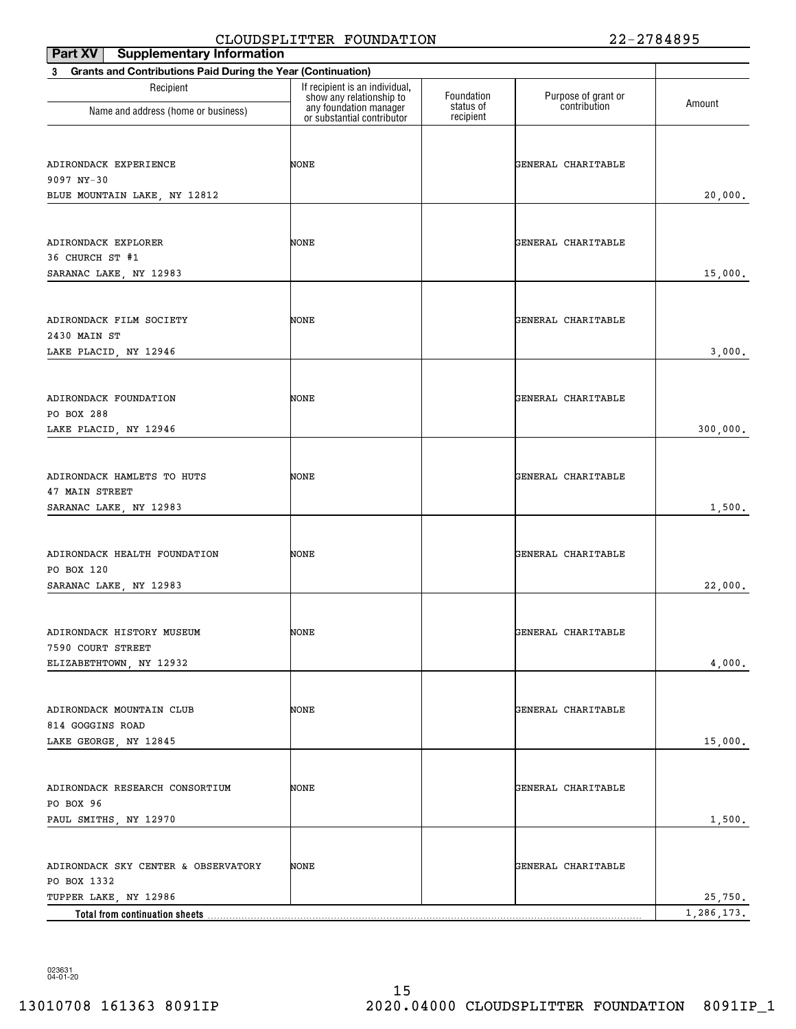| Part XV   Supplementary Information                                         |                                                            |                        |                     |            |
|-----------------------------------------------------------------------------|------------------------------------------------------------|------------------------|---------------------|------------|
| <b>Grants and Contributions Paid During the Year (Continuation)</b><br>3    |                                                            |                        |                     |            |
| Recipient                                                                   | If recipient is an individual,<br>show any relationship to | Foundation             | Purpose of grant or | Amount     |
| Name and address (home or business)                                         | any foundation manager<br>or substantial contributor       | status of<br>recipient | contribution        |            |
| ADIRONDACK EXPERIENCE<br>9097 NY-30<br>BLUE MOUNTAIN LAKE, NY 12812         | NONE                                                       |                        | GENERAL CHARITABLE  | 20,000.    |
| ADIRONDACK EXPLORER<br>36 CHURCH ST #1<br>SARANAC LAKE, NY 12983            | NONE                                                       |                        | GENERAL CHARITABLE  | 15,000.    |
| ADIRONDACK FILM SOCIETY<br>2430 MAIN ST<br>LAKE PLACID, NY 12946            | NONE                                                       |                        | GENERAL CHARITABLE  | 3,000.     |
| ADIRONDACK FOUNDATION<br>PO BOX 288<br>LAKE PLACID, NY 12946                | NONE                                                       |                        | GENERAL CHARITABLE  | 300,000.   |
| ADIRONDACK HAMLETS TO HUTS<br>47 MAIN STREET<br>SARANAC LAKE, NY 12983      | NONE                                                       |                        | GENERAL CHARITABLE  | 1,500.     |
| ADIRONDACK HEALTH FOUNDATION<br>PO BOX 120<br>SARANAC LAKE, NY 12983        | NONE                                                       |                        | GENERAL CHARITABLE  | 22,000.    |
| ADIRONDACK HISTORY MUSEUM<br>7590 COURT STREET<br>ELIZABETHTOWN, NY 12932   | NONE                                                       |                        | GENERAL CHARITABLE  | 4,000.     |
| ADIRONDACK MOUNTAIN CLUB<br>814 GOGGINS ROAD<br>LAKE GEORGE, NY 12845       | NONE                                                       |                        | GENERAL CHARITABLE  | 15,000.    |
| ADIRONDACK RESEARCH CONSORTIUM<br>PO BOX 96<br>PAUL SMITHS, NY 12970        | NONE                                                       |                        | GENERAL CHARITABLE  | 1,500.     |
| ADIRONDACK SKY CENTER & OBSERVATORY<br>PO BOX 1332<br>TUPPER LAKE, NY 12986 | NONE                                                       |                        | GENERAL CHARITABLE  | 25,750.    |
| Total from continuation sheets                                              |                                                            |                        |                     | 1,286,173. |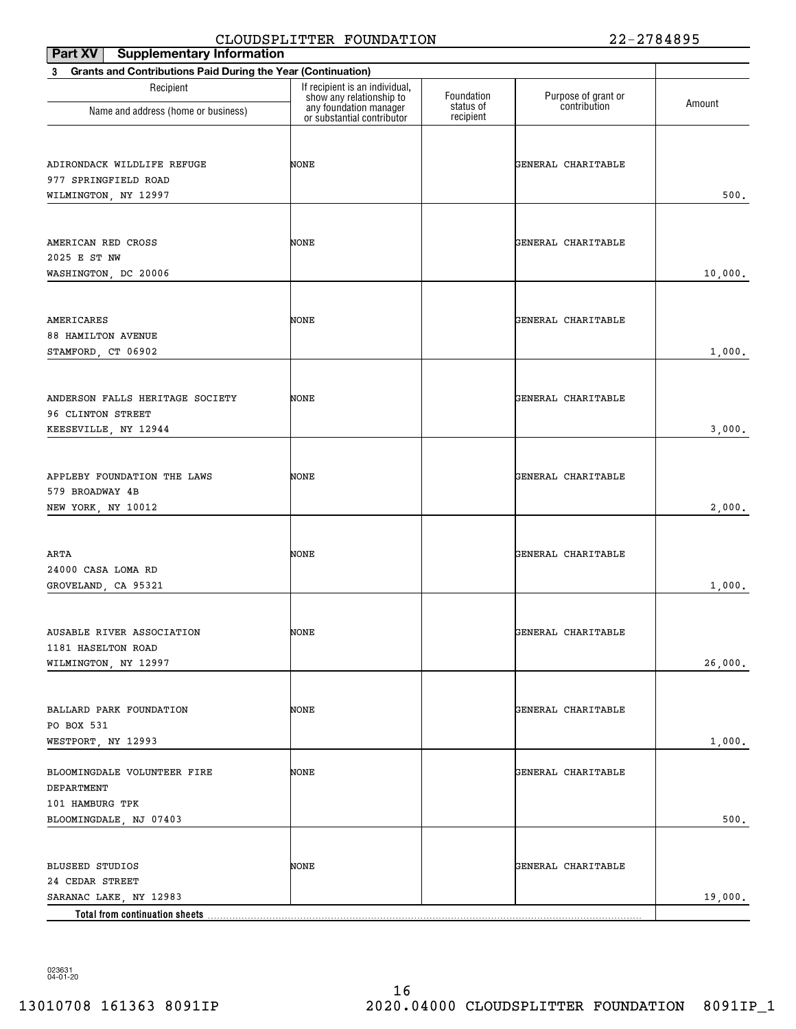| <b>Supplementary Information</b><br>Part XV                                            | CHOODDI HIII IHK FOONDAIION                                |                        | 44                                  | 2 7 0 <del>1</del> 0 2 J |
|----------------------------------------------------------------------------------------|------------------------------------------------------------|------------------------|-------------------------------------|--------------------------|
| <b>Grants and Contributions Paid During the Year (Continuation)</b><br>3               |                                                            |                        |                                     |                          |
| Recipient                                                                              | If recipient is an individual,<br>show any relationship to | Foundation             | Purpose of grant or<br>contribution |                          |
| Name and address (home or business)                                                    | any foundation manager<br>or substantial contributor       | status of<br>recipient |                                     | Amount                   |
| ADIRONDACK WILDLIFE REFUGE<br>977 SPRINGFIELD ROAD<br>WILMINGTON, NY 12997             | NONE                                                       |                        | GENERAL CHARITABLE                  | 500.                     |
| AMERICAN RED CROSS<br>2025 E ST NW<br>WASHINGTON, DC 20006                             | NONE                                                       |                        | GENERAL CHARITABLE                  | 10,000.                  |
| AMERICARES<br><b>88 HAMILTON AVENUE</b><br>STAMFORD, CT 06902                          | NONE                                                       |                        | GENERAL CHARITABLE                  | 1,000.                   |
| ANDERSON FALLS HERITAGE SOCIETY<br>96 CLINTON STREET<br>KEESEVILLE, NY 12944           | NONE                                                       |                        | GENERAL CHARITABLE                  | 3,000.                   |
| APPLEBY FOUNDATION THE LAWS<br>579 BROADWAY 4B<br>NEW YORK, NY 10012                   | NONE                                                       |                        | GENERAL CHARITABLE                  | 2,000.                   |
| ARTA<br>24000 CASA LOMA RD<br>GROVELAND, CA 95321                                      | NONE                                                       |                        | GENERAL CHARITABLE                  | 1,000.                   |
| AUSABLE RIVER ASSOCIATION<br>1181 HASELTON ROAD<br>WILMINGTON, NY 12997                | NONE                                                       |                        | GENERAL CHARITABLE                  | 26,000.                  |
| BALLARD PARK FOUNDATION<br>PO BOX 531<br>WESTPORT, NY 12993                            | NONE                                                       |                        | GENERAL CHARITABLE                  | 1,000.                   |
| BLOOMINGDALE VOLUNTEER FIRE<br>DEPARTMENT<br>101 HAMBURG TPK<br>BLOOMINGDALE, NJ 07403 | NONE                                                       |                        | GENERAL CHARITABLE                  | 500.                     |
| <b>BLUSEED STUDIOS</b><br>24 CEDAR STREET<br>SARANAC LAKE, NY 12983                    | NONE                                                       |                        | GENERAL CHARITABLE                  | 19,000.                  |
|                                                                                        |                                                            |                        |                                     |                          |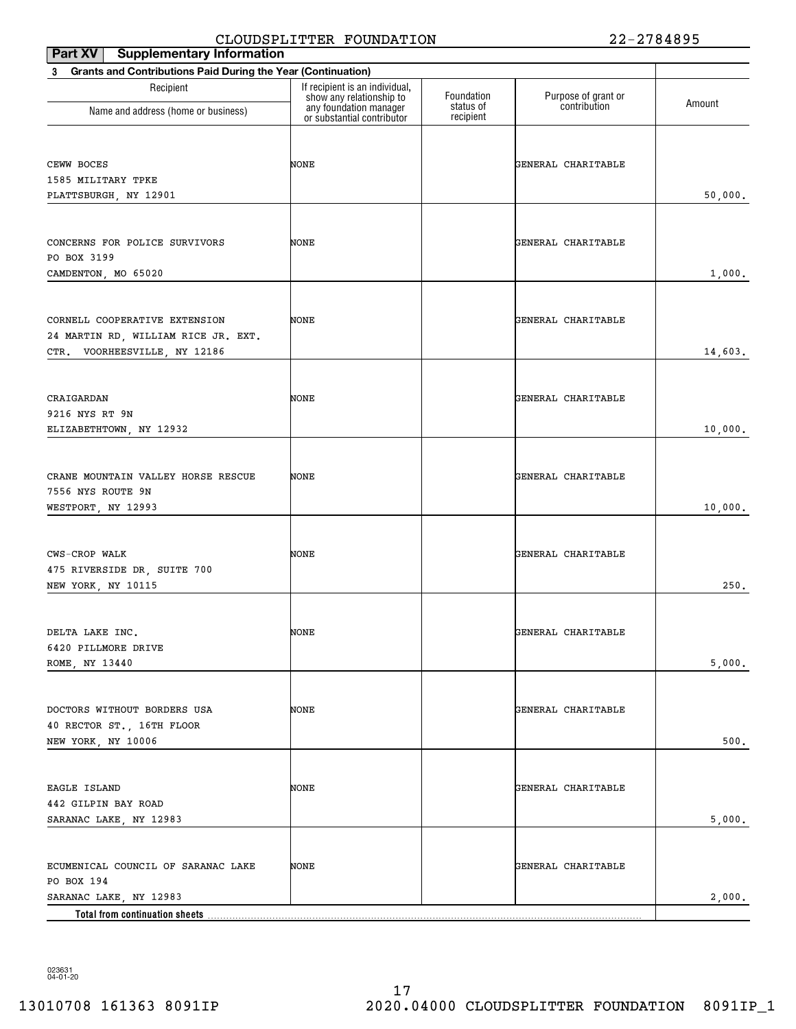| <b>Supplementary Information</b><br>Part XV                              | CHOODDI HIII IHK FOONDAIION                                |                        |                     | 2 7 0 <del>1</del> 0 7 J |
|--------------------------------------------------------------------------|------------------------------------------------------------|------------------------|---------------------|--------------------------|
| <b>Grants and Contributions Paid During the Year (Continuation)</b><br>3 |                                                            |                        |                     |                          |
| Recipient                                                                | If recipient is an individual,<br>show any relationship to | Foundation             | Purpose of grant or |                          |
| Name and address (home or business)                                      | any foundation manager<br>or substantial contributor       | status of<br>recipient | contribution        | Amount                   |
| CEWW BOCES                                                               | NONE                                                       |                        | GENERAL CHARITABLE  |                          |
| 1585 MILITARY TPKE                                                       |                                                            |                        |                     |                          |
| PLATTSBURGH, NY 12901                                                    |                                                            |                        |                     | 50,000.                  |
| CONCERNS FOR POLICE SURVIVORS                                            | NONE                                                       |                        | GENERAL CHARITABLE  |                          |
| PO BOX 3199<br>CAMDENTON, MO 65020                                       |                                                            |                        |                     | 1,000.                   |
|                                                                          |                                                            |                        |                     |                          |
| CORNELL COOPERATIVE EXTENSION                                            | NONE                                                       |                        | GENERAL CHARITABLE  |                          |
| 24 MARTIN RD, WILLIAM RICE JR. EXT.                                      |                                                            |                        |                     |                          |
| CTR. VOORHEESVILLE, NY 12186                                             |                                                            |                        |                     | 14,603.                  |
|                                                                          |                                                            |                        |                     |                          |
| CRAIGARDAN                                                               | NONE                                                       |                        | GENERAL CHARITABLE  |                          |
| 9216 NYS RT 9N<br>ELIZABETHTOWN, NY 12932                                |                                                            |                        |                     | 10,000.                  |
|                                                                          |                                                            |                        |                     |                          |
| CRANE MOUNTAIN VALLEY HORSE RESCUE                                       |                                                            |                        | GENERAL CHARITABLE  |                          |
| 7556 NYS ROUTE 9N                                                        | NONE                                                       |                        |                     |                          |
| WESTPORT, NY 12993                                                       |                                                            |                        |                     | 10,000.                  |
|                                                                          |                                                            |                        |                     |                          |
| CWS-CROP WALK                                                            | NONE                                                       |                        | GENERAL CHARITABLE  |                          |
| 475 RIVERSIDE DR, SUITE 700                                              |                                                            |                        |                     |                          |
| NEW YORK, NY 10115                                                       |                                                            |                        |                     | 250.                     |
|                                                                          |                                                            |                        |                     |                          |
| DELTA LAKE INC.                                                          | NONE                                                       |                        | GENERAL CHARITABLE  |                          |
| 6420 PILLMORE DRIVE                                                      |                                                            |                        |                     |                          |
| ROME, NY 13440                                                           |                                                            |                        |                     | 5,000.                   |
|                                                                          |                                                            |                        |                     |                          |
| DOCTORS WITHOUT BORDERS USA<br>40 RECTOR ST., 16TH FLOOR                 | NONE                                                       |                        | GENERAL CHARITABLE  |                          |
| NEW YORK, NY 10006                                                       |                                                            |                        |                     | 500.                     |
|                                                                          |                                                            |                        |                     |                          |
| EAGLE ISLAND                                                             | NONE                                                       |                        | GENERAL CHARITABLE  |                          |
| 442 GILPIN BAY ROAD                                                      |                                                            |                        |                     |                          |
| SARANAC LAKE, NY 12983                                                   |                                                            |                        |                     | 5,000.                   |
|                                                                          |                                                            |                        |                     |                          |
| ECUMENICAL COUNCIL OF SARANAC LAKE                                       | NONE                                                       |                        | GENERAL CHARITABLE  |                          |
| PO BOX 194<br>SARANAC LAKE, NY 12983                                     |                                                            |                        |                     | 2,000.                   |
|                                                                          |                                                            |                        |                     |                          |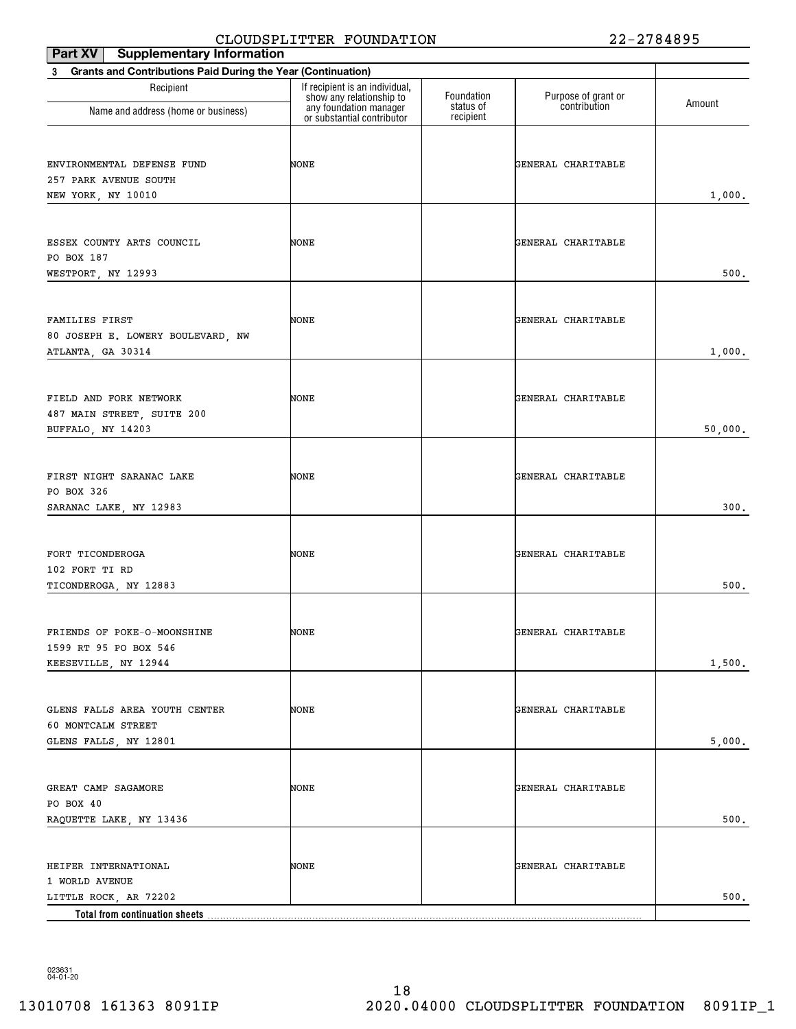| ,<br>2002122222021<br>Part XV   Supplementary Information                |                                                            |                        |                     |         |
|--------------------------------------------------------------------------|------------------------------------------------------------|------------------------|---------------------|---------|
| <b>Grants and Contributions Paid During the Year (Continuation)</b><br>3 |                                                            |                        |                     |         |
| Recipient                                                                | If recipient is an individual,<br>show any relationship to | Foundation             | Purpose of grant or | Amount  |
| Name and address (home or business)                                      | any foundation manager<br>or substantial contributor       | status of<br>recipient | contribution        |         |
|                                                                          |                                                            |                        |                     |         |
| ENVIRONMENTAL DEFENSE FUND                                               | NONE                                                       |                        | GENERAL CHARITABLE  |         |
| 257 PARK AVENUE SOUTH                                                    |                                                            |                        |                     |         |
| NEW YORK, NY 10010                                                       |                                                            |                        |                     | 1,000.  |
|                                                                          |                                                            |                        |                     |         |
| ESSEX COUNTY ARTS COUNCIL                                                | NONE                                                       |                        | GENERAL CHARITABLE  |         |
| PO BOX 187                                                               |                                                            |                        |                     |         |
| WESTPORT, NY 12993                                                       |                                                            |                        |                     | 500.    |
|                                                                          |                                                            |                        |                     |         |
| FAMILIES FIRST                                                           | NONE                                                       |                        | GENERAL CHARITABLE  |         |
| 80 JOSEPH E. LOWERY BOULEVARD, NW                                        |                                                            |                        |                     |         |
| ATLANTA, GA 30314                                                        |                                                            |                        |                     | 1,000.  |
|                                                                          |                                                            |                        |                     |         |
| FIELD AND FORK NETWORK                                                   | NONE                                                       |                        | GENERAL CHARITABLE  |         |
| 487 MAIN STREET, SUITE 200                                               |                                                            |                        |                     |         |
| BUFFALO, NY 14203                                                        |                                                            |                        |                     | 50,000. |
|                                                                          |                                                            |                        |                     |         |
|                                                                          |                                                            |                        |                     |         |
| FIRST NIGHT SARANAC LAKE                                                 | NONE                                                       |                        | GENERAL CHARITABLE  |         |
| PO BOX 326<br>SARANAC LAKE, NY 12983                                     |                                                            |                        |                     | 300.    |
|                                                                          |                                                            |                        |                     |         |
|                                                                          |                                                            |                        |                     |         |
| FORT TICONDEROGA                                                         | NONE                                                       |                        | GENERAL CHARITABLE  |         |
| 102 FORT TI RD                                                           |                                                            |                        |                     | 500.    |
| TICONDEROGA, NY 12883                                                    |                                                            |                        |                     |         |
|                                                                          |                                                            |                        |                     |         |
| FRIENDS OF POKE-O-MOONSHINE                                              | NONE                                                       |                        | GENERAL CHARITABLE  |         |
| 1599 RT 95 PO BOX 546                                                    |                                                            |                        |                     |         |
| KEESEVILLE, NY 12944                                                     |                                                            |                        |                     | 1,500.  |
|                                                                          |                                                            |                        |                     |         |
| GLENS FALLS AREA YOUTH CENTER                                            | NONE                                                       |                        | GENERAL CHARITABLE  |         |
| 60 MONTCALM STREET                                                       |                                                            |                        |                     |         |
| GLENS FALLS, NY 12801                                                    |                                                            |                        |                     | 5,000.  |
|                                                                          |                                                            |                        |                     |         |
| GREAT CAMP SAGAMORE                                                      | NONE                                                       |                        | GENERAL CHARITABLE  |         |
| PO BOX 40                                                                |                                                            |                        |                     |         |
| RAQUETTE LAKE, NY 13436                                                  |                                                            |                        |                     | 500.    |
|                                                                          |                                                            |                        |                     |         |
| HEIFER INTERNATIONAL                                                     | NONE                                                       |                        | GENERAL CHARITABLE  |         |
| 1 WORLD AVENUE                                                           |                                                            |                        |                     |         |
| LITTLE ROCK, AR 72202                                                    |                                                            |                        |                     | $500.$  |
| Total from continuation sheets                                           |                                                            |                        |                     |         |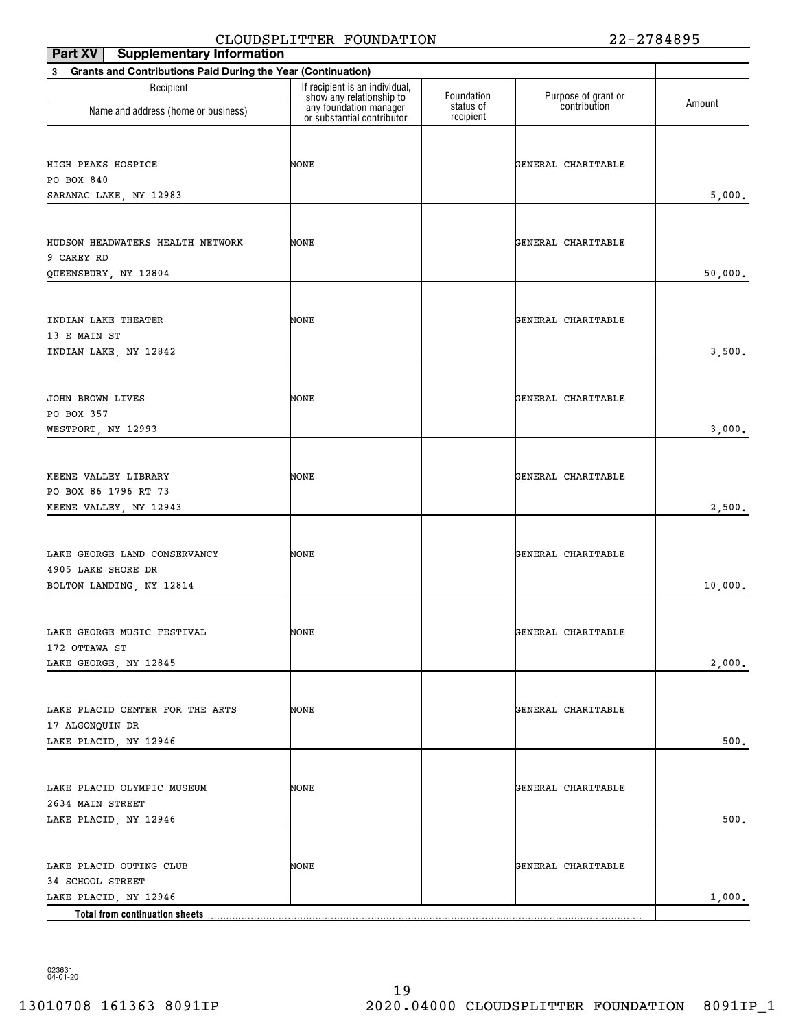| Part XV   Supplementary Information                                      | --------                                                   |                        |                     |         |
|--------------------------------------------------------------------------|------------------------------------------------------------|------------------------|---------------------|---------|
| <b>Grants and Contributions Paid During the Year (Continuation)</b><br>3 |                                                            |                        |                     |         |
| Recipient                                                                | If recipient is an individual,<br>show any relationship to | Foundation             | Purpose of grant or | Amount  |
| Name and address (home or business)                                      | any foundation manager<br>or substantial contributor       | status of<br>recipient | contribution        |         |
|                                                                          |                                                            |                        |                     |         |
| HIGH PEAKS HOSPICE                                                       | NONE                                                       |                        | GENERAL CHARITABLE  |         |
| PO BOX 840                                                               |                                                            |                        |                     |         |
| SARANAC LAKE, NY 12983                                                   |                                                            |                        |                     | 5,000.  |
|                                                                          |                                                            |                        |                     |         |
| HUDSON HEADWATERS HEALTH NETWORK                                         | NONE                                                       |                        | GENERAL CHARITABLE  |         |
| 9 CAREY RD                                                               |                                                            |                        |                     |         |
| QUEENSBURY, NY 12804                                                     |                                                            |                        |                     | 50,000. |
|                                                                          |                                                            |                        |                     |         |
|                                                                          |                                                            |                        |                     |         |
| INDIAN LAKE THEATER<br>13 E MAIN ST                                      | NONE                                                       |                        | GENERAL CHARITABLE  |         |
| INDIAN LAKE, NY 12842                                                    |                                                            |                        |                     | 3,500.  |
|                                                                          |                                                            |                        |                     |         |
|                                                                          |                                                            |                        |                     |         |
| JOHN BROWN LIVES                                                         | NONE                                                       |                        | GENERAL CHARITABLE  |         |
| PO BOX 357                                                               |                                                            |                        |                     |         |
| WESTPORT, NY 12993                                                       |                                                            |                        |                     | 3,000.  |
|                                                                          |                                                            |                        |                     |         |
| KEENE VALLEY LIBRARY                                                     | NONE                                                       |                        | GENERAL CHARITABLE  |         |
| PO BOX 86 1796 RT 73                                                     |                                                            |                        |                     |         |
| KEENE VALLEY, NY 12943                                                   |                                                            |                        |                     | 2,500.  |
|                                                                          |                                                            |                        |                     |         |
| LAKE GEORGE LAND CONSERVANCY                                             | NONE                                                       |                        | GENERAL CHARITABLE  |         |
| 4905 LAKE SHORE DR                                                       |                                                            |                        |                     |         |
| BOLTON LANDING, NY 12814                                                 |                                                            |                        |                     | 10,000. |
|                                                                          |                                                            |                        |                     |         |
| LAKE GEORGE MUSIC FESTIVAL                                               | NONE                                                       |                        | GENERAL CHARITABLE  |         |
| 172 OTTAWA ST                                                            |                                                            |                        |                     |         |
| LAKE GEORGE, NY 12845                                                    |                                                            |                        |                     | 2,000.  |
|                                                                          |                                                            |                        |                     |         |
| LAKE PLACID CENTER FOR THE ARTS                                          | NONE                                                       |                        | GENERAL CHARITABLE  |         |
| 17 ALGONQUIN DR                                                          |                                                            |                        |                     |         |
| LAKE PLACID, NY 12946                                                    |                                                            |                        |                     | 500.    |
|                                                                          |                                                            |                        |                     |         |
| LAKE PLACID OLYMPIC MUSEUM                                               | NONE                                                       |                        | GENERAL CHARITABLE  |         |
| 2634 MAIN STREET                                                         |                                                            |                        |                     |         |
| LAKE PLACID, NY 12946                                                    |                                                            |                        |                     | 500.    |
|                                                                          |                                                            |                        |                     |         |
|                                                                          |                                                            |                        |                     |         |
| LAKE PLACID OUTING CLUB<br>34 SCHOOL STREET                              | NONE                                                       |                        | GENERAL CHARITABLE  |         |
| LAKE PLACID, NY 12946                                                    |                                                            |                        |                     | 1,000.  |
|                                                                          |                                                            |                        |                     |         |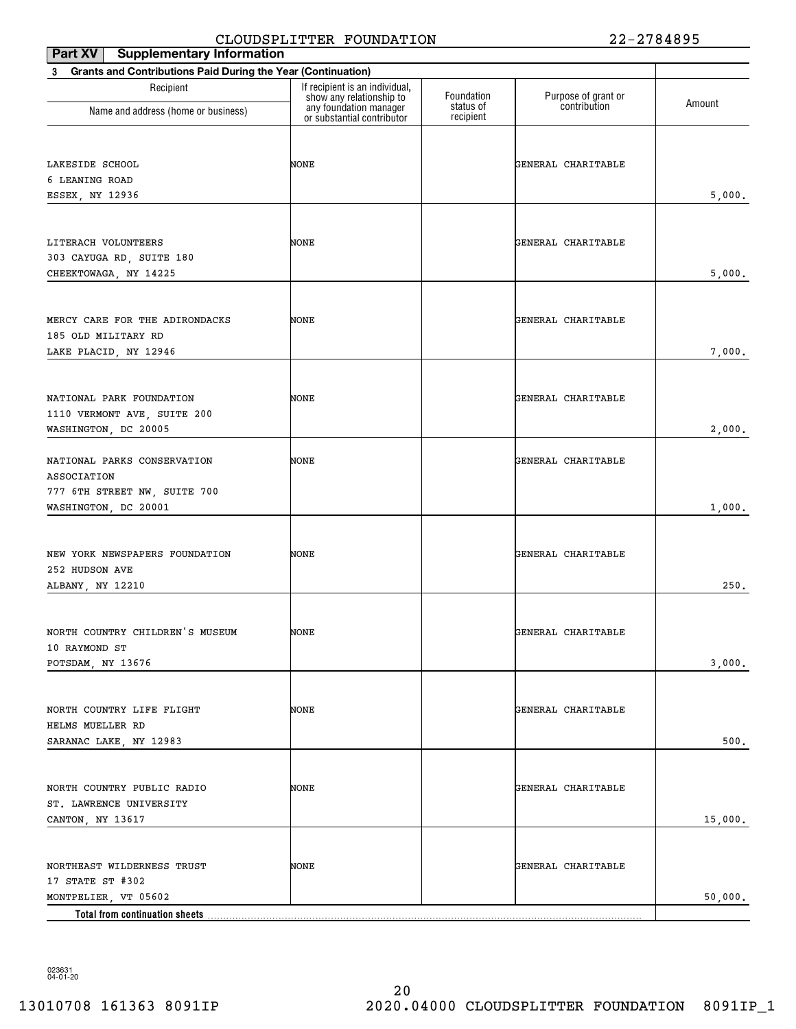| ===================<br><b>Supplementary Information</b><br>Part XV |                                                            |                         |                                     |         |
|--------------------------------------------------------------------|------------------------------------------------------------|-------------------------|-------------------------------------|---------|
| Grants and Contributions Paid During the Year (Continuation)<br>3  |                                                            |                         |                                     |         |
| Recipient                                                          | If recipient is an individual,<br>show any relationship to | Foundation<br>status of | Purpose of grant or<br>contribution | Amount  |
| Name and address (home or business)                                | any foundation manager<br>or substantial contributor       | recipient               |                                     |         |
|                                                                    |                                                            |                         |                                     |         |
|                                                                    |                                                            |                         |                                     |         |
| LAKESIDE SCHOOL<br>6 LEANING ROAD                                  | NONE                                                       |                         | GENERAL CHARITABLE                  |         |
| ESSEX, NY 12936                                                    |                                                            |                         |                                     | 5,000.  |
|                                                                    |                                                            |                         |                                     |         |
|                                                                    |                                                            |                         |                                     |         |
| LITERACH VOLUNTEERS                                                | NONE                                                       |                         | GENERAL CHARITABLE                  |         |
| 303 CAYUGA RD, SUITE 180                                           |                                                            |                         |                                     |         |
| CHEEKTOWAGA, NY 14225                                              |                                                            |                         |                                     | 5,000.  |
|                                                                    |                                                            |                         |                                     |         |
| MERCY CARE FOR THE ADIRONDACKS                                     | NONE                                                       |                         | GENERAL CHARITABLE                  |         |
| 185 OLD MILITARY RD                                                |                                                            |                         |                                     |         |
| LAKE PLACID, NY 12946                                              |                                                            |                         |                                     | 7,000.  |
|                                                                    |                                                            |                         |                                     |         |
|                                                                    |                                                            |                         |                                     |         |
| NATIONAL PARK FOUNDATION                                           | NONE                                                       |                         | GENERAL CHARITABLE                  |         |
| 1110 VERMONT AVE, SUITE 200                                        |                                                            |                         |                                     |         |
| WASHINGTON, DC 20005                                               |                                                            |                         |                                     | 2,000.  |
| NATIONAL PARKS CONSERVATION                                        | NONE                                                       |                         | GENERAL CHARITABLE                  |         |
| ASSOCIATION                                                        |                                                            |                         |                                     |         |
| 777 6TH STREET NW, SUITE 700                                       |                                                            |                         |                                     |         |
| WASHINGTON, DC 20001                                               |                                                            |                         |                                     | 1,000.  |
|                                                                    |                                                            |                         |                                     |         |
| NEW YORK NEWSPAPERS FOUNDATION                                     | NONE                                                       |                         | GENERAL CHARITABLE                  |         |
| 252 HUDSON AVE                                                     |                                                            |                         |                                     |         |
| ALBANY, NY 12210                                                   |                                                            |                         |                                     | 250.    |
|                                                                    |                                                            |                         |                                     |         |
|                                                                    |                                                            |                         |                                     |         |
| NORTH COUNTRY CHILDREN'S MUSEUM                                    | NONE                                                       |                         | GENERAL CHARITABLE                  |         |
| 10 RAYMOND ST                                                      |                                                            |                         |                                     |         |
| POTSDAM, NY 13676                                                  |                                                            |                         |                                     | 3,000.  |
|                                                                    |                                                            |                         |                                     |         |
| NORTH COUNTRY LIFE FLIGHT                                          | NONE                                                       |                         | GENERAL CHARITABLE                  |         |
| HELMS MUELLER RD                                                   |                                                            |                         |                                     |         |
| SARANAC LAKE, NY 12983                                             |                                                            |                         |                                     | 500.    |
|                                                                    |                                                            |                         |                                     |         |
|                                                                    |                                                            |                         |                                     |         |
| NORTH COUNTRY PUBLIC RADIO                                         | NONE                                                       |                         | GENERAL CHARITABLE                  |         |
| ST. LAWRENCE UNIVERSITY                                            |                                                            |                         |                                     |         |
| CANTON, NY 13617                                                   |                                                            |                         |                                     | 15,000. |
|                                                                    |                                                            |                         |                                     |         |
| NORTHEAST WILDERNESS TRUST                                         | NONE                                                       |                         | GENERAL CHARITABLE                  |         |
| 17 STATE ST #302                                                   |                                                            |                         |                                     |         |
| MONTPELIER, VT 05602                                               |                                                            |                         |                                     | 50,000. |
| Total from continuation sheets                                     |                                                            |                         |                                     |         |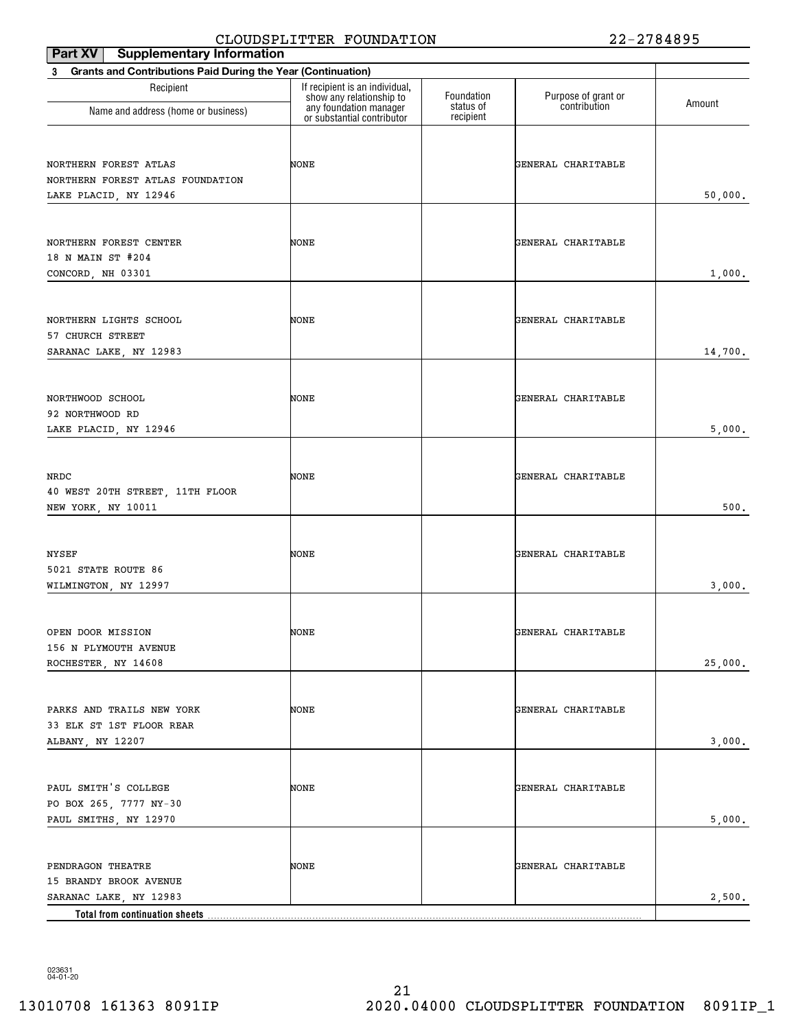| <b>Supplementary Information</b><br>Part XV                                        | CDOODDI DIIIDK FOONDAIION                                  |                        |                     | 21070JJ |
|------------------------------------------------------------------------------------|------------------------------------------------------------|------------------------|---------------------|---------|
| Grants and Contributions Paid During the Year (Continuation)<br>3                  |                                                            |                        |                     |         |
| Recipient                                                                          | If recipient is an individual,<br>show any relationship to | Foundation             | Purpose of grant or |         |
| Name and address (home or business)                                                | any foundation manager<br>or substantial contributor       | status of<br>recipient | contribution        | Amount  |
| NORTHERN FOREST ATLAS<br>NORTHERN FOREST ATLAS FOUNDATION<br>LAKE PLACID, NY 12946 | NONE                                                       |                        | GENERAL CHARITABLE  | 50,000. |
| NORTHERN FOREST CENTER<br>18 N MAIN ST #204<br>CONCORD, NH 03301                   | NONE                                                       |                        | GENERAL CHARITABLE  | 1,000.  |
| NORTHERN LIGHTS SCHOOL<br>57 CHURCH STREET<br>SARANAC LAKE, NY 12983               | NONE                                                       |                        | GENERAL CHARITABLE  | 14,700. |
| NORTHWOOD SCHOOL<br>92 NORTHWOOD RD<br>LAKE PLACID, NY 12946                       | NONE                                                       |                        | GENERAL CHARITABLE  | 5,000.  |
| NRDC<br>40 WEST 20TH STREET, 11TH FLOOR<br>NEW YORK, NY 10011                      | NONE                                                       |                        | GENERAL CHARITABLE  | 500.    |
| NYSEF<br>5021 STATE ROUTE 86<br>WILMINGTON, NY 12997                               | NONE                                                       |                        | GENERAL CHARITABLE  | 3,000.  |
| OPEN DOOR MISSION<br>156 N PLYMOUTH AVENUE<br>ROCHESTER, NY 14608                  | NONE                                                       |                        | GENERAL CHARITABLE  | 25,000. |
| PARKS AND TRAILS NEW YORK<br>33 ELK ST 1ST FLOOR REAR<br>ALBANY, NY 12207          | NONE                                                       |                        | GENERAL CHARITABLE  | 3,000.  |
| PAUL SMITH'S COLLEGE<br>PO BOX 265, 7777 NY-30<br>PAUL SMITHS, NY 12970            | NONE                                                       |                        | GENERAL CHARITABLE  | 5,000.  |
| PENDRAGON THEATRE<br>15 BRANDY BROOK AVENUE<br>SARANAC LAKE, NY 12983              | NONE                                                       |                        | GENERAL CHARITABLE  | 2,500.  |
| Total from continuation sheets                                                     |                                                            |                        |                     |         |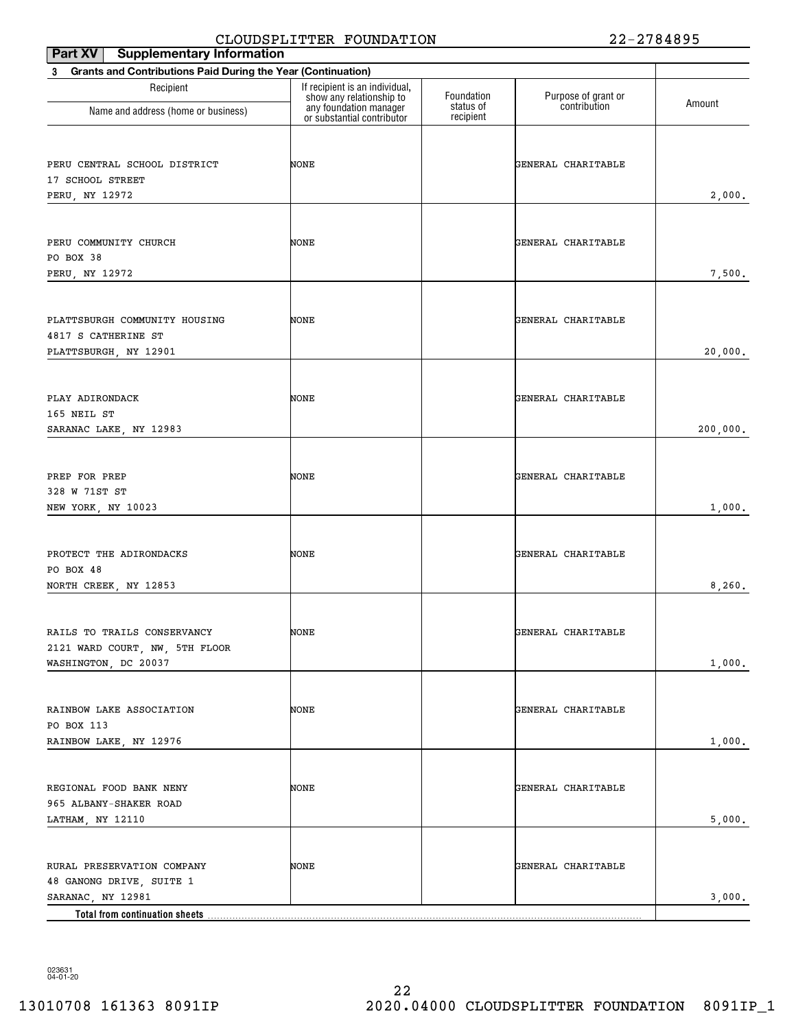| -------<br>Part XV   Supplementary Information                                                                |                                                            |                        |                     |          |
|---------------------------------------------------------------------------------------------------------------|------------------------------------------------------------|------------------------|---------------------|----------|
| <b>Grants and Contributions Paid During the Year (Continuation)</b><br>3                                      |                                                            |                        |                     |          |
| Recipient                                                                                                     | If recipient is an individual,<br>show any relationship to | Foundation             | Purpose of grant or | Amount   |
| Name and address (home or business)                                                                           | any foundation manager<br>or substantial contributor       | status of<br>recipient | contribution        |          |
| PERU CENTRAL SCHOOL DISTRICT<br>17 SCHOOL STREET<br>PERU, NY 12972                                            | NONE                                                       |                        | GENERAL CHARITABLE  | 2,000.   |
| PERU COMMUNITY CHURCH<br>PO BOX 38<br>PERU, NY 12972                                                          | NONE                                                       |                        | GENERAL CHARITABLE  | 7,500.   |
| PLATTSBURGH COMMUNITY HOUSING<br>4817 S CATHERINE ST<br>PLATTSBURGH, NY 12901                                 | NONE                                                       |                        | GENERAL CHARITABLE  | 20,000.  |
| PLAY ADIRONDACK<br>165 NEIL ST<br>SARANAC LAKE, NY 12983                                                      | NONE                                                       |                        | GENERAL CHARITABLE  | 200,000. |
| PREP FOR PREP<br>328 W 71ST ST<br>NEW YORK, NY 10023                                                          | NONE                                                       |                        | GENERAL CHARITABLE  | 1,000.   |
| PROTECT THE ADIRONDACKS<br>PO BOX 48<br>NORTH CREEK, NY 12853                                                 | NONE                                                       |                        | GENERAL CHARITABLE  | 8,260.   |
| RAILS TO TRAILS CONSERVANCY<br>2121 WARD COURT, NW, 5TH FLOOR<br>WASHINGTON, DC 20037                         | NONE                                                       |                        | GENERAL CHARITABLE  | 1,000.   |
| RAINBOW LAKE ASSOCIATION<br>PO BOX 113<br>RAINBOW LAKE, NY 12976                                              | NONE                                                       |                        | GENERAL CHARITABLE  | 1,000.   |
| REGIONAL FOOD BANK NENY<br>965 ALBANY-SHAKER ROAD<br>LATHAM, NY 12110                                         | NONE                                                       |                        | GENERAL CHARITABLE  | 5,000.   |
| RURAL PRESERVATION COMPANY<br>48 GANONG DRIVE, SUITE 1<br>SARANAC, NY 12981<br>Total from continuation sheets | NONE                                                       |                        | GENERAL CHARITABLE  | 3,000.   |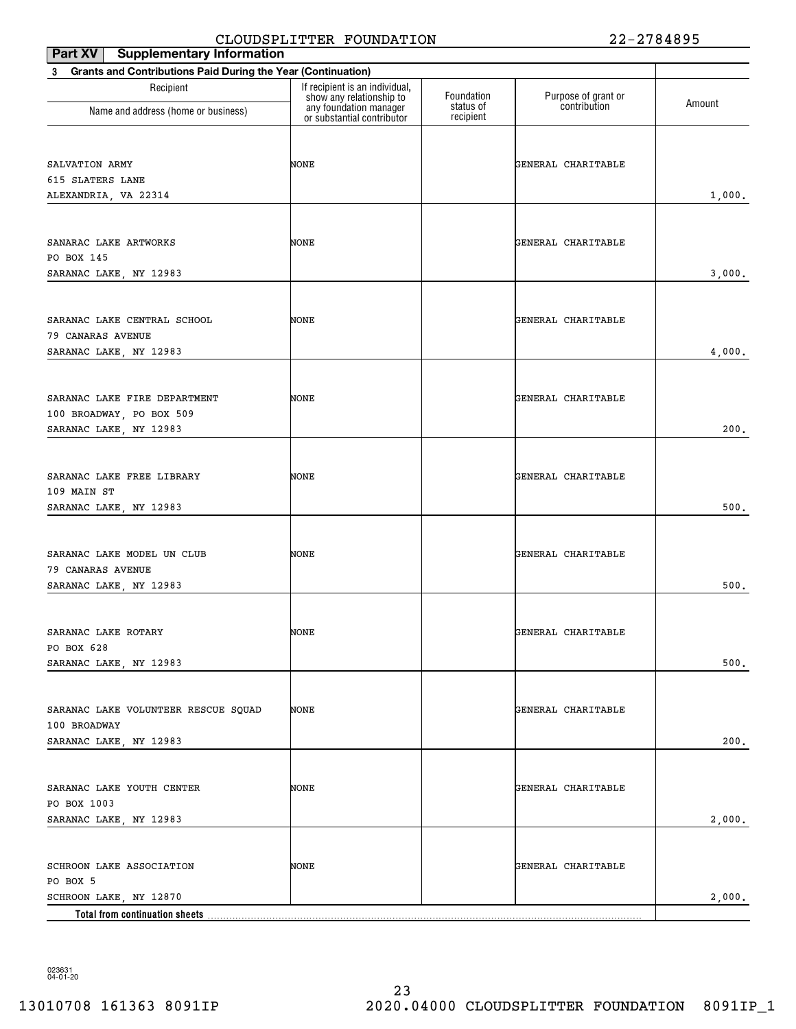| <b>Part XV</b> Supplementary Information                       | $\frac{1}{2}$                                              |                        | 22 27VIVO           |        |
|----------------------------------------------------------------|------------------------------------------------------------|------------------------|---------------------|--------|
| 3 Grants and Contributions Paid During the Year (Continuation) |                                                            |                        |                     |        |
| Recipient                                                      | If recipient is an individual,<br>show any relationship to | Foundation             | Purpose of grant or | Amount |
| Name and address (home or business)                            | any foundation manager<br>or substantial contributor       | status of<br>recipient | contribution        |        |
|                                                                |                                                            |                        |                     |        |
| SALVATION ARMY                                                 | NONE                                                       |                        | GENERAL CHARITABLE  |        |
| 615 SLATERS LANE                                               |                                                            |                        |                     |        |
| ALEXANDRIA, VA 22314                                           |                                                            |                        |                     | 1,000. |
|                                                                |                                                            |                        |                     |        |
| SANARAC LAKE ARTWORKS                                          | NONE                                                       |                        | GENERAL CHARITABLE  |        |
| PO BOX 145                                                     |                                                            |                        |                     |        |
| SARANAC LAKE, NY 12983                                         |                                                            |                        |                     | 3,000. |
| SARANAC LAKE CENTRAL SCHOOL                                    | NONE                                                       |                        | GENERAL CHARITABLE  |        |
| 79 CANARAS AVENUE                                              |                                                            |                        |                     |        |
| SARANAC LAKE, NY 12983                                         |                                                            |                        |                     | 4,000. |
|                                                                |                                                            |                        |                     |        |
|                                                                |                                                            |                        |                     |        |
| SARANAC LAKE FIRE DEPARTMENT                                   | NONE                                                       |                        | GENERAL CHARITABLE  |        |
| 100 BROADWAY, PO BOX 509<br>SARANAC LAKE, NY 12983             |                                                            |                        |                     | 200.   |
|                                                                |                                                            |                        |                     |        |
|                                                                |                                                            |                        |                     |        |
| SARANAC LAKE FREE LIBRARY                                      | NONE                                                       |                        | GENERAL CHARITABLE  |        |
| 109 MAIN ST                                                    |                                                            |                        |                     |        |
| SARANAC LAKE, NY 12983                                         |                                                            |                        |                     | 500.   |
|                                                                |                                                            |                        |                     |        |
| SARANAC LAKE MODEL UN CLUB                                     | NONE                                                       |                        | GENERAL CHARITABLE  |        |
| 79 CANARAS AVENUE                                              |                                                            |                        |                     |        |
| SARANAC LAKE, NY 12983                                         |                                                            |                        |                     | 500.   |
|                                                                |                                                            |                        |                     |        |
| SARANAC LAKE ROTARY                                            | NONE                                                       |                        | GENERAL CHARITABLE  |        |
| PO BOX 628<br>SARANAC LAKE, NY 12983                           |                                                            |                        |                     | 500.   |
|                                                                |                                                            |                        |                     |        |
|                                                                |                                                            |                        |                     |        |
| SARANAC LAKE VOLUNTEER RESCUE SQUAD<br>100 BROADWAY            | NONE                                                       |                        | GENERAL CHARITABLE  |        |
| SARANAC LAKE, NY 12983                                         |                                                            |                        |                     | 200.   |
|                                                                |                                                            |                        |                     |        |
|                                                                | NONE                                                       |                        |                     |        |
| SARANAC LAKE YOUTH CENTER<br>PO BOX 1003                       |                                                            |                        | GENERAL CHARITABLE  |        |
| SARANAC LAKE, NY 12983                                         |                                                            |                        |                     | 2,000. |
|                                                                |                                                            |                        |                     |        |
| SCHROON LAKE ASSOCIATION                                       | NONE                                                       |                        | GENERAL CHARITABLE  |        |
| PO BOX 5                                                       |                                                            |                        |                     |        |
| SCHROON LAKE, NY 12870                                         |                                                            |                        |                     | 2,000. |
| Total from continuation sheets                                 |                                                            |                        |                     |        |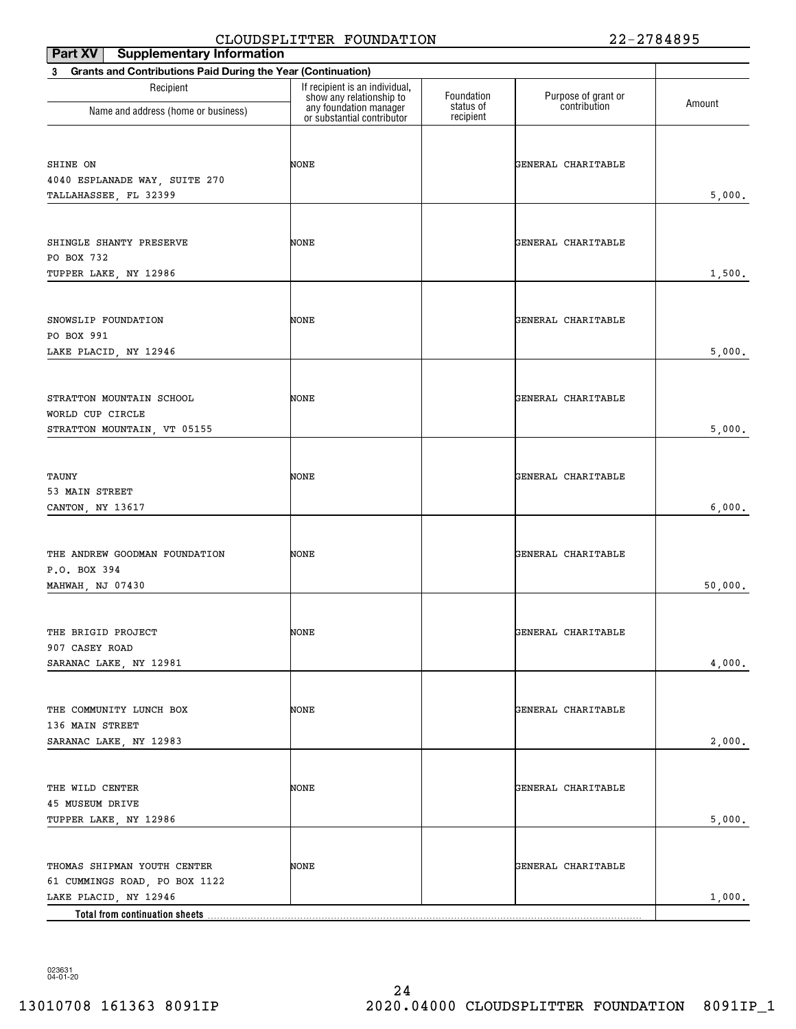| <b>Supplementary Information</b><br>Part XV                              | CHOODDI HIII IHK FOONDAIION                                |                        | 44                  | 2 7 0 <del>1</del> 0 2 J |
|--------------------------------------------------------------------------|------------------------------------------------------------|------------------------|---------------------|--------------------------|
| <b>Grants and Contributions Paid During the Year (Continuation)</b><br>3 |                                                            |                        |                     |                          |
| Recipient                                                                | If recipient is an individual,<br>show any relationship to | Foundation             | Purpose of grant or |                          |
| Name and address (home or business)                                      | any foundation manager<br>or substantial contributor       | status of<br>recipient | contribution        | Amount                   |
|                                                                          |                                                            |                        |                     |                          |
| SHINE ON<br>4040 ESPLANADE WAY, SUITE 270                                | NONE                                                       |                        | GENERAL CHARITABLE  |                          |
| TALLAHASSEE, FL 32399                                                    |                                                            |                        |                     | 5,000.                   |
|                                                                          |                                                            |                        |                     |                          |
| SHINGLE SHANTY PRESERVE                                                  | NONE                                                       |                        | GENERAL CHARITABLE  |                          |
| PO BOX 732<br>TUPPER LAKE, NY 12986                                      |                                                            |                        |                     | 1,500.                   |
|                                                                          |                                                            |                        |                     |                          |
| SNOWSLIP FOUNDATION                                                      | NONE                                                       |                        | GENERAL CHARITABLE  |                          |
| PO BOX 991                                                               |                                                            |                        |                     |                          |
| LAKE PLACID, NY 12946                                                    |                                                            |                        |                     | 5,000.                   |
|                                                                          |                                                            |                        |                     |                          |
| STRATTON MOUNTAIN SCHOOL<br>WORLD CUP CIRCLE                             | NONE                                                       |                        | GENERAL CHARITABLE  |                          |
| STRATTON MOUNTAIN, VT 05155                                              |                                                            |                        |                     | 5,000.                   |
|                                                                          |                                                            |                        |                     |                          |
| TAUNY                                                                    | NONE                                                       |                        | GENERAL CHARITABLE  |                          |
| 53 MAIN STREET<br>CANTON, NY 13617                                       |                                                            |                        |                     | 6,000.                   |
|                                                                          |                                                            |                        |                     |                          |
| THE ANDREW GOODMAN FOUNDATION                                            | NONE                                                       |                        | GENERAL CHARITABLE  |                          |
| P.O. BOX 394                                                             |                                                            |                        |                     |                          |
| MAHWAH, NJ 07430                                                         |                                                            |                        |                     | 50,000.                  |
|                                                                          |                                                            |                        |                     |                          |
| THE BRIGID PROJECT<br>907 CASEY ROAD                                     | NONE                                                       |                        | GENERAL CHARITABLE  |                          |
| SARANAC LAKE, NY 12981                                                   |                                                            |                        |                     | 4,000.                   |
|                                                                          |                                                            |                        |                     |                          |
| THE COMMUNITY LUNCH BOX                                                  | NONE                                                       |                        | GENERAL CHARITABLE  |                          |
| 136 MAIN STREET                                                          |                                                            |                        |                     | 2,000.                   |
| SARANAC LAKE, NY 12983                                                   |                                                            |                        |                     |                          |
| THE WILD CENTER                                                          | NONE                                                       |                        | GENERAL CHARITABLE  |                          |
| 45 MUSEUM DRIVE                                                          |                                                            |                        |                     |                          |
| TUPPER LAKE, NY 12986                                                    |                                                            |                        |                     | 5,000.                   |
|                                                                          |                                                            |                        |                     |                          |
| THOMAS SHIPMAN YOUTH CENTER                                              | NONE                                                       |                        | GENERAL CHARITABLE  |                          |
| 61 CUMMINGS ROAD, PO BOX 1122<br>LAKE PLACID, NY 12946                   |                                                            |                        |                     | 1,000.                   |
|                                                                          |                                                            |                        |                     |                          |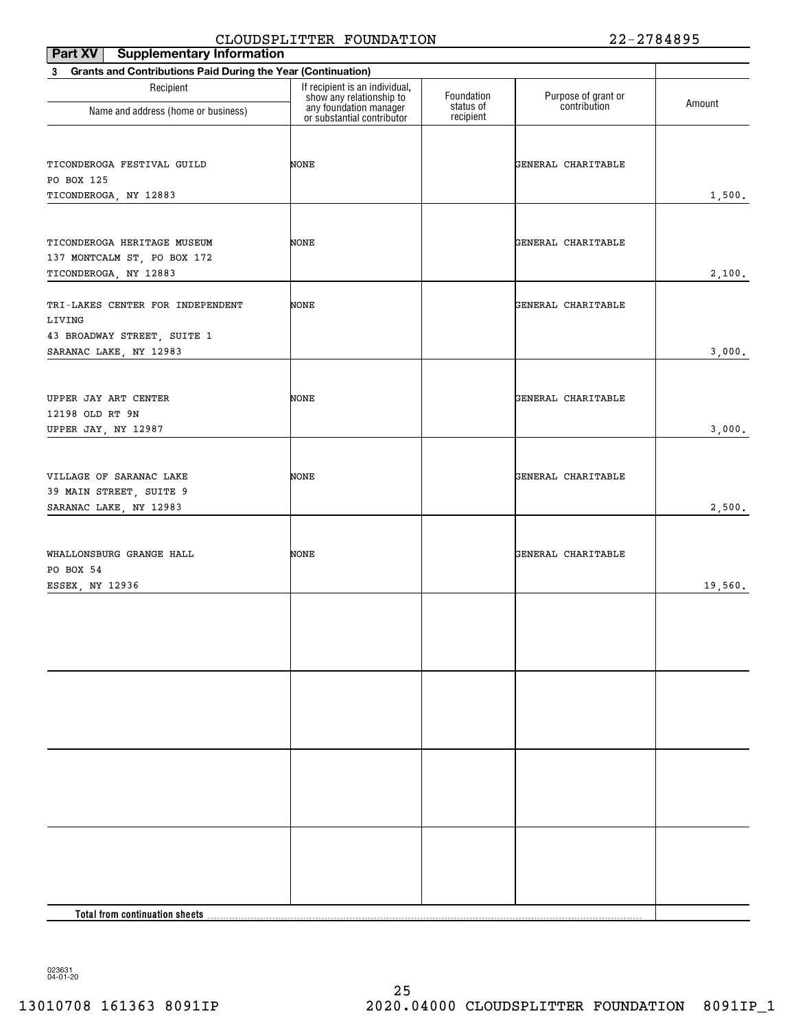| Part XV<br><b>Supplementary Information</b>                    |                                                            |                         |                                     |         |
|----------------------------------------------------------------|------------------------------------------------------------|-------------------------|-------------------------------------|---------|
| 3 Grants and Contributions Paid During the Year (Continuation) |                                                            |                         |                                     |         |
| Recipient                                                      | If recipient is an individual,<br>show any relationship to | Foundation<br>status of | Purpose of grant or<br>contribution | Amount  |
| Name and address (home or business)                            | any foundation manager<br>or substantial contributor       | recipient               |                                     |         |
|                                                                |                                                            |                         |                                     |         |
| TICONDEROGA FESTIVAL GUILD                                     | NONE                                                       |                         | GENERAL CHARITABLE                  |         |
| PO BOX 125                                                     |                                                            |                         |                                     |         |
| TICONDEROGA, NY 12883                                          |                                                            |                         |                                     | 1,500.  |
|                                                                |                                                            |                         |                                     |         |
| TICONDEROGA HERITAGE MUSEUM                                    | NONE                                                       |                         | GENERAL CHARITABLE                  |         |
| 137 MONTCALM ST, PO BOX 172                                    |                                                            |                         |                                     |         |
| TICONDEROGA, NY 12883                                          |                                                            |                         |                                     | 2,100.  |
|                                                                |                                                            |                         |                                     |         |
| TRI-LAKES CENTER FOR INDEPENDENT                               | NONE                                                       |                         | GENERAL CHARITABLE                  |         |
| LIVING                                                         |                                                            |                         |                                     |         |
| 43 BROADWAY STREET, SUITE 1<br>SARANAC LAKE, NY 12983          |                                                            |                         |                                     | 3,000.  |
|                                                                |                                                            |                         |                                     |         |
|                                                                |                                                            |                         |                                     |         |
| UPPER JAY ART CENTER                                           | NONE                                                       |                         | GENERAL CHARITABLE                  |         |
| 12198 OLD RT 9N                                                |                                                            |                         |                                     |         |
| UPPER JAY, NY 12987                                            |                                                            |                         |                                     | 3,000.  |
|                                                                |                                                            |                         |                                     |         |
| VILLAGE OF SARANAC LAKE                                        | NONE                                                       |                         | GENERAL CHARITABLE                  |         |
| 39 MAIN STREET, SUITE 9                                        |                                                            |                         |                                     |         |
| SARANAC LAKE, NY 12983                                         |                                                            |                         |                                     | 2,500.  |
|                                                                |                                                            |                         |                                     |         |
| WHALLONSBURG GRANGE HALL                                       | NONE                                                       |                         | GENERAL CHARITABLE                  |         |
| PO BOX 54                                                      |                                                            |                         |                                     |         |
| ESSEX, NY 12936                                                |                                                            |                         |                                     | 19,560. |
|                                                                |                                                            |                         |                                     |         |
|                                                                |                                                            |                         |                                     |         |
|                                                                |                                                            |                         |                                     |         |
|                                                                |                                                            |                         |                                     |         |
|                                                                |                                                            |                         |                                     |         |
|                                                                |                                                            |                         |                                     |         |
|                                                                |                                                            |                         |                                     |         |
|                                                                |                                                            |                         |                                     |         |
|                                                                |                                                            |                         |                                     |         |
|                                                                |                                                            |                         |                                     |         |
|                                                                |                                                            |                         |                                     |         |
|                                                                |                                                            |                         |                                     |         |
|                                                                |                                                            |                         |                                     |         |
|                                                                |                                                            |                         |                                     |         |
|                                                                |                                                            |                         |                                     |         |
|                                                                |                                                            |                         |                                     |         |
|                                                                |                                                            |                         |                                     |         |
| Total from continuation sheets.                                |                                                            |                         |                                     |         |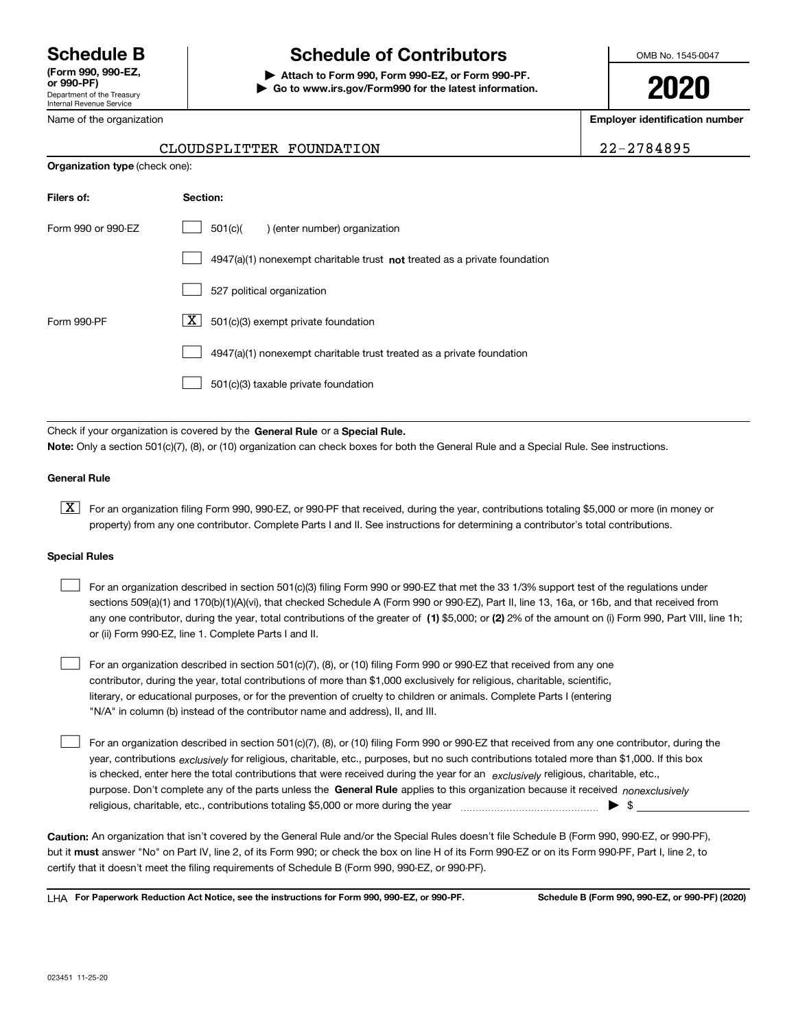Department of the Treasury Internal Revenue Service **(Form 990, 990-EZ, or 990-PF)**

### Name of the organization

**Organization type** (check one):

## **Schedule B Schedule of Contributors**

**| Attach to Form 990, Form 990-EZ, or Form 990-PF. | Go to www.irs.gov/Form990 for the latest information.** OMB No. 1545-0047

**2020**

**Employer identification number**

| 2-2784895 |  |
|-----------|--|
|-----------|--|

### CLOUDSPLITTER FOUNDATION 2

| Filers of:         | Section:                                                                  |
|--------------------|---------------------------------------------------------------------------|
| Form 990 or 990-FZ | 501(c)<br>) (enter number) organization                                   |
|                    | 4947(a)(1) nonexempt charitable trust not treated as a private foundation |
|                    | 527 political organization                                                |
| Form 990-PF        | ΧI<br>501(c)(3) exempt private foundation                                 |
|                    | 4947(a)(1) nonexempt charitable trust treated as a private foundation     |
|                    | 501(c)(3) taxable private foundation                                      |

Check if your organization is covered by the **General Rule** or a **Special Rule. Note:**  Only a section 501(c)(7), (8), or (10) organization can check boxes for both the General Rule and a Special Rule. See instructions.

### **General Rule**

 $\boxed{\textbf{X}}$  For an organization filing Form 990, 990-EZ, or 990-PF that received, during the year, contributions totaling \$5,000 or more (in money or property) from any one contributor. Complete Parts I and II. See instructions for determining a contributor's total contributions.

### **Special Rules**

| For an organization described in section 501(c)(3) filing Form 990 or 990-EZ that met the 33 1/3% support test of the regulations under               |
|-------------------------------------------------------------------------------------------------------------------------------------------------------|
| sections 509(a)(1) and 170(b)(1)(A)(vi), that checked Schedule A (Form 990 or 990-EZ), Part II, line 13, 16a, or 16b, and that received from          |
| any one contributor, during the year, total contributions of the greater of (1) \$5,000; or (2) 2% of the amount on (i) Form 990, Part VIII, line 1h; |
| or (ii) Form 990-EZ, line 1. Complete Parts I and II.                                                                                                 |

For an organization described in section 501(c)(7), (8), or (10) filing Form 990 or 990-EZ that received from any one contributor, during the year, total contributions of more than \$1,000 exclusively for religious, charitable, scientific, literary, or educational purposes, or for the prevention of cruelty to children or animals. Complete Parts I (entering "N/A" in column (b) instead of the contributor name and address), II, and III.  $\mathcal{L}^{\text{max}}$ 

purpose. Don't complete any of the parts unless the **General Rule** applies to this organization because it received *nonexclusively* year, contributions <sub>exclusively</sub> for religious, charitable, etc., purposes, but no such contributions totaled more than \$1,000. If this box is checked, enter here the total contributions that were received during the year for an *exclusively* religious, charitable, etc., For an organization described in section 501(c)(7), (8), or (10) filing Form 990 or 990-EZ that received from any one contributor, during the religious, charitable, etc., contributions totaling \$5,000 or more during the year  $\Box$ — $\Box$   $\Box$  $\mathcal{L}^{\text{max}}$ 

**Caution:**  An organization that isn't covered by the General Rule and/or the Special Rules doesn't file Schedule B (Form 990, 990-EZ, or 990-PF),  **must** but it answer "No" on Part IV, line 2, of its Form 990; or check the box on line H of its Form 990-EZ or on its Form 990-PF, Part I, line 2, to certify that it doesn't meet the filing requirements of Schedule B (Form 990, 990-EZ, or 990-PF).

**For Paperwork Reduction Act Notice, see the instructions for Form 990, 990-EZ, or 990-PF. Schedule B (Form 990, 990-EZ, or 990-PF) (2020)** LHA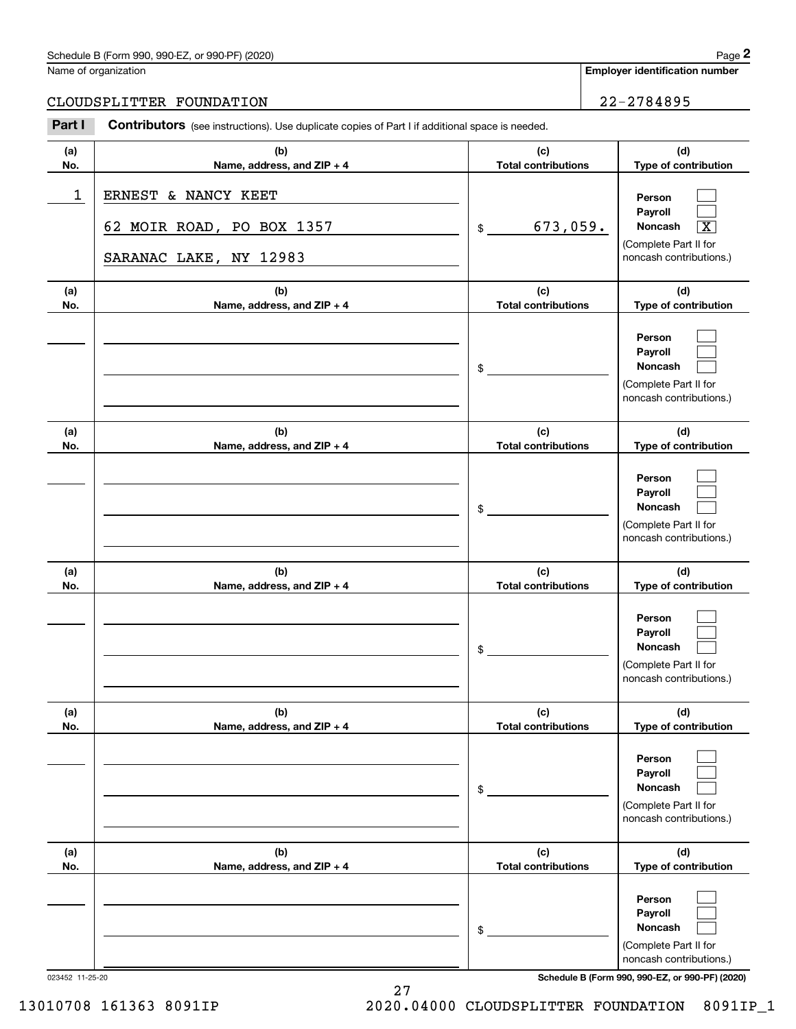### Schedule B (Form 990, 990-EZ, or 990-PF) (2020) Page 2

### CLOUDSPLITTER FOUNDATION 22-2784895

|            | Schedule B (Form 990, 990-EZ, or 990-PF) (2020)                                                |                                   | Page 2                                                                                                      |
|------------|------------------------------------------------------------------------------------------------|-----------------------------------|-------------------------------------------------------------------------------------------------------------|
|            | Name of organization                                                                           |                                   | <b>Employer identification number</b>                                                                       |
|            | CLOUDSPLITTER FOUNDATION                                                                       |                                   | 22-2784895                                                                                                  |
| Part I     | Contributors (see instructions). Use duplicate copies of Part I if additional space is needed. |                                   |                                                                                                             |
| (a)<br>No. | (b)<br>Name, address, and ZIP + 4                                                              | (c)<br><b>Total contributions</b> | (d)<br>Type of contribution                                                                                 |
| 1          | ERNEST & NANCY KEET<br>62 MOIR ROAD, PO BOX 1357<br>SARANAC LAKE, NY 12983                     | 673,059.<br>\$                    | Person<br>Payroll<br>Noncash<br>$\overline{\texttt{X}}$<br>(Complete Part II for<br>noncash contributions.) |
| (a)<br>No. | (b)<br>Name, address, and ZIP + 4                                                              | (c)<br><b>Total contributions</b> | (d)<br>Type of contribution                                                                                 |
|            |                                                                                                | \$                                | Person<br>Payroll<br>Noncash<br>(Complete Part II for<br>noncash contributions.)                            |
| (a)<br>No. | (b)<br>Name, address, and ZIP + 4                                                              | (c)<br><b>Total contributions</b> | (d)<br>Type of contribution                                                                                 |
|            |                                                                                                | \$                                | Person<br>Payroll<br>Noncash<br>(Complete Part II for<br>noncash contributions.)                            |
| (a)<br>No. | (b)<br>Name, address, and ZIP + 4                                                              | (c)<br><b>Total contributions</b> | (d)<br>Type of contribution                                                                                 |
|            |                                                                                                | \$                                | Person<br>Payroll<br>Noncash<br>(Complete Part II for<br>noncash contributions.)                            |
| (a)<br>No. | (b)<br>Name, address, and ZIP + 4                                                              | (c)<br><b>Total contributions</b> | (d)<br>Type of contribution                                                                                 |
|            |                                                                                                | \$                                | Person<br>Payroll<br>Noncash<br>(Complete Part II for<br>noncash contributions.)                            |
| (a)<br>No. | (b)<br>Name, address, and ZIP + 4                                                              | (c)<br><b>Total contributions</b> | (d)<br>Type of contribution                                                                                 |
|            |                                                                                                | \$                                | Person<br>Payroll<br>Noncash<br>(Complete Part II for<br>noncash contributions.)                            |

023452 11-25-20 **Schedule B (Form 990, 990-EZ, or 990-PF) (2020)**

27 13010708 161363 8091IP 2020.04000 CLOUDSPLITTER FOUNDATION 8091IP\_1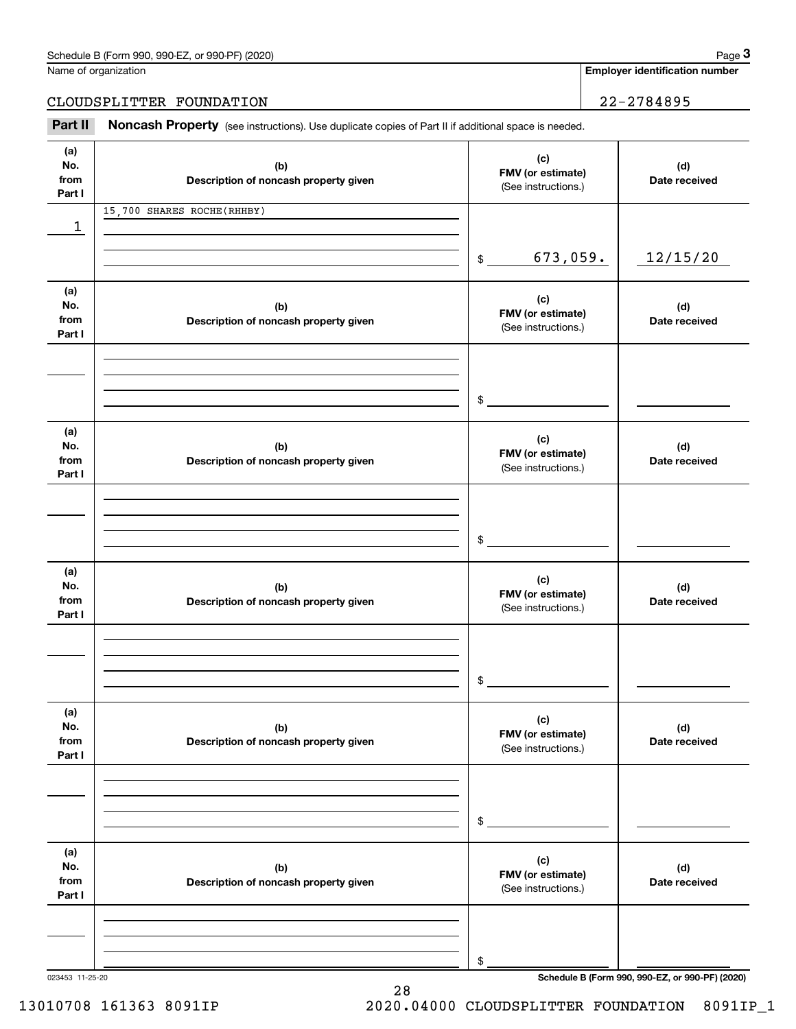| Schedule B (Form 990, 990-EZ, or 990-PF) (2020) | Page |
|-------------------------------------------------|------|
|-------------------------------------------------|------|

Name of organization

**Employer identification number**

CLOUDSPLITTER FOUNDATION 22-2784895

(see instructions). Use duplicate copies of Part II if additional space is needed.<br> **22-2784895**<br> **22-2784895**<br> **Part II Noncash Property** (see instructions). Use duplicate copies of Part II if additional space is needed

| (a)             |                                       | (c)                       |                                                 |
|-----------------|---------------------------------------|---------------------------|-------------------------------------------------|
| No.             | (b)                                   | FMV (or estimate)         | (d)                                             |
| from            | Description of noncash property given | (See instructions.)       | Date received                                   |
| Part I          |                                       |                           |                                                 |
|                 | 15,700 SHARES ROCHE(RHHBY)            |                           |                                                 |
| 1               |                                       |                           |                                                 |
|                 |                                       |                           |                                                 |
|                 |                                       | 673,059.<br>$\frac{1}{2}$ | 12/15/20                                        |
|                 |                                       |                           |                                                 |
| (a)             |                                       | (c)                       |                                                 |
| No.             | (b)                                   | FMV (or estimate)         | (d)                                             |
| from            | Description of noncash property given | (See instructions.)       | Date received                                   |
| Part I          |                                       |                           |                                                 |
|                 |                                       |                           |                                                 |
|                 |                                       |                           |                                                 |
|                 |                                       |                           |                                                 |
|                 |                                       | $\frac{1}{2}$             |                                                 |
|                 |                                       |                           |                                                 |
| (a)             |                                       | (c)                       |                                                 |
| No.             | (b)                                   | FMV (or estimate)         | (d)                                             |
| from            | Description of noncash property given | (See instructions.)       | Date received                                   |
| Part I          |                                       |                           |                                                 |
|                 |                                       |                           |                                                 |
|                 |                                       |                           |                                                 |
|                 |                                       |                           |                                                 |
|                 |                                       | \$                        |                                                 |
|                 |                                       |                           |                                                 |
| (a)             |                                       | (c)                       |                                                 |
| No.             | (b)                                   | FMV (or estimate)         | (d)                                             |
| from            | Description of noncash property given | (See instructions.)       | Date received                                   |
| Part I          |                                       |                           |                                                 |
|                 |                                       |                           |                                                 |
|                 |                                       |                           |                                                 |
|                 |                                       |                           |                                                 |
|                 |                                       | $\mathfrak s$             |                                                 |
|                 |                                       |                           |                                                 |
| (a)             |                                       |                           |                                                 |
| No.             | (b)                                   | (c)<br>FMV (or estimate)  | (d)                                             |
| from            | Description of noncash property given | (See instructions.)       | Date received                                   |
| Part I          |                                       |                           |                                                 |
|                 |                                       |                           |                                                 |
|                 |                                       |                           |                                                 |
|                 |                                       |                           |                                                 |
|                 |                                       | \$                        |                                                 |
|                 |                                       |                           |                                                 |
| (a)             |                                       | (c)                       |                                                 |
| No.             | (b)                                   | FMV (or estimate)         | (d)                                             |
| from            | Description of noncash property given | (See instructions.)       | Date received                                   |
| Part I          |                                       |                           |                                                 |
|                 |                                       |                           |                                                 |
|                 |                                       |                           |                                                 |
|                 |                                       |                           |                                                 |
|                 |                                       | \$                        |                                                 |
| 023453 11-25-20 |                                       |                           | Schedule B (Form 990, 990-EZ, or 990-PF) (2020) |

28

13010708 161363 8091IP 2020.04000 CLOUDSPLITTER FOUNDATION 8091IP\_1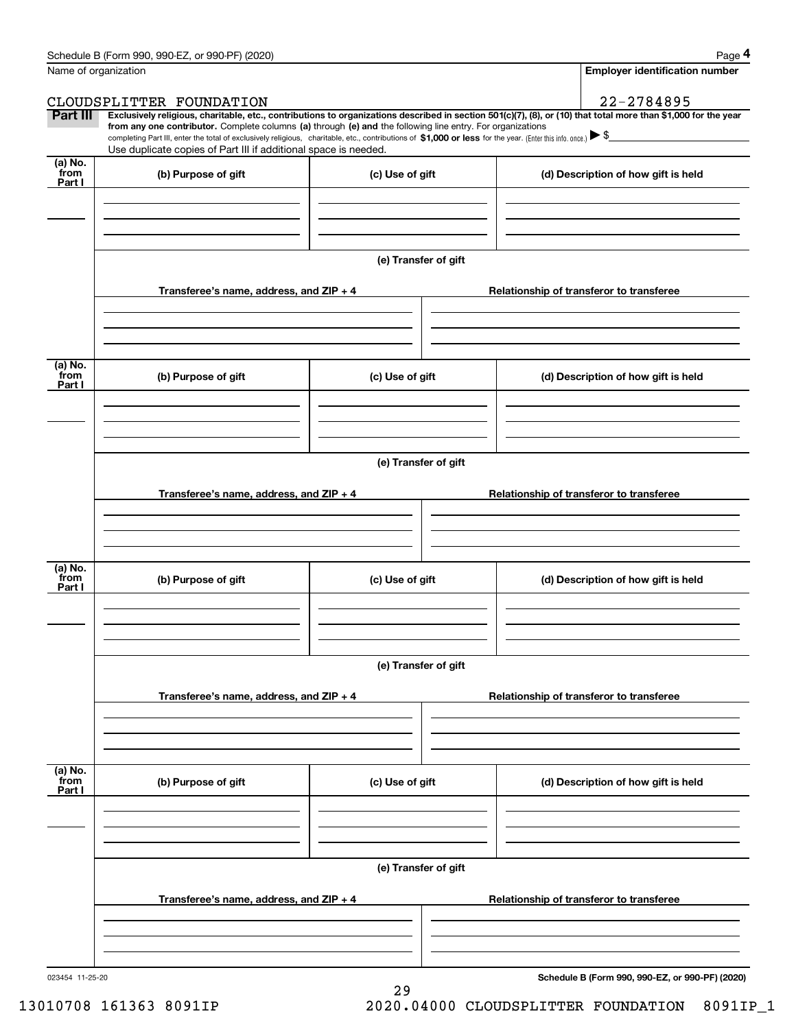|                 | Schedule B (Form 990, 990-EZ, or 990-PF) (2020)                                                                                                                                                                                                                                            |                      | Page 4                                                                                                                                                         |  |  |  |  |
|-----------------|--------------------------------------------------------------------------------------------------------------------------------------------------------------------------------------------------------------------------------------------------------------------------------------------|----------------------|----------------------------------------------------------------------------------------------------------------------------------------------------------------|--|--|--|--|
|                 | Name of organization                                                                                                                                                                                                                                                                       |                      | <b>Employer identification number</b>                                                                                                                          |  |  |  |  |
|                 | CLOUDSPLITTER FOUNDATION                                                                                                                                                                                                                                                                   |                      | 22-2784895                                                                                                                                                     |  |  |  |  |
| Part III        | from any one contributor. Complete columns (a) through (e) and the following line entry. For organizations<br>completing Part III, enter the total of exclusively religious, charitable, etc., contributions of \$1,000 or less for the year. (Enter this info. once.) $\triangleright$ \$ |                      | Exclusively religious, charitable, etc., contributions to organizations described in section 501(c)(7), (8), or (10) that total more than \$1,000 for the year |  |  |  |  |
|                 | Use duplicate copies of Part III if additional space is needed.                                                                                                                                                                                                                            |                      |                                                                                                                                                                |  |  |  |  |
| (a) No.<br>from |                                                                                                                                                                                                                                                                                            |                      |                                                                                                                                                                |  |  |  |  |
| Part I          | (b) Purpose of gift                                                                                                                                                                                                                                                                        | (c) Use of gift      | (d) Description of how gift is held                                                                                                                            |  |  |  |  |
|                 |                                                                                                                                                                                                                                                                                            |                      |                                                                                                                                                                |  |  |  |  |
|                 |                                                                                                                                                                                                                                                                                            |                      |                                                                                                                                                                |  |  |  |  |
|                 |                                                                                                                                                                                                                                                                                            |                      |                                                                                                                                                                |  |  |  |  |
|                 |                                                                                                                                                                                                                                                                                            | (e) Transfer of gift |                                                                                                                                                                |  |  |  |  |
|                 |                                                                                                                                                                                                                                                                                            |                      |                                                                                                                                                                |  |  |  |  |
|                 | Transferee's name, address, and ZIP + 4                                                                                                                                                                                                                                                    |                      | Relationship of transferor to transferee                                                                                                                       |  |  |  |  |
|                 |                                                                                                                                                                                                                                                                                            |                      |                                                                                                                                                                |  |  |  |  |
|                 |                                                                                                                                                                                                                                                                                            |                      |                                                                                                                                                                |  |  |  |  |
|                 |                                                                                                                                                                                                                                                                                            |                      |                                                                                                                                                                |  |  |  |  |
| (a) No.<br>from | (b) Purpose of gift                                                                                                                                                                                                                                                                        | (c) Use of gift      | (d) Description of how gift is held                                                                                                                            |  |  |  |  |
| Part I          |                                                                                                                                                                                                                                                                                            |                      |                                                                                                                                                                |  |  |  |  |
|                 |                                                                                                                                                                                                                                                                                            |                      |                                                                                                                                                                |  |  |  |  |
|                 |                                                                                                                                                                                                                                                                                            |                      |                                                                                                                                                                |  |  |  |  |
|                 |                                                                                                                                                                                                                                                                                            |                      |                                                                                                                                                                |  |  |  |  |
|                 |                                                                                                                                                                                                                                                                                            | (e) Transfer of gift |                                                                                                                                                                |  |  |  |  |
|                 | Transferee's name, address, and ZIP + 4                                                                                                                                                                                                                                                    |                      |                                                                                                                                                                |  |  |  |  |
|                 |                                                                                                                                                                                                                                                                                            |                      | Relationship of transferor to transferee                                                                                                                       |  |  |  |  |
|                 |                                                                                                                                                                                                                                                                                            |                      |                                                                                                                                                                |  |  |  |  |
|                 |                                                                                                                                                                                                                                                                                            |                      |                                                                                                                                                                |  |  |  |  |
| (a) No.         |                                                                                                                                                                                                                                                                                            |                      |                                                                                                                                                                |  |  |  |  |
| from<br>Part I  | (b) Purpose of gift                                                                                                                                                                                                                                                                        | (c) Use of gift      | (d) Description of how gift is held                                                                                                                            |  |  |  |  |
|                 |                                                                                                                                                                                                                                                                                            |                      |                                                                                                                                                                |  |  |  |  |
|                 |                                                                                                                                                                                                                                                                                            |                      |                                                                                                                                                                |  |  |  |  |
|                 |                                                                                                                                                                                                                                                                                            |                      |                                                                                                                                                                |  |  |  |  |
|                 |                                                                                                                                                                                                                                                                                            | (e) Transfer of gift |                                                                                                                                                                |  |  |  |  |
|                 |                                                                                                                                                                                                                                                                                            |                      |                                                                                                                                                                |  |  |  |  |
|                 | Transferee's name, address, and ZIP + 4                                                                                                                                                                                                                                                    |                      | Relationship of transferor to transferee                                                                                                                       |  |  |  |  |
|                 |                                                                                                                                                                                                                                                                                            |                      |                                                                                                                                                                |  |  |  |  |
|                 |                                                                                                                                                                                                                                                                                            |                      |                                                                                                                                                                |  |  |  |  |
|                 |                                                                                                                                                                                                                                                                                            |                      |                                                                                                                                                                |  |  |  |  |
| (a) No.<br>from |                                                                                                                                                                                                                                                                                            |                      |                                                                                                                                                                |  |  |  |  |
| Part I          | (b) Purpose of gift                                                                                                                                                                                                                                                                        | (c) Use of gift      | (d) Description of how gift is held                                                                                                                            |  |  |  |  |
|                 |                                                                                                                                                                                                                                                                                            |                      |                                                                                                                                                                |  |  |  |  |
|                 |                                                                                                                                                                                                                                                                                            |                      |                                                                                                                                                                |  |  |  |  |
|                 |                                                                                                                                                                                                                                                                                            |                      |                                                                                                                                                                |  |  |  |  |
|                 |                                                                                                                                                                                                                                                                                            | (e) Transfer of gift |                                                                                                                                                                |  |  |  |  |
|                 |                                                                                                                                                                                                                                                                                            |                      |                                                                                                                                                                |  |  |  |  |
|                 | Transferee's name, address, and ZIP + 4                                                                                                                                                                                                                                                    |                      | Relationship of transferor to transferee                                                                                                                       |  |  |  |  |
|                 |                                                                                                                                                                                                                                                                                            |                      |                                                                                                                                                                |  |  |  |  |
|                 |                                                                                                                                                                                                                                                                                            |                      |                                                                                                                                                                |  |  |  |  |
|                 |                                                                                                                                                                                                                                                                                            |                      |                                                                                                                                                                |  |  |  |  |

29

**Schedule B (Form 990, 990-EZ, or 990-PF) (2020)**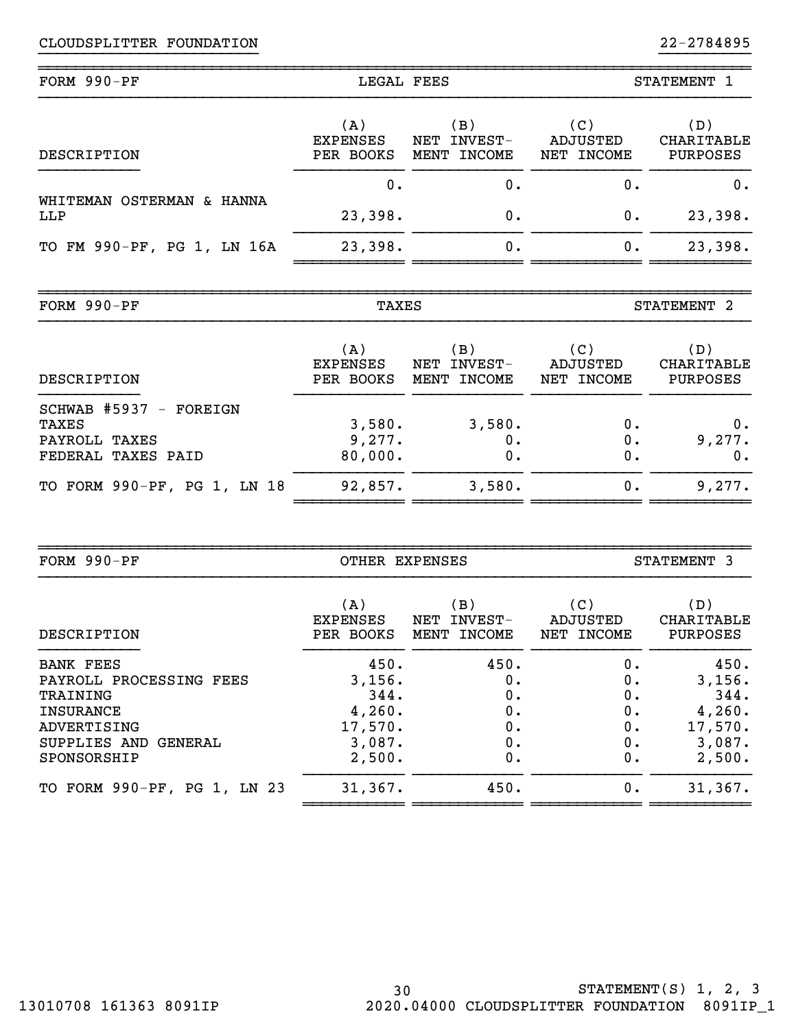| FORM 990-PF<br>LEGAL FEES        |                                     |                                                | STATEMENT 1                   |                               |
|----------------------------------|-------------------------------------|------------------------------------------------|-------------------------------|-------------------------------|
| DESCRIPTION                      | (A)<br><b>EXPENSES</b><br>PER BOOKS | (B)<br>INVEST-<br>NET<br><b>INCOME</b><br>MENT | (C)<br>ADJUSTED<br>NET INCOME | (D)<br>CHARITABLE<br>PURPOSES |
|                                  | 0.                                  | 0.                                             | Ο.                            | 0.                            |
| WHITEMAN OSTERMAN & HANNA<br>LLP | 23,398.                             | 0.                                             | 0.                            | 23,398.                       |
| TO FM 990-PF, PG 1, LN 16A       | 23,398.                             | О.                                             | 0.                            | 23,398.                       |
|                                  |                                     |                                                |                               |                               |

}}}}}}}}}}}}}}}}}}}}}}}} }}}}}}}}}}

| $FORM 990-PF$     | TAXES                        |                                      |                                      | STATEMENT                |
|-------------------|------------------------------|--------------------------------------|--------------------------------------|--------------------------|
|                   | . A '                        | B                                    | (C)                                  | D)                       |
| <b>MARCRIPTON</b> | <b>EXPENSES</b><br>PER ROOKS | NET INVEST-<br>MENT<br><b>TNCOME</b> | ADJUSTED<br><b>TNCOME</b><br>י איז א | CHARITABLE<br>PIJR POSES |

~~~~~~~~~~~~~~~~~~~~~~~~~~~~~~~~~~~~~~~~~~~~~~~~~~~~~~~~~~~~~~~~~~~~~~~~~~~~~~

| DESCRIPTION                                                            |                             | PER BOOKS MENT INCOME | NET INCOME     | PURPOSES              |
|------------------------------------------------------------------------|-----------------------------|-----------------------|----------------|-----------------------|
| SCHWAB #5937 - FOREIGN<br>TAXES<br>PAYROLL TAXES<br>FEDERAL TAXES PAID | 3,580.<br>9,277.<br>80,000. | 3,580.<br>0.          | 0.<br>0.<br>0. | 0.<br>9,277.<br>$0$ . |
| TO FORM 990-PF, PG 1, LN 18                                            | 92,857.                     | 3,580.                | 0.             | 9,277.                |

| FORM 990-PF                                                                                                                          | OTHER EXPENSES                                                  |                                          | STATEMENT 3                            |                                                                 |  |
|--------------------------------------------------------------------------------------------------------------------------------------|-----------------------------------------------------------------|------------------------------------------|----------------------------------------|-----------------------------------------------------------------|--|
| DESCRIPTION                                                                                                                          | (A)<br><b>EXPENSES</b><br>PER BOOKS                             | (B )<br>INVEST-<br>NET<br>INCOME<br>MENT | (C)<br>ADJUSTED<br>NET INCOME          | (D)<br>CHARITABLE<br>PURPOSES                                   |  |
| <b>BANK FEES</b><br>PAYROLL PROCESSING FEES<br>TRAINING<br><b>INSURANCE</b><br>ADVERTISING<br>SUPPLIES AND<br>GENERAL<br>SPONSORSHIP | 450.<br>3,156.<br>344.<br>4,260.<br>17,570.<br>3,087.<br>2,500. | 450.<br>0.<br>0.<br>0.<br>0.<br>0.<br>0. | 0.<br>о.<br>О.<br>0.<br>0.<br>0.<br>0. | 450.<br>3,156.<br>344.<br>4,260.<br>17,570.<br>3,087.<br>2,500. |  |
| TO FORM 990-PF, PG 1, LN 23                                                                                                          | 31,367.                                                         | 450.                                     | 0.                                     | 31,367.                                                         |  |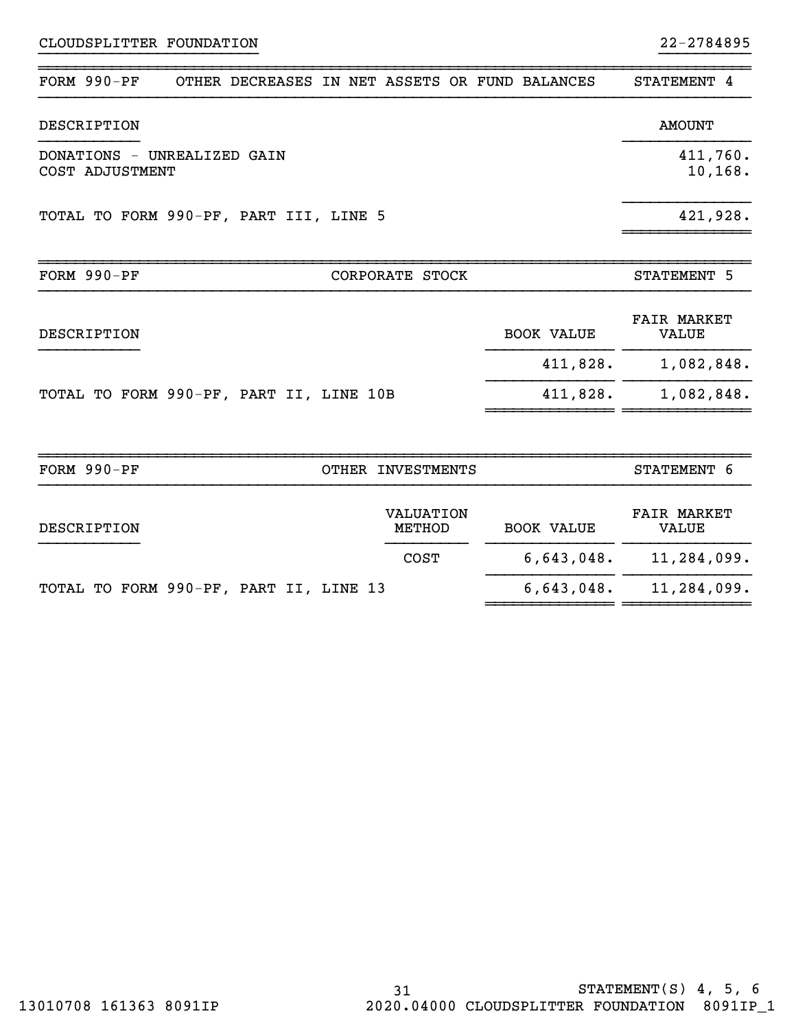22-2784895

| FORM 990-PF                                    |  | OTHER DECREASES |       |                                   |  |  | IN NET ASSETS OR FUND BALANCES | STATEMENT 4                        |
|------------------------------------------------|--|-----------------|-------|-----------------------------------|--|--|--------------------------------|------------------------------------|
| DESCRIPTION                                    |  |                 |       |                                   |  |  |                                | <b>AMOUNT</b>                      |
| DONATIONS - UNREALIZED GAIN<br>COST ADJUSTMENT |  |                 |       |                                   |  |  | 411,760.<br>10,168.            |                                    |
| TOTAL TO FORM 990-PF, PART III, LINE 5         |  |                 |       |                                   |  |  |                                | 421,928.                           |
| FORM 990-PF                                    |  |                 |       | CORPORATE STOCK                   |  |  |                                | STATEMENT 5                        |
| DESCRIPTION                                    |  |                 |       |                                   |  |  | <b>BOOK VALUE</b>              | <b>FAIR MARKET</b><br><b>VALUE</b> |
|                                                |  |                 |       |                                   |  |  | 411,828.                       | 1,082,848.                         |
| TOTAL TO FORM 990-PF, PART II, LINE 10B        |  |                 |       |                                   |  |  | 411,828.                       | 1,082,848.                         |
|                                                |  |                 |       |                                   |  |  |                                |                                    |
| FORM 990-PF                                    |  |                 | OTHER | <b>INVESTMENTS</b>                |  |  |                                | STATEMENT 6                        |
| DESCRIPTION                                    |  |                 |       | <b>VALUATION</b><br><b>METHOD</b> |  |  | <b>BOOK VALUE</b>              | <b>FAIR MARKET</b><br><b>VALUE</b> |
|                                                |  |                 |       | <b>COST</b>                       |  |  | 6,643,048.                     | 11,284,099.                        |

~~~~~~~~~~~~~~ ~~~~~~~~~~~~~~

}}}}}}}}}}}}}}}}}}}}}}}} }}}}}}}}}}

TOTAL TO FORM 990-PF, PART II, LINE 13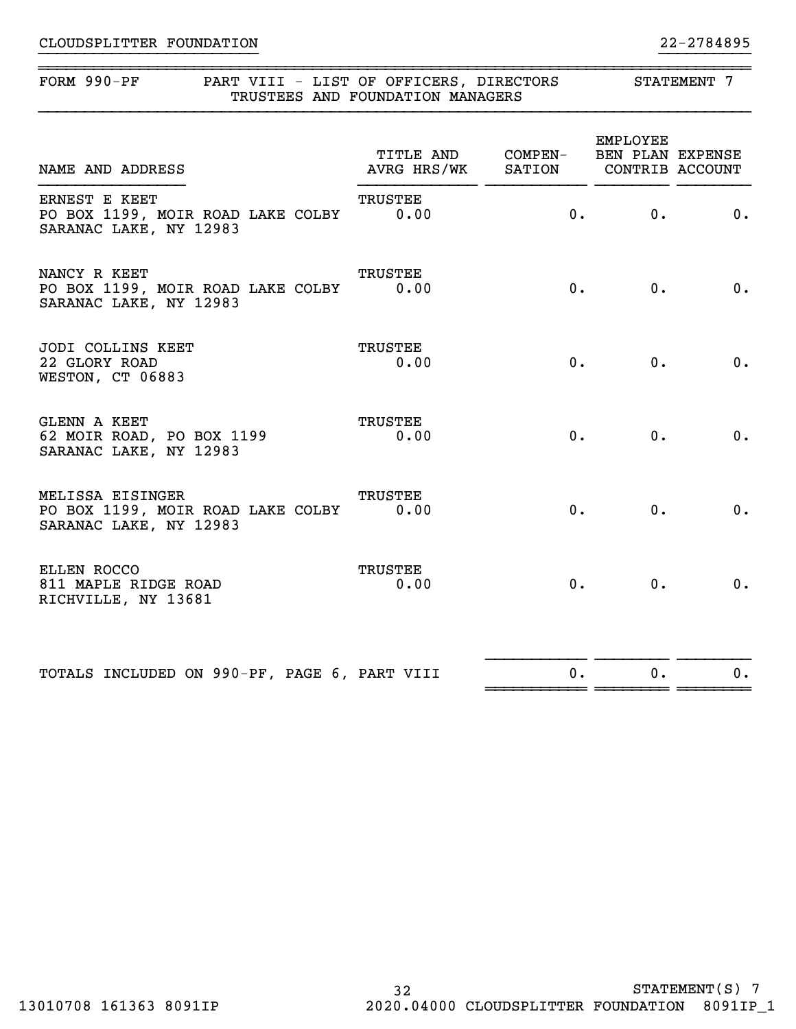## ~~~~~~~~~~~~~~~~~~~~~~~~~~~~~~~~~~~~~~~~~~~~~~~~~~~~~~~~~~~~~~~~~~~~~~~~~~~~~~FORM 990-PF PART VIII - LIST OF OFFICERS, DIRECTORS STATEMENT 7 TRUSTEES AND FOUNDATION MANAGERS EMPLOYEE TITLE AND COMPEN- BEN PLAN EXPENSE NAME AND ADDRESS AVRG HRS/WK SATION CONTRIB ACCOUNT }}}}}}}}}}}}}}}} }}}}}}}}}}}}} }}}}}}}}}}} }}}}}}}} }}}}}}}} ERNEST E KEET TRUSTEE PO BOX 1199, MOIR ROAD LAKE COLBY 0.00 0. 0. 0. 0. SARANAC LAKE, NY 12983 NANCY R KEET TRUSTEE PO BOX 1199, MOIR ROAD LAKE COLBY 0.00 0. 0. 0. 0. SARANAC LAKE, NY 12983

}}}}}}}}}}}}}}}}}}}}}}}} }}}}}}}}}}

| JODI COLLINS KEET<br>22 GLORY ROAD<br>WESTON, CT 06883              | TRUSTEE<br>0.00 | 0.    | 0.    | 0. |
|---------------------------------------------------------------------|-----------------|-------|-------|----|
| GLENN A KEET<br>62 MOIR ROAD, PO BOX 1199<br>SARANAC LAKE, NY 12983 | TRUSTEE<br>0.00 | $0$ . | $0$ . |    |

| MELISSA EISINGER                                            | TRUSTEE |                |    |
|-------------------------------------------------------------|---------|----------------|----|
| PO BOX 1199, MOIR ROAD LAKE COLBY<br>SARANAC LAKE, NY 12983 | 0.00    | $\mathbf{0}$ . | 0. |
|                                                             |         |                |    |

| ELLEN ROCCO<br>811 MAPLE RIDGE ROAD<br>RICHVILLE, NY 13681 | TRUSTEE<br>0.00 | $\overline{0}$ . |  |
|------------------------------------------------------------|-----------------|------------------|--|
|                                                            |                 |                  |  |

 }}}}}}}}}}} }}}}}}}} }}}}}}}} TOTALS INCLUDED ON 990-PF, PAGE 6, PART VIII  $\qquad \qquad 0.$  0. 0. ~~~~~~~~~~~ ~~~~~~~~ ~~~~~~~~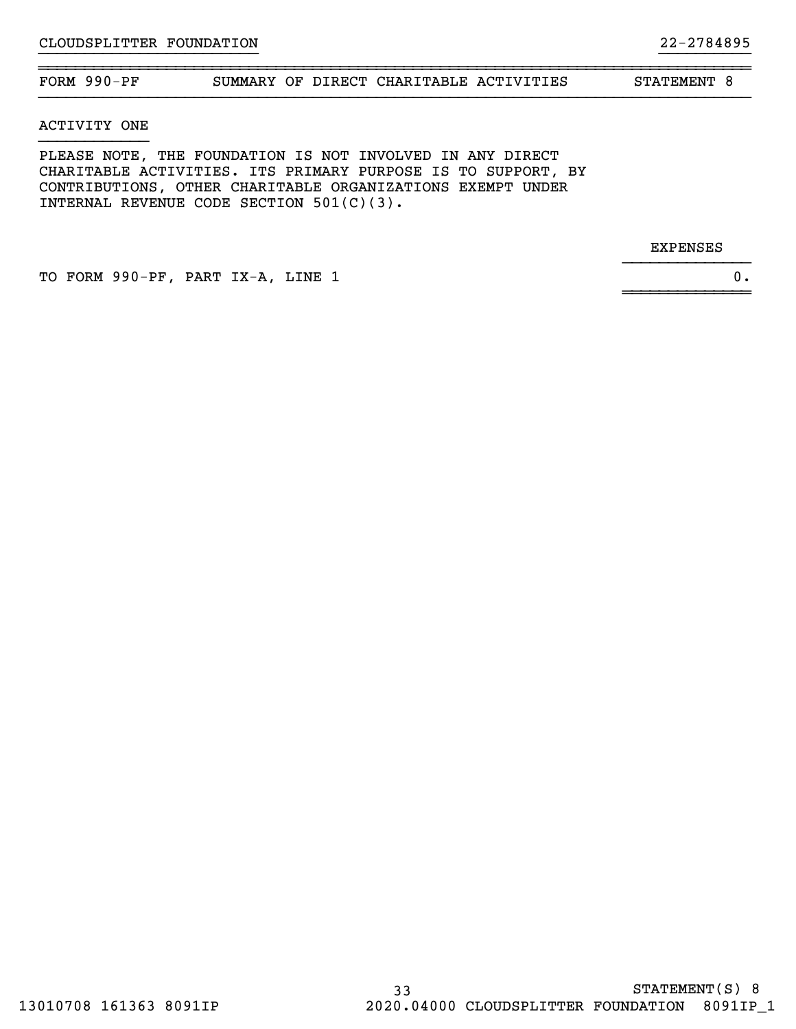~~~~~~~~~~~~~~~~~~~~~~~~~~~~~~~~~~~~~~~~~~~~~~~~~~~~~~~~~~~~~~~~~~~~~~~~~~~~~~FORM 990-PF SUMMARY OF DIRECT CHARITABLE ACTIVITIES STATEMENT 8

}}}}}}}}}}}}}}

}}}}}}}}}}}}}}}}}}}}}}}} }}}}}}}}}}

ACTIVITY ONE

PLEASE NOTE, THE FOUNDATION IS NOT INVOLVED IN ANY DIRECT CHARITABLE ACTIVITIES. ITS PRIMARY PURPOSE IS TO SUPPORT, BY CONTRIBUTIONS, OTHER CHARITABLE ORGANIZATIONS EXEMPT UNDER INTERNAL REVENUE CODE SECTION 501(C)(3).

EXPENSES

TO FORM 990-PF, PART IX-A, LINE 1 0.

~~~~~~~~~~~~~~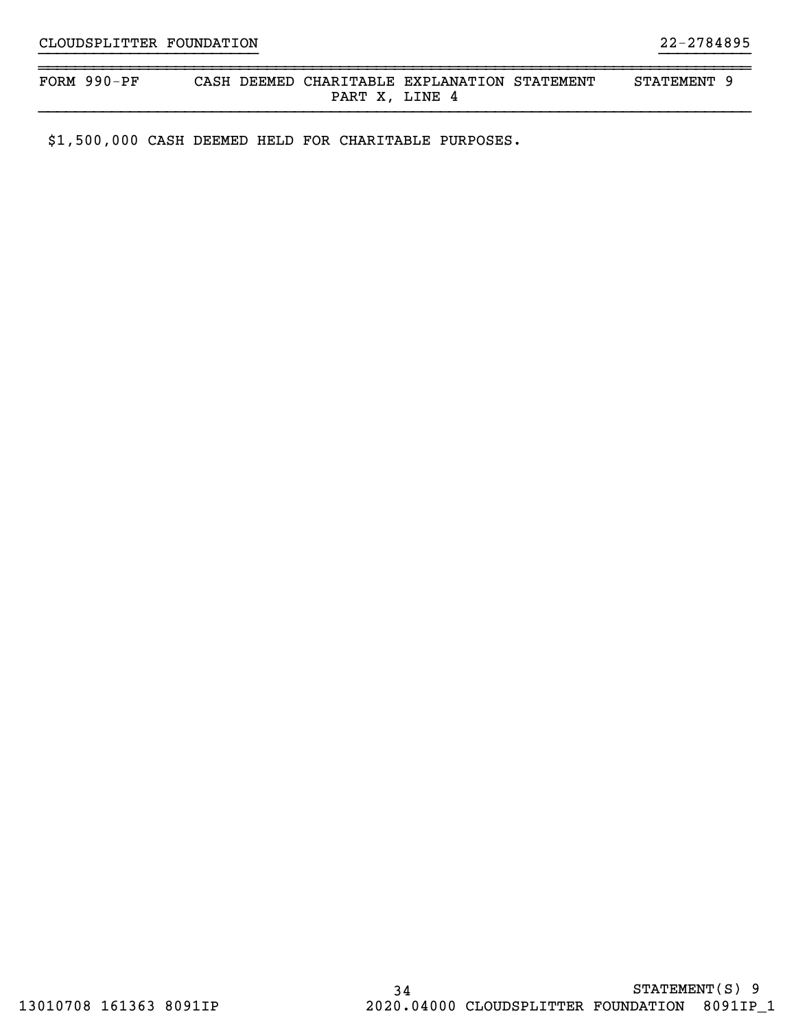| FORM | 990-PF | CASH |      | DEEMED CHARITABLE EXPLANATION STATEMENT | <b>STATEMENT</b> |  |
|------|--------|------|------|-----------------------------------------|------------------|--|
|      |        |      | PART | .INE<br>Д                               |                  |  |

}}}}}}}}}}}}}}}}}}}}}}}} }}}}}}}}}}

\$1,500,000 CASH DEEMED HELD FOR CHARITABLE PURPOSES.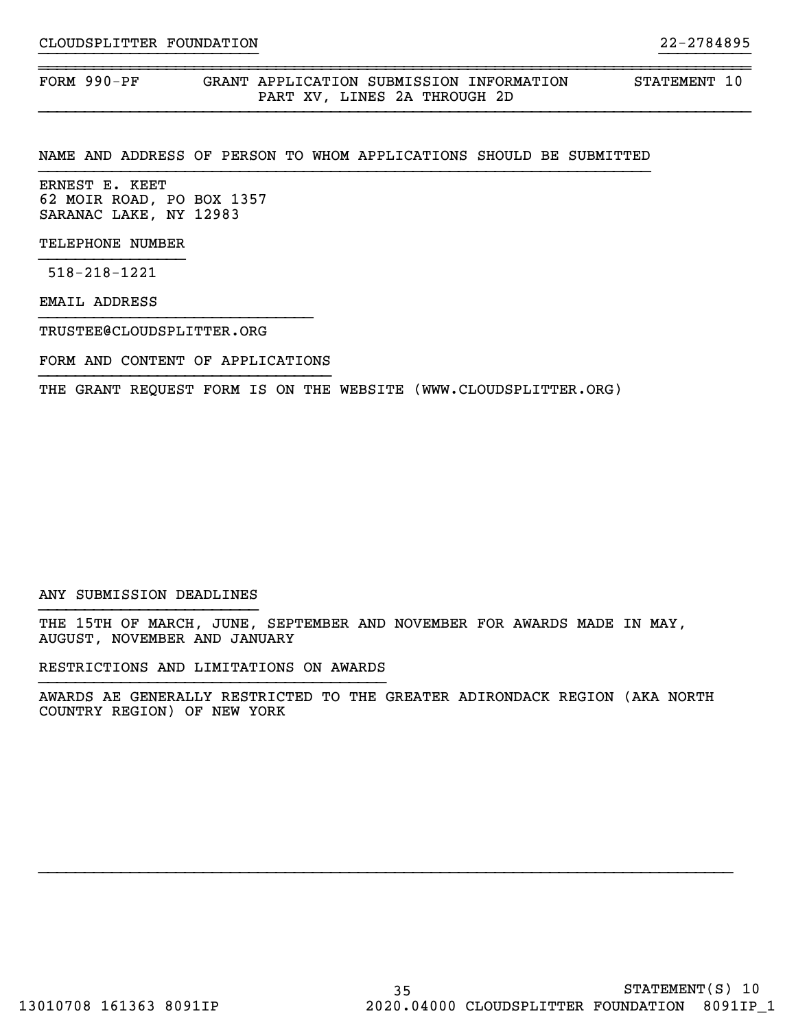FORM 990-PF GRANT APPLICATION SUBMISSION INFORMATION STATEMENT 10 PART XV, LINES 2A THROUGH 2D

### NAME AND ADDRESS OF PERSON TO WHOM APPLICATIONS SHOULD BE SUBMITTED

}}}}}}}}}}}}}}}}}}}}}}}} }}}}}}}}}}

~~~~~~~~~~~~~~~~~~~~~~~~~~~~~~~~~~~~~~~~~~~~~~~~~~~~~~~~~~~~~~~~~~~~~~~~~~~~~~

ERNEST E. KEET 62 MOIR ROAD, PO BOX 1357 SARANAC LAKE, NY 12983

TELEPHONE NUMBER

518-218-1221

EMAIL ADDRESS

TRUSTEE@CLOUDSPLITTER.ORG

FORM AND CONTENT OF APPLICATIONS }}}}}}}}}}}}}}}}}}}}}}}}}}}}}}}}

THE GRANT REQUEST FORM IS ON THE WEBSITE (WWW.CLOUDSPLITTER.ORG)

#### ANY SUBMISSION DEADLINES }}}}}}}}}}}}}}}}}}}}}}}}

THE 15TH OF MARCH, JUNE, SEPTEMBER AND NOVEMBER FOR AWARDS MADE IN MAY, AUGUST, NOVEMBER AND JANUARY

RESTRICTIONS AND LIMITATIONS ON AWARDS

AWARDS AE GENERALLY RESTRICTED TO THE GREATER ADIRONDACK REGION (AKA NORTH COUNTRY REGION) OF NEW YORK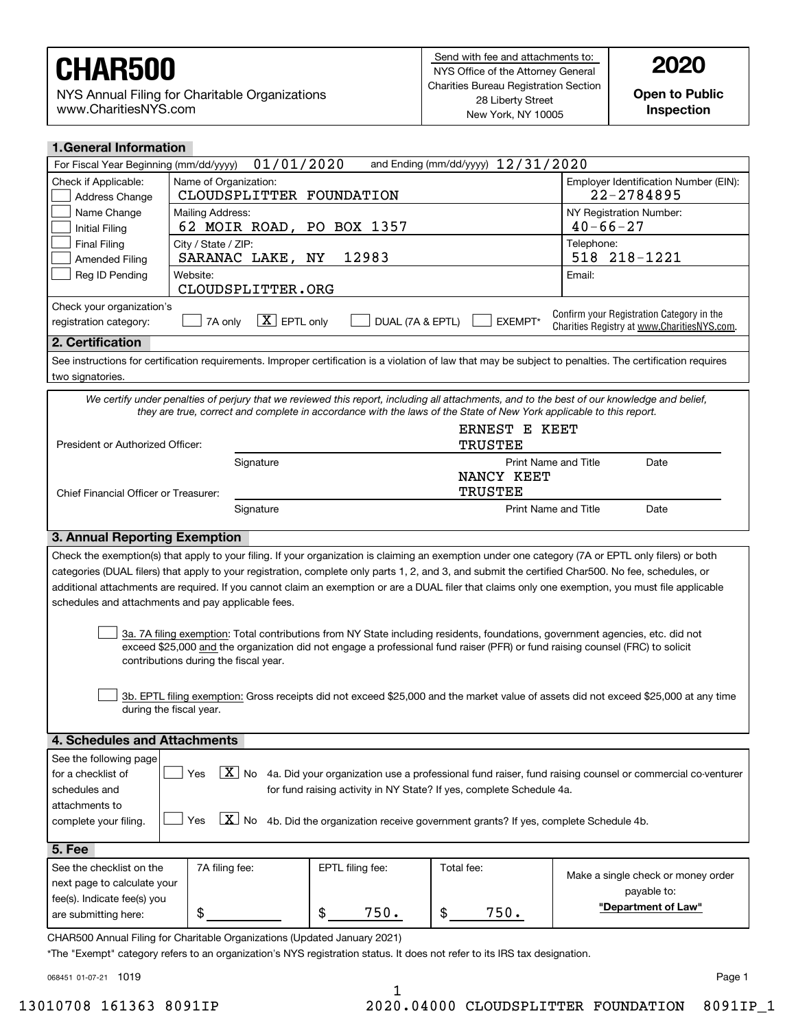NYS Annual Filing for Charitable Organizations www.CharitiesNYS.com

**Open to Public Inspection**

| <b>1. General Information</b>                                                                                                                                                 |                                                                                                                     |                  |                                      |                                                                                                                                                            |  |  |  |  |  |  |
|-------------------------------------------------------------------------------------------------------------------------------------------------------------------------------|---------------------------------------------------------------------------------------------------------------------|------------------|--------------------------------------|------------------------------------------------------------------------------------------------------------------------------------------------------------|--|--|--|--|--|--|
| For Fiscal Year Beginning (mm/dd/yyyy)                                                                                                                                        | 01/01/2020                                                                                                          |                  | and Ending (mm/dd/yyyy) $12/31/2020$ |                                                                                                                                                            |  |  |  |  |  |  |
| Check if Applicable:                                                                                                                                                          | Name of Organization:                                                                                               |                  |                                      | Employer Identification Number (EIN):                                                                                                                      |  |  |  |  |  |  |
| Address Change                                                                                                                                                                | CLOUDSPLITTER FOUNDATION                                                                                            | 22-2784895       |                                      |                                                                                                                                                            |  |  |  |  |  |  |
| Name Change                                                                                                                                                                   | Mailing Address:                                                                                                    |                  |                                      | NY Registration Number:                                                                                                                                    |  |  |  |  |  |  |
| <b>Initial Filing</b>                                                                                                                                                         | 62 MOIR ROAD, PO BOX 1357                                                                                           |                  |                                      | $40 - 66 - 27$                                                                                                                                             |  |  |  |  |  |  |
| <b>Final Filing</b><br><b>Amended Filing</b>                                                                                                                                  | City / State / ZIP:<br>SARANAC LAKE, NY                                                                             | 12983            |                                      | Telephone:<br>518 218-1221                                                                                                                                 |  |  |  |  |  |  |
| Reg ID Pending                                                                                                                                                                | Website:                                                                                                            |                  |                                      | Email:                                                                                                                                                     |  |  |  |  |  |  |
|                                                                                                                                                                               | CLOUDSPLITTER.ORG                                                                                                   |                  |                                      |                                                                                                                                                            |  |  |  |  |  |  |
| Check your organization's                                                                                                                                                     |                                                                                                                     |                  |                                      |                                                                                                                                                            |  |  |  |  |  |  |
| Confirm your Registration Category in the<br>$X$ EPTL only<br>DUAL (7A & EPTL)<br>EXEMPT*<br>registration category:<br>7A only<br>Charities Registry at www.CharitiesNYS.com. |                                                                                                                     |                  |                                      |                                                                                                                                                            |  |  |  |  |  |  |
| 2. Certification                                                                                                                                                              |                                                                                                                     |                  |                                      |                                                                                                                                                            |  |  |  |  |  |  |
| two signatories.                                                                                                                                                              |                                                                                                                     |                  |                                      | See instructions for certification requirements. Improper certification is a violation of law that may be subject to penalties. The certification requires |  |  |  |  |  |  |
|                                                                                                                                                                               |                                                                                                                     |                  |                                      | We certify under penalties of perjury that we reviewed this report, including all attachments, and to the best of our knowledge and belief,                |  |  |  |  |  |  |
|                                                                                                                                                                               | they are true, correct and complete in accordance with the laws of the State of New York applicable to this report. |                  |                                      |                                                                                                                                                            |  |  |  |  |  |  |
| President or Authorized Officer:                                                                                                                                              |                                                                                                                     |                  | TRUSTEE                              | ERNEST E KEET                                                                                                                                              |  |  |  |  |  |  |
|                                                                                                                                                                               | Signature                                                                                                           |                  | <b>Print Name and Title</b>          | Date                                                                                                                                                       |  |  |  |  |  |  |
|                                                                                                                                                                               |                                                                                                                     |                  | NANCY KEET                           |                                                                                                                                                            |  |  |  |  |  |  |
| Chief Financial Officer or Treasurer:                                                                                                                                         |                                                                                                                     |                  | <b>TRUSTEE</b>                       |                                                                                                                                                            |  |  |  |  |  |  |
|                                                                                                                                                                               | Signature                                                                                                           |                  | <b>Print Name and Title</b>          | Date                                                                                                                                                       |  |  |  |  |  |  |
| <b>3. Annual Reporting Exemption</b>                                                                                                                                          |                                                                                                                     |                  |                                      |                                                                                                                                                            |  |  |  |  |  |  |
|                                                                                                                                                                               |                                                                                                                     |                  |                                      | Check the exemption(s) that apply to your filing. If your organization is claiming an exemption under one category (7A or EPTL only filers) or both        |  |  |  |  |  |  |
|                                                                                                                                                                               |                                                                                                                     |                  |                                      | categories (DUAL filers) that apply to your registration, complete only parts 1, 2, and 3, and submit the certified Char500. No fee, schedules, or         |  |  |  |  |  |  |
|                                                                                                                                                                               |                                                                                                                     |                  |                                      | additional attachments are required. If you cannot claim an exemption or are a DUAL filer that claims only one exemption, you must file applicable         |  |  |  |  |  |  |
|                                                                                                                                                                               | schedules and attachments and pay applicable fees.                                                                  |                  |                                      |                                                                                                                                                            |  |  |  |  |  |  |
|                                                                                                                                                                               |                                                                                                                     |                  |                                      |                                                                                                                                                            |  |  |  |  |  |  |
|                                                                                                                                                                               |                                                                                                                     |                  |                                      | 3a. 7A filing exemption: Total contributions from NY State including residents, foundations, government agencies, etc. did not                             |  |  |  |  |  |  |
|                                                                                                                                                                               |                                                                                                                     |                  |                                      | exceed \$25,000 and the organization did not engage a professional fund raiser (PFR) or fund raising counsel (FRC) to solicit                              |  |  |  |  |  |  |
|                                                                                                                                                                               | contributions during the fiscal year.                                                                               |                  |                                      |                                                                                                                                                            |  |  |  |  |  |  |
|                                                                                                                                                                               |                                                                                                                     |                  |                                      |                                                                                                                                                            |  |  |  |  |  |  |
|                                                                                                                                                                               |                                                                                                                     |                  |                                      | 3b. EPTL filing exemption: Gross receipts did not exceed \$25,000 and the market value of assets did not exceed \$25,000 at any time                       |  |  |  |  |  |  |
| during the fiscal year.                                                                                                                                                       |                                                                                                                     |                  |                                      |                                                                                                                                                            |  |  |  |  |  |  |
| 4. Schedules and Attachments                                                                                                                                                  |                                                                                                                     |                  |                                      |                                                                                                                                                            |  |  |  |  |  |  |
| See the following page                                                                                                                                                        |                                                                                                                     |                  |                                      |                                                                                                                                                            |  |  |  |  |  |  |
| $\boxed{X}$ No 4a. Did your organization use a professional fund raiser, fund raising counsel or commercial co-venturer<br>for a checklist of<br>Yes                          |                                                                                                                     |                  |                                      |                                                                                                                                                            |  |  |  |  |  |  |
| schedules and<br>for fund raising activity in NY State? If yes, complete Schedule 4a.                                                                                         |                                                                                                                     |                  |                                      |                                                                                                                                                            |  |  |  |  |  |  |
| attachments to                                                                                                                                                                |                                                                                                                     |                  |                                      |                                                                                                                                                            |  |  |  |  |  |  |
| $\overline{X}$<br>No<br>Yes<br>4b. Did the organization receive government grants? If yes, complete Schedule 4b.<br>complete your filing.                                     |                                                                                                                     |                  |                                      |                                                                                                                                                            |  |  |  |  |  |  |
| 5. Fee                                                                                                                                                                        |                                                                                                                     |                  |                                      |                                                                                                                                                            |  |  |  |  |  |  |
| See the checklist on the                                                                                                                                                      | 7A filing fee:                                                                                                      | EPTL filing fee: | Total fee:                           |                                                                                                                                                            |  |  |  |  |  |  |
| next page to calculate your                                                                                                                                                   |                                                                                                                     |                  |                                      | Make a single check or money order                                                                                                                         |  |  |  |  |  |  |
| fee(s). Indicate fee(s) you                                                                                                                                                   |                                                                                                                     |                  |                                      | payable to:                                                                                                                                                |  |  |  |  |  |  |
| are submitting here:                                                                                                                                                          | \$                                                                                                                  | \$<br>750.       | \$<br>750.                           | "Department of Law"                                                                                                                                        |  |  |  |  |  |  |
| CHAR500 Annual Filing for Charitable Organizations (Updated January 2021)                                                                                                     |                                                                                                                     |                  |                                      |                                                                                                                                                            |  |  |  |  |  |  |

\*The "Exempt" category refers to an organization's NYS registration status. It does not refer to its IRS tax designation.

068451 01-07-21 1019

1

13010708 161363 8091IP 2020.04000 CLOUDSPLITTER FOUNDATION 8091IP\_1